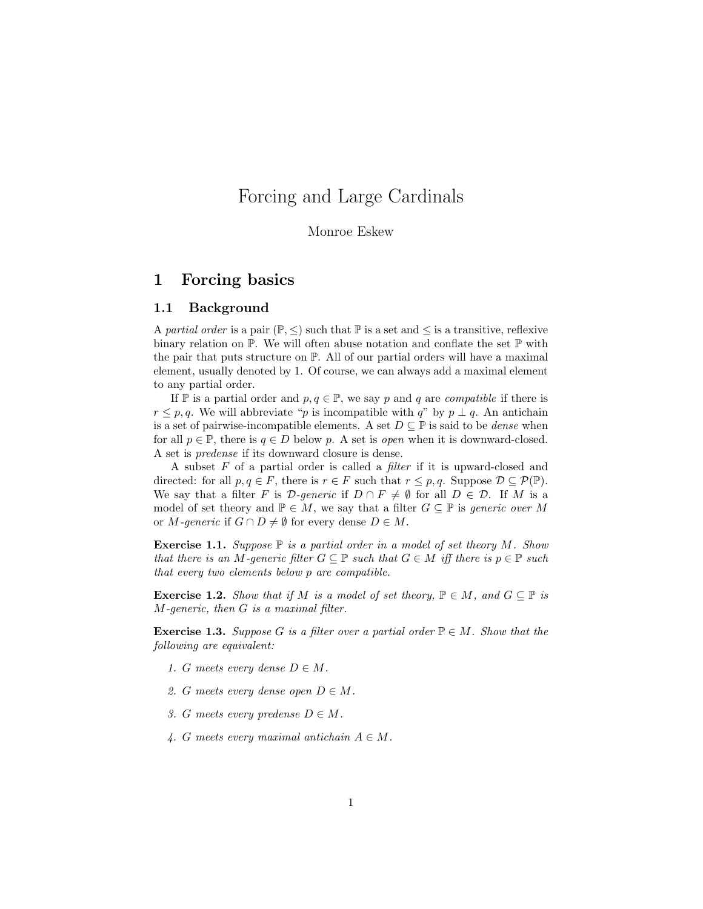# Forcing and Large Cardinals

#### Monroe Eskew

# 1 Forcing basics

### 1.1 Background

A partial order is a pair  $(\mathbb{P}, \leq)$  such that  $\mathbb{P}$  is a set and  $\leq$  is a transitive, reflexive binary relation on P. We will often abuse notation and conflate the set P with the pair that puts structure on  $\mathbb{P}$ . All of our partial orders will have a maximal element, usually denoted by 1. Of course, we can always add a maximal element to any partial order.

If P is a partial order and  $p, q \in \mathbb{P}$ , we say p and q are *compatible* if there is  $r \leq p, q$ . We will abbreviate "p is incompatible with q" by  $p \perp q$ . An antichain is a set of pairwise-incompatible elements. A set  $D \subseteq \mathbb{P}$  is said to be *dense* when for all  $p \in \mathbb{P}$ , there is  $q \in D$  below p. A set is *open* when it is downward-closed. A set is predense if its downward closure is dense.

A subset  $F$  of a partial order is called a *filter* if it is upward-closed and directed: for all  $p, q \in F$ , there is  $r \in F$  such that  $r \leq p, q$ . Suppose  $\mathcal{D} \subseteq \mathcal{P}(\mathbb{P})$ . We say that a filter F is  $\mathcal{D}\text{-}generic$  if  $D \cap F \neq \emptyset$  for all  $D \in \mathcal{D}$ . If M is a model of set theory and  $\mathbb{P} \in M$ , we say that a filter  $G \subseteq \mathbb{P}$  is generic over M or M-generic if  $G \cap D \neq \emptyset$  for every dense  $D \in M$ .

**Exercise 1.1.** Suppose  $\mathbb P$  is a partial order in a model of set theory M. Show that there is an M-generic filter  $G \subseteq \mathbb{P}$  such that  $G \in M$  iff there is  $p \in \mathbb{P}$  such that every two elements below p are compatible.

**Exercise 1.2.** Show that if M is a model of set theory,  $\mathbb{P} \in M$ , and  $G \subseteq \mathbb{P}$  is M-generic, then G is a maximal filter.

**Exercise 1.3.** Suppose G is a filter over a partial order  $\mathbb{P} \in M$ . Show that the following are equivalent:

- 1. G meets every dense  $D \in M$ .
- 2. G meets every dense open  $D \in M$ .
- 3. G meets every predense  $D \in M$ .
- 4. G meets every maximal antichain  $A \in M$ .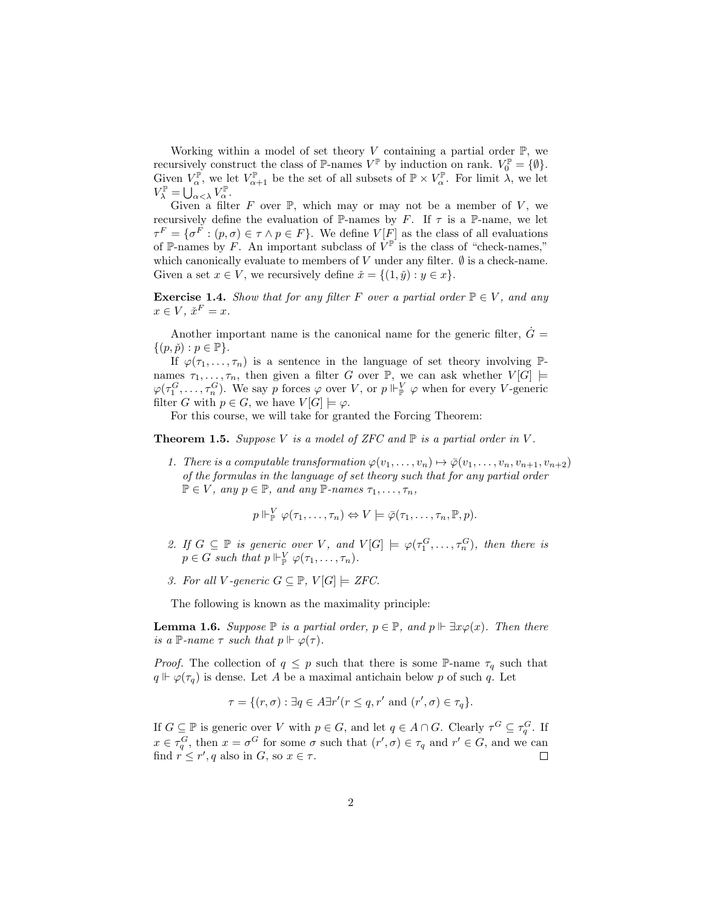Working within a model of set theory  $V$  containing a partial order  $\mathbb{P}$ , we recursively construct the class of  $\mathbb{P}$ -names  $V^{\mathbb{P}}$  by induction on rank.  $V_0^{\mathbb{P}} = \{\emptyset\}.$ Given  $V_{\alpha}^{\mathbb{P}}$ , we let  $V_{\alpha+1}^{\mathbb{P}}$  be the set of all subsets of  $\mathbb{P} \times V_{\alpha}^{\mathbb{P}}$ . For limit  $\lambda$ , we let  $V_\lambda^{\mathbb{P}} = \bigcup_{\alpha < \lambda}^{\alpha} V_\alpha^{\mathbb{P}}.$ 

Given a filter F over  $\mathbb{P}$ , which may or may not be a member of V, we recursively define the evaluation of P-names by F. If  $\tau$  is a P-name, we let  $\tau^F = \{\sigma^F : (p, \sigma) \in \tau \wedge p \in F\}.$  We define  $V[F]$  as the class of all evaluations of P-names by F. An important subclass of  $V^{\mathbb{P}}$  is the class of "check-names," which canonically evaluate to members of V under any filter.  $\emptyset$  is a check-name. Given a set  $x \in V$ , we recursively define  $\check{x} = \{(1, \check{y}) : y \in x\}.$ 

**Exercise 1.4.** Show that for any filter F over a partial order  $\mathbb{P} \in V$ , and any  $x \in V$ ,  $\check{x}^F = x$ .

Another important name is the canonical name for the generic filter,  $\dot{G} =$  $\{(p,\check{p}): p \in \mathbb{P}\}.$ 

If  $\varphi(\tau_1,\ldots,\tau_n)$  is a sentence in the language of set theory involving  $\mathbb{P}$ names  $\tau_1, \ldots, \tau_n$ , then given a filter G over P, we can ask whether  $V[G] \models$  $\varphi(\tau_1^G,\ldots,\tau_n^G)$ . We say p forces  $\varphi$  over V, or  $p \Vdash_{\mathbb{P}}^V \varphi$  when for every V-generic filter G with  $p \in G$ , we have  $V[G] \models \varphi$ .

For this course, we will take for granted the Forcing Theorem:

**Theorem 1.5.** Suppose V is a model of ZFC and  $\mathbb P$  is a partial order in V.

1. There is a computable transformation  $\varphi(v_1,\ldots,v_n) \mapsto \overline{\varphi}(v_1,\ldots,v_n,v_{n+1},v_{n+2})$ of the formulas in the language of set theory such that for any partial order  $\mathbb{P} \in V$ , any  $p \in \mathbb{P}$ , and any  $\mathbb{P}\text{-}\text{names } \tau_1, \ldots, \tau_n$ ,

$$
p \Vdash_{\mathbb{P}}^V \varphi(\tau_1,\ldots,\tau_n) \Leftrightarrow V \models \overline{\varphi}(\tau_1,\ldots,\tau_n,\mathbb{P},p).
$$

- 2. If  $G \subseteq \mathbb{P}$  is generic over V, and  $V[G] \models \varphi(\tau_1^G, \ldots, \tau_n^G)$ , then there is  $p \in G$  such that  $p \Vdash_{\mathbb{P}}^V \varphi(\tau_1, \ldots, \tau_n)$ .
- 3. For all V-generic  $G \subseteq \mathbb{P}$ ,  $V[G] \models ZFC$ .

The following is known as the maximality principle:

**Lemma 1.6.** Suppose  $\mathbb{P}$  is a partial order,  $p \in \mathbb{P}$ , and  $p \Vdash \exists x \varphi(x)$ . Then there is a P-name  $\tau$  such that  $p \Vdash \varphi(\tau)$ .

*Proof.* The collection of  $q \leq p$  such that there is some P-name  $\tau_q$  such that  $q \Vdash \varphi(\tau_q)$  is dense. Let A be a maximal antichain below p of such q. Let

$$
\tau = \{ (r, \sigma) : \exists q \in A \exists r' (r \leq q, r' \text{ and } (r', \sigma) \in \tau_q \}.
$$

If  $G \subseteq \mathbb{P}$  is generic over V with  $p \in G$ , and let  $q \in A \cap G$ . Clearly  $\tau^G \subseteq \tau_q^G$ . If  $x \in \tau_q^G$ , then  $x = \sigma^G$  for some  $\sigma$  such that  $(r', \sigma) \in \tau_q$  and  $r' \in G$ , and we can find  $r \leq r'$ , q also in G, so  $x \in \tau$ .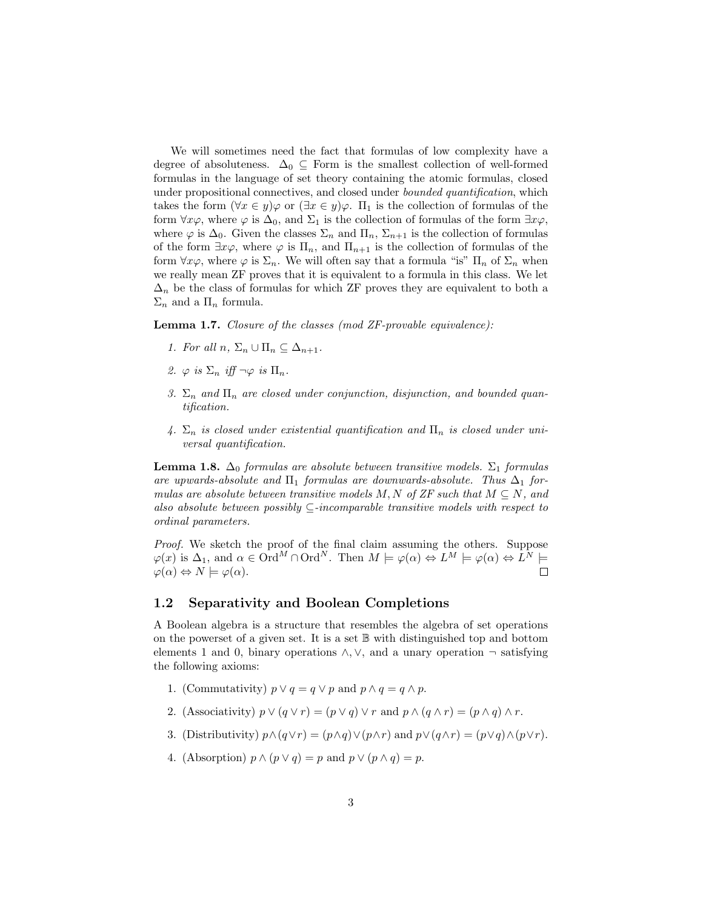We will sometimes need the fact that formulas of low complexity have a degree of absoluteness.  $\Delta_0 \subseteq$  Form is the smallest collection of well-formed formulas in the language of set theory containing the atomic formulas, closed under propositional connectives, and closed under *bounded quantification*, which takes the form  $(\forall x \in y) \varphi$  or  $(\exists x \in y) \varphi$ .  $\Pi_1$  is the collection of formulas of the form  $\forall x \varphi$ , where  $\varphi$  is  $\Delta_0$ , and  $\Sigma_1$  is the collection of formulas of the form  $\exists x \varphi$ , where  $\varphi$  is  $\Delta_0$ . Given the classes  $\Sigma_n$  and  $\Pi_n$ ,  $\Sigma_{n+1}$  is the collection of formulas of the form  $\exists x \varphi$ , where  $\varphi$  is  $\Pi_n$ , and  $\Pi_{n+1}$  is the collection of formulas of the form  $\forall x \varphi$ , where  $\varphi$  is  $\Sigma_n$ . We will often say that a formula "is"  $\Pi_n$  of  $\Sigma_n$  when we really mean ZF proves that it is equivalent to a formula in this class. We let  $\Delta_n$  be the class of formulas for which ZF proves they are equivalent to both a  $\Sigma_n$  and a  $\Pi_n$  formula.

Lemma 1.7. Closure of the classes (mod ZF-provable equivalence):

- 1. For all  $n, \Sigma_n \cup \Pi_n \subseteq \Delta_{n+1}$ .
- 2.  $\varphi$  is  $\Sigma_n$  iff  $\neg \varphi$  is  $\Pi_n$ .
- 3.  $\Sigma_n$  and  $\Pi_n$  are closed under conjunction, disjunction, and bounded quantification.
- 4.  $\Sigma_n$  is closed under existential quantification and  $\Pi_n$  is closed under universal quantification.

**Lemma 1.8.**  $\Delta_0$  formulas are absolute between transitive models.  $\Sigma_1$  formulas are upwards-absolute and  $\Pi_1$  formulas are downwards-absolute. Thus  $\Delta_1$  formulas are absolute between transitive models M, N of ZF such that  $M \subseteq N$ , and also absolute between possibly  $\subseteq$ -incomparable transitive models with respect to ordinal parameters.

Proof. We sketch the proof of the final claim assuming the others. Suppose  $\varphi(x)$  is  $\Delta_1$ , and  $\alpha \in \text{Ord}^M \cap \text{Ord}^N$ . Then  $M \models \varphi(\alpha) \Leftrightarrow L^M \models \varphi(\alpha) \Leftrightarrow L^N \models$  $\varphi(\alpha) \Leftrightarrow N \models \varphi(\alpha).$ 

# 1.2 Separativity and Boolean Completions

A Boolean algebra is a structure that resembles the algebra of set operations on the powerset of a given set. It is a set  $\mathbb B$  with distinguished top and bottom elements 1 and 0, binary operations  $\land$ ,  $\lor$ , and a unary operation  $\neg$  satisfying the following axioms:

- 1. (Commutativity)  $p \lor q = q \lor p$  and  $p \land q = q \land p$ .
- 2. (Associativity)  $p \vee (q \vee r) = (p \vee q) \vee r$  and  $p \wedge (q \wedge r) = (p \wedge q) \wedge r$ .
- 3. (Distributivity)  $p \wedge (q \vee r) = (p \wedge q) \vee (p \wedge r)$  and  $p \vee (q \wedge r) = (p \vee q) \wedge (p \vee r)$ .
- 4. (Absorption)  $p \wedge (p \vee q) = p$  and  $p \vee (p \wedge q) = p$ .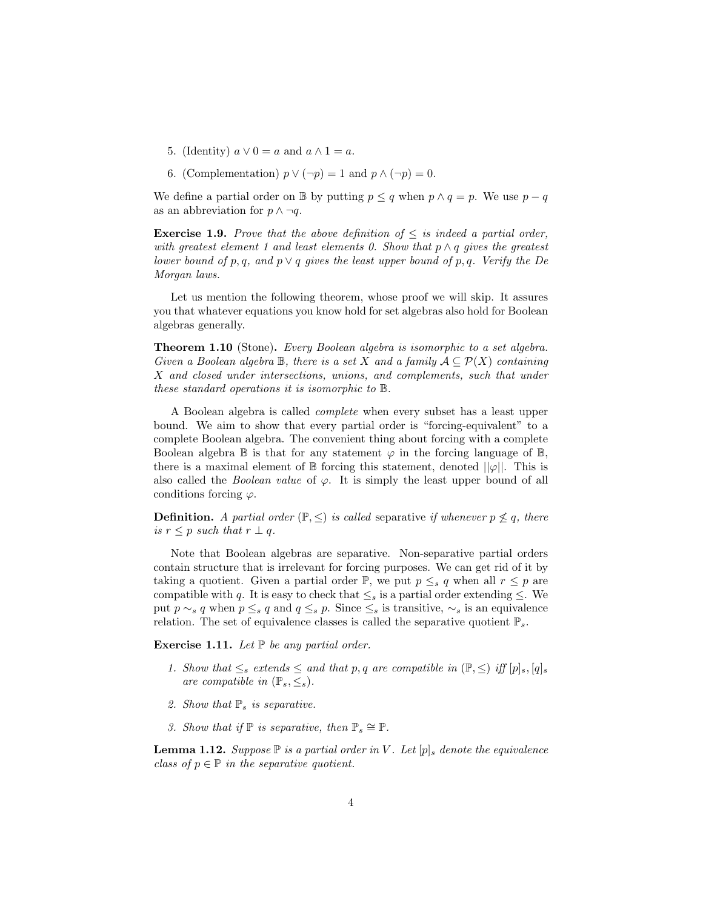- 5. (Identity)  $a \vee 0 = a$  and  $a \wedge 1 = a$ .
- 6. (Complementation)  $p \vee (\neg p) = 1$  and  $p \wedge (\neg p) = 0$ .

We define a partial order on B by putting  $p \leq q$  when  $p \wedge q = p$ . We use  $p - q$ as an abbreviation for  $p \wedge \neg q$ .

**Exercise 1.9.** Prove that the above definition of  $\leq$  is indeed a partial order, with greatest element 1 and least elements 0. Show that  $p \wedge q$  gives the greatest lower bound of p, q, and  $p \vee q$  gives the least upper bound of p, q. Verify the De Morgan laws.

Let us mention the following theorem, whose proof we will skip. It assures you that whatever equations you know hold for set algebras also hold for Boolean algebras generally.

Theorem 1.10 (Stone). Every Boolean algebra is isomorphic to a set algebra. Given a Boolean algebra  $\mathbb B$ , there is a set X and a family  $\mathcal A \subset \mathcal P(X)$  containing X and closed under intersections, unions, and complements, such that under these standard operations it is isomorphic to B.

A Boolean algebra is called complete when every subset has a least upper bound. We aim to show that every partial order is "forcing-equivalent" to a complete Boolean algebra. The convenient thing about forcing with a complete Boolean algebra  $\mathbb B$  is that for any statement  $\varphi$  in the forcing language of  $\mathbb B$ , there is a maximal element of  $\mathbb B$  forcing this statement, denoted  $||\varphi||$ . This is also called the *Boolean value* of  $\varphi$ . It is simply the least upper bound of all conditions forcing  $\varphi$ .

**Definition.** A partial order  $(\mathbb{P}, \leq)$  is called separative if whenever  $p \nleq q$ , there is  $r \leq p$  such that  $r \perp q$ .

Note that Boolean algebras are separative. Non-separative partial orders contain structure that is irrelevant for forcing purposes. We can get rid of it by taking a quotient. Given a partial order  $\mathbb{P}$ , we put  $p \leq_s q$  when all  $r \leq p$  are compatible with q. It is easy to check that  $\leq_s$  is a partial order extending  $\leq$ . We put  $p \sim_s q$  when  $p \leq_s q$  and  $q \leq_s p$ . Since  $\leq_s$  is transitive,  $\sim_s$  is an equivalence relation. The set of equivalence classes is called the separative quotient  $\mathbb{P}_s$ .

**Exercise 1.11.** Let  $\mathbb P$  be any partial order.

- 1. Show that  $\leq_s$  extends  $\leq$  and that p, q are compatible in  $(\mathbb{P}, \leq)$  iff  $[p]_s$ ,  $[q]_s$ are compatible in  $(\mathbb{P}_s, \leq_s)$ .
- 2. Show that  $\mathbb{P}_s$  is separative.
- 3. Show that if  $\mathbb{P}$  is separative, then  $\mathbb{P}_s \cong \mathbb{P}$ .

**Lemma 1.12.** Suppose  $\mathbb P$  is a partial order in V. Let  $[p]_s$  denote the equivalence class of  $p \in \mathbb{P}$  in the separative quotient.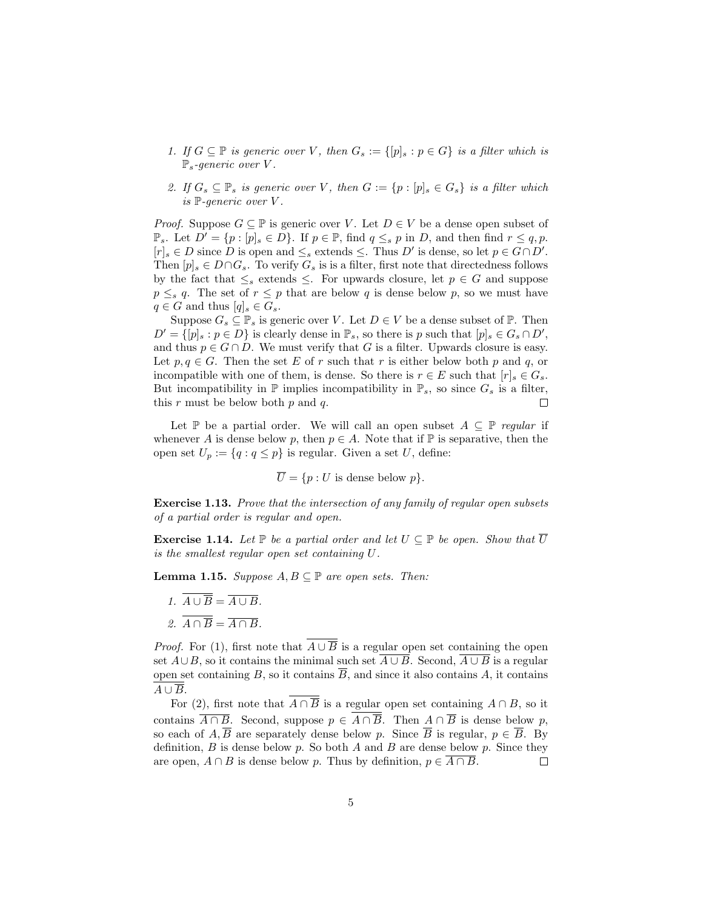- 1. If  $G \subseteq \mathbb{P}$  is generic over V, then  $G_s := \{[p]_s : p \in G\}$  is a filter which is  $\mathbb{P}_s$ -generic over V.
- 2. If  $G_s \subseteq \mathbb{P}_s$  is generic over V, then  $G := \{p : [p]_s \in G_s\}$  is a filter which is  $\mathbb{P}\text{-}generic over } V$ .

*Proof.* Suppose  $G \subseteq \mathbb{P}$  is generic over V. Let  $D \in V$  be a dense open subset of  $\mathbb{P}_s$ . Let  $D' = \{p : [p]_s \in D\}$ . If  $p \in \mathbb{P}$ , find  $q \leq_s p$  in D, and then find  $r \leq q, p$ .  $[r]_s \in D$  since D is open and  $\leq_s$  extends  $\leq$ . Thus D' is dense, so let  $p \in G \cap D'$ . Then  $[p]_s \in D \cap G_s$ . To verify  $G_s$  is is a filter, first note that directedness follows by the fact that  $\leq_s$  extends  $\leq$ . For upwards closure, let  $p \in G$  and suppose  $p \leq_s q$ . The set of  $r \leq p$  that are below q is dense below p, so we must have  $q \in G$  and thus  $[q]_s \in G_s$ .

Suppose  $G_s \subseteq \mathbb{P}_s$  is generic over V. Let  $D \in V$  be a dense subset of  $\mathbb{P}$ . Then  $D' = \{ [p]_s : p \in D \}$  is clearly dense in  $\mathbb{P}_s$ , so there is p such that  $[p]_s \in G_s \cap D'$ , and thus  $p \in G \cap D$ . We must verify that G is a filter. Upwards closure is easy. Let  $p, q \in G$ . Then the set E of r such that r is either below both p and q, or incompatible with one of them, is dense. So there is  $r \in E$  such that  $[r]_s \in G_s$ . But incompatibility in  $\mathbb P$  implies incompatibility in  $\mathbb P_s$ , so since  $G_s$  is a filter, this  $r$  must be below both  $p$  and  $q$ .

Let P be a partial order. We will call an open subset  $A \subseteq \mathbb{P}$  regular if whenever A is dense below p, then  $p \in A$ . Note that if  $\mathbb P$  is separative, then the open set  $U_p := \{q : q \leq p\}$  is regular. Given a set U, define:

 $\overline{U} = \{p : U \text{ is dense below } p\}.$ 

Exercise 1.13. Prove that the intersection of any family of regular open subsets of a partial order is regular and open.

**Exercise 1.14.** Let  $\mathbb P$  be a partial order and let  $U \subseteq \mathbb P$  be open. Show that  $\overline{U}$ is the smallest regular open set containing U.

**Lemma 1.15.** Suppose  $A, B \subseteq \mathbb{P}$  are open sets. Then:

1.  $\overline{A \cup \overline{B}} = \overline{A \cup B}$ . 2.  $\overline{A \cap \overline{B}} = \overline{A \cap B}$ .

*Proof.* For (1), first note that  $A \cup \overline{B}$  is a regular open set containing the open set  $A\cup B$ , so it contains the minimal such set  $\overline{A\cup B}$ . Second,  $\overline{A\cup B}$  is a regular open set containing B, so it contains  $\overline{B}$ , and since it also contains A, it contains  $A \cup \overline{B}$ .

For (2), first note that  $\overline{A \cap \overline{B}}$  is a regular open set containing  $A \cap B$ , so it contains  $\overline{A \cap B}$ . Second, suppose  $p \in \overline{A \cap \overline{B}}$ . Then  $A \cap \overline{B}$  is dense below p, so each of  $A, \overline{B}$  are separately dense below p. Since  $\overline{B}$  is regular,  $p \in \overline{B}$ . By definition,  $B$  is dense below p. So both A and B are dense below p. Since they are open,  $A \cap B$  is dense below p. Thus by definition,  $p \in \overline{A \cap B}$ .  $\Box$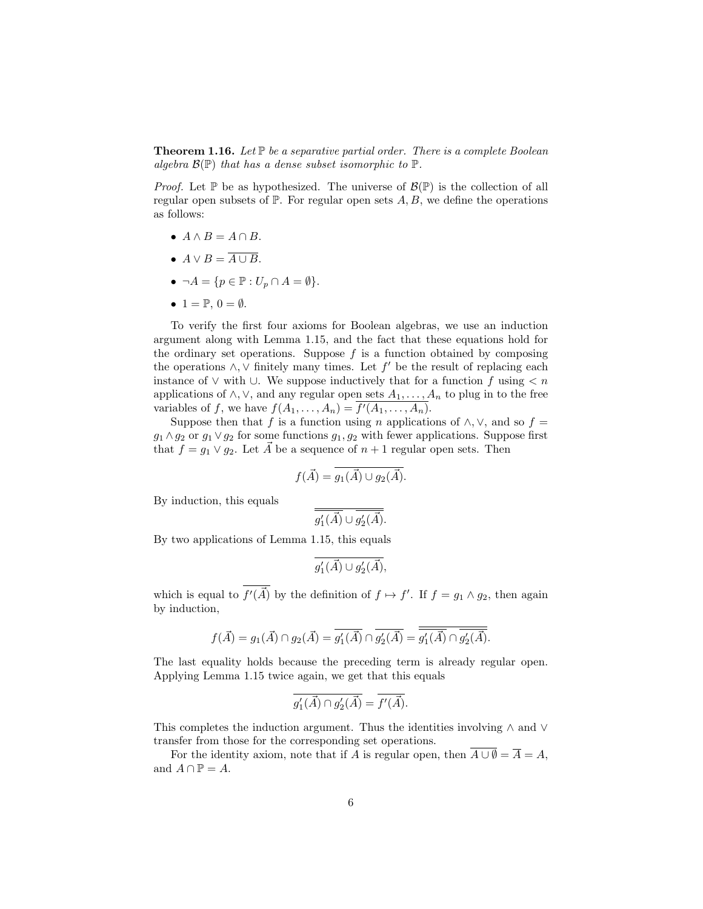**Theorem 1.16.** Let  $\mathbb{P}$  be a separative partial order. There is a complete Boolean algebra  $\mathcal{B}(\mathbb{P})$  that has a dense subset isomorphic to  $\mathbb{P}$ .

*Proof.* Let  $\mathbb P$  be as hypothesized. The universe of  $\mathcal B(\mathbb P)$  is the collection of all regular open subsets of  $\mathbb P$ . For regular open sets A, B, we define the operations as follows:

- $A \wedge B = A \cap B$ .
- $A \vee B = \overline{A \cup B}$ .
- $\neg A = \{p \in \mathbb{P} : U_p \cap A = \emptyset\}.$
- $1 = \mathbb{P}, 0 = \emptyset$ .

To verify the first four axioms for Boolean algebras, we use an induction argument along with Lemma 1.15, and the fact that these equations hold for the ordinary set operations. Suppose  $f$  is a function obtained by composing the operations  $\wedge$ ,  $\vee$  finitely many times. Let  $f'$  be the result of replacing each instance of  $\vee$  with  $\cup$ . We suppose inductively that for a function f using  $\lt n$ applications of  $\land$ ,  $\lor$ , and any regular open sets  $A_1, \ldots, A_n$  to plug in to the free variables of f, we have  $f(A_1, \ldots, A_n) = f'(A_1, \ldots, A_n)$ .

Suppose then that f is a function using n applications of  $\land$ ,  $\lor$ , and so f =  $g_1 \wedge g_2$  or  $g_1 \vee g_2$  for some functions  $g_1, g_2$  with fewer applications. Suppose first that  $f = g_1 \vee g_2$ . Let  $\vec{A}$  be a sequence of  $n + 1$  regular open sets. Then

$$
f(\vec{A}) = \overline{g_1(\vec{A}) \cup g_2(\vec{A})}.
$$

By induction, this equals

$$
\overline{g'_1(\vec{A})} \cup \overline{g'_2(\vec{A})}.
$$

By two applications of Lemma 1.15, this equals

$$
\overline{g'_1(\vec{A}) \cup g'_2(\vec{A})},
$$

which is equal to  $f'(\vec{A})$  by the definition of  $f \mapsto f'$ . If  $f = g_1 \wedge g_2$ , then again by induction,

$$
f(\vec{A}) = g_1(\vec{A}) \cap g_2(\vec{A}) = \overline{g'_1(\vec{A})} \cap \overline{g'_2(\vec{A})} = \overline{g'_1(\vec{A})} \cap \overline{g'_2(\vec{A})}.
$$

The last equality holds because the preceding term is already regular open. Applying Lemma 1.15 twice again, we get that this equals

$$
\overline{g'_1(\vec{A}) \cap g'_2(\vec{A})} = \overline{f'(\vec{A})}.
$$

This completes the induction argument. Thus the identities involving ∧ and ∨ transfer from those for the corresponding set operations.

For the identity axiom, note that if A is regular open, then  $\overline{A \cup \emptyset} = \overline{A} = A$ , and  $A \cap \mathbb{P} = A$ .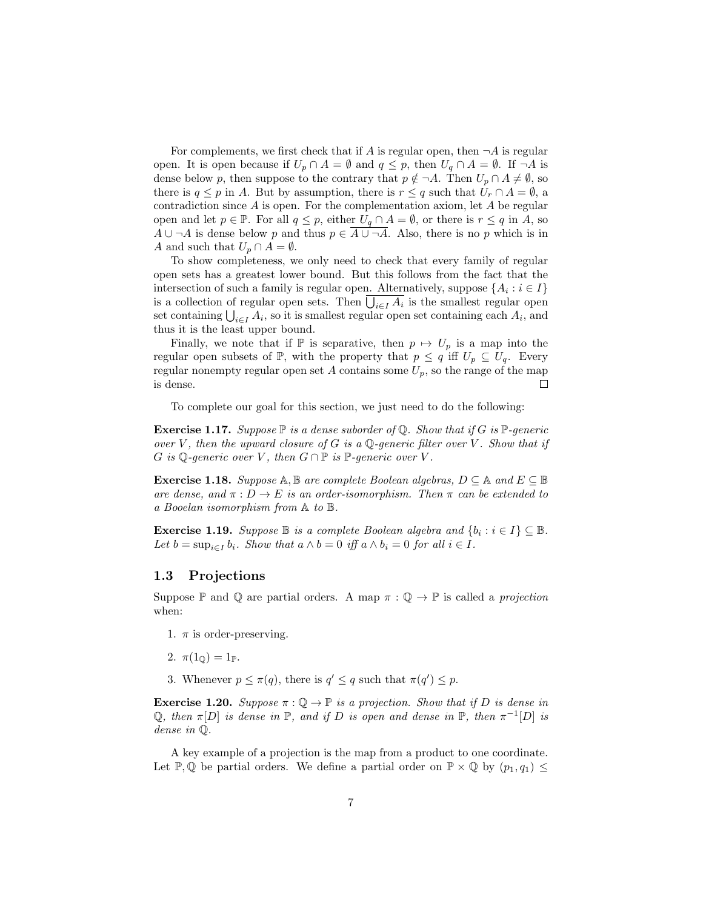For complements, we first check that if A is regular open, then  $\neg A$  is regular open. It is open because if  $U_p \cap A = \emptyset$  and  $q \leq p$ , then  $U_q \cap A = \emptyset$ . If  $\neg A$  is dense below p, then suppose to the contrary that  $p \notin \neg A$ . Then  $U_p \cap A \neq \emptyset$ , so there is  $q \leq p$  in A. But by assumption, there is  $r \leq q$  such that  $U_r \cap A = \emptyset$ , a contradiction since A is open. For the complementation axiom, let A be regular open and let  $p \in \mathbb{P}$ . For all  $q \leq p$ , either  $U_q \cap A = \emptyset$ , or there is  $r \leq q$  in A, so  $A \cup \neg A$  is dense below p and thus  $p \in \overline{A \cup \neg A}$ . Also, there is no p which is in A and such that  $U_p \cap A = \emptyset$ .

To show completeness, we only need to check that every family of regular open sets has a greatest lower bound. But this follows from the fact that the intersection of such a family is regular open. Alternatively, suppose  $\{A_i : i \in I\}$ is a collection of regular open sets. Then  $\bigcup_{i\in I} A_i$  is the smallest regular open set containing  $\bigcup_{i \in I} A_i$ , so it is smallest regular open set containing each  $A_i$ , and thus it is the least upper bound.

Finally, we note that if  $\mathbb P$  is separative, then  $p \mapsto U_p$  is a map into the regular open subsets of P, with the property that  $p \leq q$  iff  $U_p \subseteq U_q$ . Every regular nonempty regular open set A contains some  $U_p$ , so the range of the map is dense.  $\Box$ 

To complete our goal for this section, we just need to do the following:

**Exercise 1.17.** Suppose  $\mathbb{P}$  is a dense suborder of  $\mathbb{Q}$ . Show that if G is  $\mathbb{P}$ -generic over V, then the upward closure of G is a Q-generic filter over V. Show that if G is Q-generic over V, then  $G \cap \mathbb{P}$  is  $\mathbb{P}\text{-}generic over V$ .

Exercise 1.18. Suppose  $A, B$  are complete Boolean algebras,  $D \subseteq A$  and  $E \subseteq B$ are dense, and  $\pi : D \to E$  is an order-isomorphism. Then  $\pi$  can be extended to a Booelan isomorphism from A to B.

**Exercise 1.19.** Suppose  $\mathbb{B}$  is a complete Boolean algebra and  $\{b_i : i \in I\} \subseteq \mathbb{B}$ . Let  $b = \sup_{i \in I} b_i$ . Show that  $a \wedge b = 0$  iff  $a \wedge b_i = 0$  for all  $i \in I$ .

### 1.3 Projections

Suppose P and Q are partial orders. A map  $\pi : \mathbb{Q} \to \mathbb{P}$  is called a projection when:

- 1.  $\pi$  is order-preserving.
- 2.  $\pi(1_{\mathbb{Q}}) = 1_{\mathbb{P}}$ .
- 3. Whenever  $p \leq \pi(q)$ , there is  $q' \leq q$  such that  $\pi(q') \leq p$ .

**Exercise 1.20.** Suppose  $\pi : \mathbb{Q} \to \mathbb{P}$  is a projection. Show that if D is dense in Q, then  $\pi[D]$  is dense in  $\mathbb P$ , and if D is open and dense in  $\mathbb P$ , then  $\pi^{-1}[D]$  is dense in Q.

A key example of a projection is the map from a product to one coordinate. Let P, Q be partial orders. We define a partial order on  $\mathbb{P} \times \mathbb{Q}$  by  $(p_1, q_1) \leq$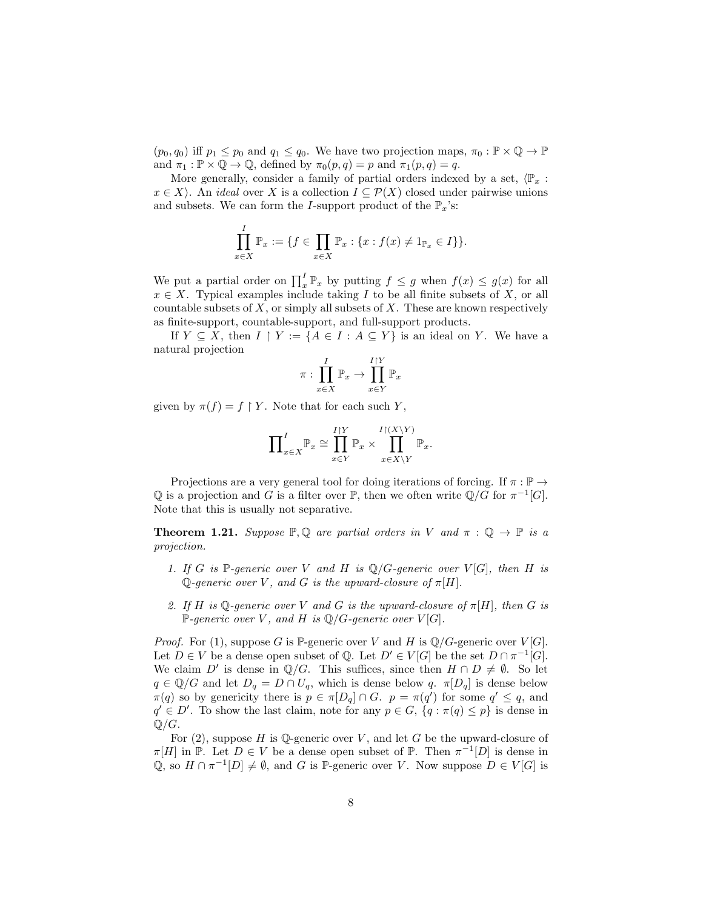$(p_0, q_0)$  iff  $p_1 \leq p_0$  and  $q_1 \leq q_0$ . We have two projection maps,  $\pi_0 : \mathbb{P} \times \mathbb{Q} \to \mathbb{P}$ and  $\pi_1 : \mathbb{P} \times \mathbb{Q} \to \mathbb{Q}$ , defined by  $\pi_0(p,q) = p$  and  $\pi_1(p,q) = q$ .

More generally, consider a family of partial orders indexed by a set,  $\langle \mathbb{P}_x :$  $x \in X$ . An *ideal* over X is a collection  $I \subseteq \mathcal{P}(X)$  closed under pairwise unions and subsets. We can form the *I*-support product of the  $\mathbb{P}_x$ 's:

$$
\prod_{x \in X}^{I} \mathbb{P}_x := \{ f \in \prod_{x \in X} \mathbb{P}_x : \{ x : f(x) \neq 1_{\mathbb{P}_x} \in I \} \}.
$$

We put a partial order on  $\prod_x^I \mathbb{P}_x$  by putting  $f \leq g$  when  $f(x) \leq g(x)$  for all  $x \in X$ . Typical examples include taking I to be all finite subsets of X, or all countable subsets of  $X$ , or simply all subsets of  $X$ . These are known respectively as finite-support, countable-support, and full-support products.

If  $Y \subseteq X$ , then  $I \upharpoonright Y := \{A \in I : A \subseteq Y\}$  is an ideal on Y. We have a natural projection

$$
\pi: \prod_{x \in X}^{I} \mathbb{P}_x \to \prod_{x \in Y}^{I \upharpoonright Y} \mathbb{P}_x
$$

given by  $\pi(f) = f \upharpoonright Y$ . Note that for each such Y,

$$
\prod\nolimits_{x \in X}^I \mathbb{P}_x \cong \prod\nolimits_{x \in Y}^{I \upharpoonright Y} \mathbb{P}_x \times \prod\nolimits_{x \in X \setminus Y}^{I \upharpoonright (X \setminus Y)} \mathbb{P}_x.
$$

Projections are a very general tool for doing iterations of forcing. If  $\pi : \mathbb{P} \to$ Q is a projection and G is a filter over  $\mathbb{P}$ , then we often write  $\mathbb{Q}/G$  for  $\pi^{-1}[G]$ . Note that this is usually not separative.

**Theorem 1.21.** Suppose  $\mathbb{P}, \mathbb{Q}$  are partial orders in V and  $\pi : \mathbb{Q} \to \mathbb{P}$  is a projection.

- 1. If G is P-generic over V and H is  $\mathbb{Q}/G$ -generic over  $V[G]$ , then H is Q-generic over V, and G is the upward-closure of  $\pi[H]$ .
- 2. If H is Q-generic over V and G is the upward-closure of  $\pi[H]$ , then G is  $\mathbb{P}\text{-}generic over V, and H is \mathbb{Q}/G\text{-}generic over V[G].$

*Proof.* For (1), suppose G is P-generic over V and H is  $\mathbb{Q}/G$ -generic over V[G]. Let  $D \in V$  be a dense open subset of Q. Let  $D' \in V[G]$  be the set  $D \cap \pi^{-1}[G]$ . We claim D' is dense in  $\mathbb{Q}/G$ . This suffices, since then  $H \cap D \neq \emptyset$ . So let  $q \in \mathbb{Q}/G$  and let  $D_q = D \cap U_q$ , which is dense below q.  $\pi[D_q]$  is dense below  $\pi(q)$  so by genericity there is  $p \in \pi[D_q] \cap G$ .  $p = \pi(q')$  for some  $q' \leq q$ , and  $q' \in D'$ . To show the last claim, note for any  $p \in G$ ,  $\{q : \pi(q) \leq p\}$  is dense in  $\mathbb{Q}/G$ .

For  $(2)$ , suppose H is Q-generic over V, and let G be the upward-closure of  $\pi[H]$  in  $\mathbb{P}$ . Let  $D \in V$  be a dense open subset of  $\mathbb{P}$ . Then  $\pi^{-1}[D]$  is dense in Q, so  $H \cap \pi^{-1}[D] \neq \emptyset$ , and G is P-generic over V. Now suppose  $D \in V[G]$  is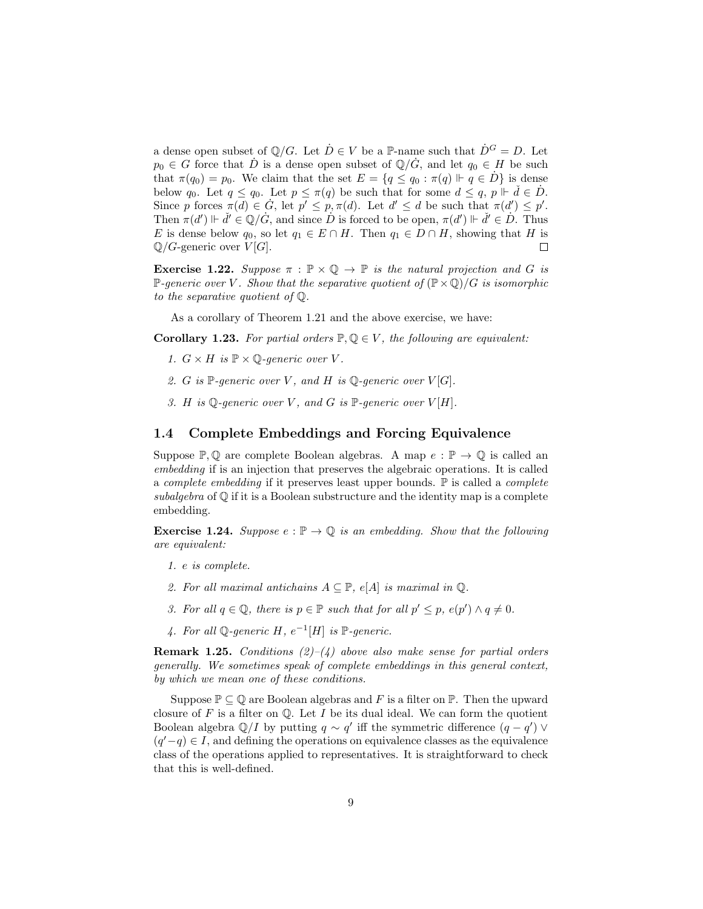a dense open subset of  $\mathbb{Q}/G$ . Let  $\dot{D} \in V$  be a P-name such that  $\dot{D}^G = D$ . Let  $p_0 \in G$  force that  $\dot{D}$  is a dense open subset of  $\mathbb{Q}/\dot{G}$ , and let  $q_0 \in H$  be such that  $\pi(q_0) = p_0$ . We claim that the set  $E = \{q \leq q_0 : \pi(q) \Vdash q \in D\}$  is dense below  $q_0$ . Let  $q \leq q_0$ . Let  $p \leq \pi(q)$  be such that for some  $d \leq q$ ,  $p \Vdash \check{d} \in \dot{D}$ . Since p forces  $\pi(d) \in \dot{G}$ , let  $p' \leq p, \pi(d)$ . Let  $d' \leq d$  be such that  $\pi(d') \leq p'$ . Then  $\pi(d') \Vdash \check{d}' \in \mathbb{Q}/G$ , and since  $\check{D}$  is forced to be open,  $\pi(d') \Vdash \check{d}' \in \check{D}$ . Thus E is dense below  $q_0$ , so let  $q_1 \in E \cap H$ . Then  $q_1 \in D \cap H$ , showing that H is  $\mathbb{Q}/G$ -generic over  $V[G]$ .  $\Box$ 

**Exercise 1.22.** Suppose  $\pi : \mathbb{P} \times \mathbb{Q} \rightarrow \mathbb{P}$  is the natural projection and G is P-generic over V. Show that the separative quotient of  $(\mathbb{P} \times \mathbb{Q})/G$  is isomorphic to the separative quotient of Q.

As a corollary of Theorem 1.21 and the above exercise, we have:

**Corollary 1.23.** For partial orders  $\mathbb{P}, \mathbb{Q} \in V$ , the following are equivalent:

- 1.  $G \times H$  is  $\mathbb{P} \times \mathbb{Q}$ -generic over V.
- 2. G is P-generic over V, and H is  $\mathbb Q$ -generic over  $V[G]$ .
- 3. H is  $\mathbb{Q}$ -generic over V, and G is  $\mathbb{P}$ -generic over  $V[H]$ .

### 1.4 Complete Embeddings and Forcing Equivalence

Suppose  $\mathbb{P}, \mathbb{Q}$  are complete Boolean algebras. A map  $e : \mathbb{P} \to \mathbb{Q}$  is called an embedding if is an injection that preserves the algebraic operations. It is called a *complete embedding* if it preserves least upper bounds.  $\mathbb{P}$  is called a *complete* subalgebra of  $\mathbb Q$  if it is a Boolean substructure and the identity map is a complete embedding.

**Exercise 1.24.** Suppose  $e : \mathbb{P} \to \mathbb{Q}$  is an embedding. Show that the following are equivalent:

- 1. e is complete.
- 2. For all maximal antichains  $A \subseteq \mathbb{P}$ ,  $e[A]$  is maximal in  $\mathbb{Q}$ .
- 3. For all  $q \in \mathbb{Q}$ , there is  $p \in \mathbb{P}$  such that for all  $p' \leq p$ ,  $e(p') \wedge q \neq 0$ .
- 4. For all Q-generic H,  $e^{-1}[H]$  is  $\mathbb P$ -generic.

**Remark 1.25.** Conditions  $(2)-(4)$  above also make sense for partial orders generally. We sometimes speak of complete embeddings in this general context, by which we mean one of these conditions.

Suppose  $\mathbb{P} \subseteq \mathbb{Q}$  are Boolean algebras and F is a filter on  $\mathbb{P}$ . Then the upward closure of  $F$  is a filter on  $\mathbb Q$ . Let  $I$  be its dual ideal. We can form the quotient Boolean algebra  $\mathbb{Q}/I$  by putting  $q \sim q'$  iff the symmetric difference  $(q - q')$   $\vee$  $(q'-q) \in I$ , and defining the operations on equivalence classes as the equivalence class of the operations applied to representatives. It is straightforward to check that this is well-defined.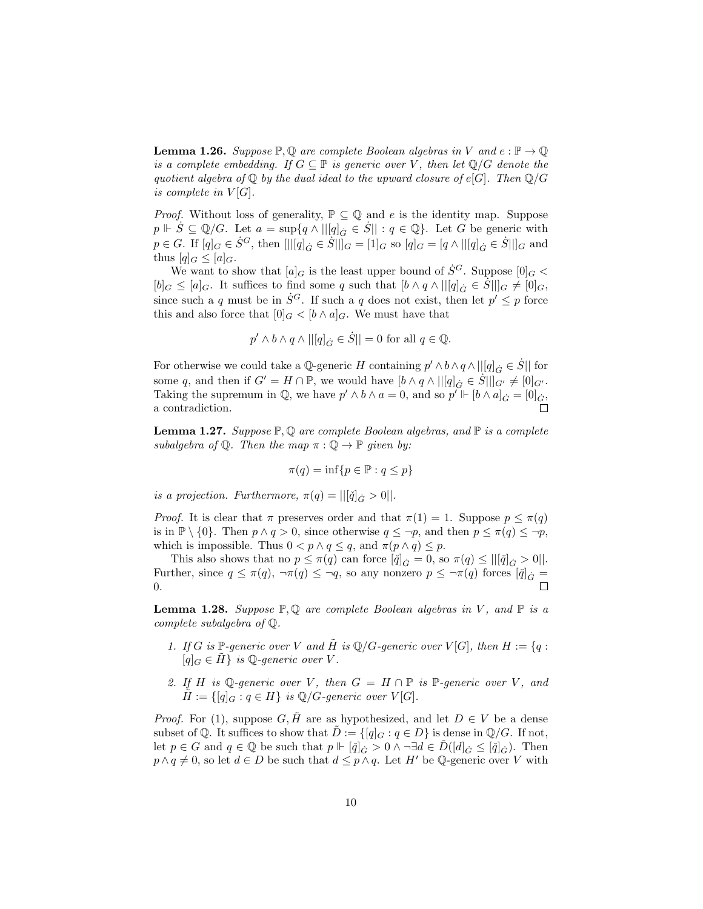**Lemma 1.26.** Suppose  $\mathbb{P}, \mathbb{Q}$  are complete Boolean algebras in V and  $e : \mathbb{P} \to \mathbb{Q}$ is a complete embedding. If  $G \subseteq \mathbb{P}$  is generic over V, then let  $\mathbb{Q}/G$  denote the quotient algebra of  $\mathbb Q$  by the dual ideal to the upward closure of e[G]. Then  $\mathbb Q/G$ is complete in  $V[G]$ .

*Proof.* Without loss of generality,  $\mathbb{P} \subseteq \mathbb{Q}$  and e is the identity map. Suppose  $p \Vdash \dot{S} \subseteq \mathbb{Q}/G$ . Let  $a = \sup\{q \wedge ||[q]_G \in \dot{S}|| : q \in \mathbb{Q}\}$ . Let G be generic with  $p \in G$ . If  $[q]_G \in \dot{S}^G$ , then  $[||[q]_{\dot{G}} \in \dot{S}||]_G = [1]_G$  so  $[q]_G = [q \wedge ||[q]_{\dot{G}} \in \dot{S}||]_G$  and thus  $[q]_G \leq [a]_G$ .

We want to show that  $[a]_G$  is the least upper bound of  $\dot{S}^G$ . Suppose  $[0]_G$  <  $[b]_G \leq [a]_G$ . It suffices to find some q such that  $[b \wedge q \wedge ||[q]_G \in S||]_G \neq [0]_G$ , since such a q must be in  $\dot{S}^G$ . If such a q does not exist, then let  $p' \leq p$  force this and also force that  $[0]_G < [b \wedge a]_G$ . We must have that

$$
p'\wedge b\wedge q\wedge ||[q]_{\dot G}\in \dot S||=0 \text{ for all } q\in {\mathbb Q}.
$$

For otherwise we could take a  $\mathbb{Q}$ -generic H containing  $p' \wedge b \wedge q \wedge ||[q]_{\dot{G}} \in \dot{S}||$  for some q, and then if  $G' = H \cap \mathbb{P}$ , we would have  $[b \wedge q \wedge ||[q]_G \in \dot{S}||]_{G'} \neq [0]_{G'}$ . Taking the supremum in  $\mathbb{Q}$ , we have  $p' \wedge b \wedge a = 0$ , and so  $p' \Vdash [b \wedge a]_{\dot{G}} = [0]_{\dot{G}}$ , a contradiction.

**Lemma 1.27.** Suppose  $\mathbb{P}, \mathbb{Q}$  are complete Boolean algebras, and  $\mathbb{P}$  is a complete subalgebra of  $\mathbb Q$ . Then the map  $\pi : \mathbb Q \to \mathbb P$  given by:

$$
\pi(q) = \inf\{p \in \mathbb{P} : q \le p\}
$$

is a projection. Furthermore,  $\pi(q) = ||[\check{q}]_{\dot{G}} > 0||$ .

*Proof.* It is clear that  $\pi$  preserves order and that  $\pi(1) = 1$ . Suppose  $p \leq \pi(q)$ is in  $\mathbb{P} \setminus \{0\}$ . Then  $p \wedge q > 0$ , since otherwise  $q \leq \neg p$ , and then  $p \leq \pi(q) \leq \neg p$ , which is impossible. Thus  $0 < p \wedge q \leq q$ , and  $\pi(p \wedge q) \leq p$ .

This also shows that no  $p \leq \pi(q)$  can force  $[\check{q}]_{\check{G}} = 0$ , so  $\pi(q) \leq ||[\check{q}]_{\check{G}} > 0||$ . Further, since  $q \leq \pi(q)$ ,  $\neg \pi(q) \leq \neg q$ , so any nonzero  $p \leq \neg \pi(q)$  forces  $[\check{q}]_{\check{G}} =$ 0.

**Lemma 1.28.** Suppose  $\mathbb{P}, \mathbb{Q}$  are complete Boolean algebras in V, and  $\mathbb{P}$  is a complete subalgebra of Q.

- 1. If G is P-generic over V and  $\tilde{H}$  is  $\mathbb{Q}/G$ -generic over  $V[G]$ , then  $H := \{q :$  $[q]_G \in H$  is Q-generic over V.
- 2. If H is Q-generic over V, then  $G = H \cap \mathbb{P}$  is  $\mathbb{P}\text{-}generic over V$ , and  $\tilde{H} := \{ [q]_G : q \in H \}$  is  $\mathbb{Q}/G$ -generic over  $V[G]$ .

*Proof.* For (1), suppose  $G, \tilde{H}$  are as hypothesized, and let  $D \in V$  be a dense subset of Q. It suffices to show that  $D := \{[q]_G : q \in D\}$  is dense in  $\mathbb{Q}/G$ . If not, let  $p \in G$  and  $q \in \mathbb{Q}$  be such that  $p \Vdash [\check{q}]_{\check{G}} > 0 \land \neg \exists d \in D([d]_{\check{G}} \leq [\check{q}]_{\check{G}})$ . Then  $p \wedge q \neq 0$ , so let  $d \in D$  be such that  $d \leq p \wedge q$ . Let H' be Q-generic over V with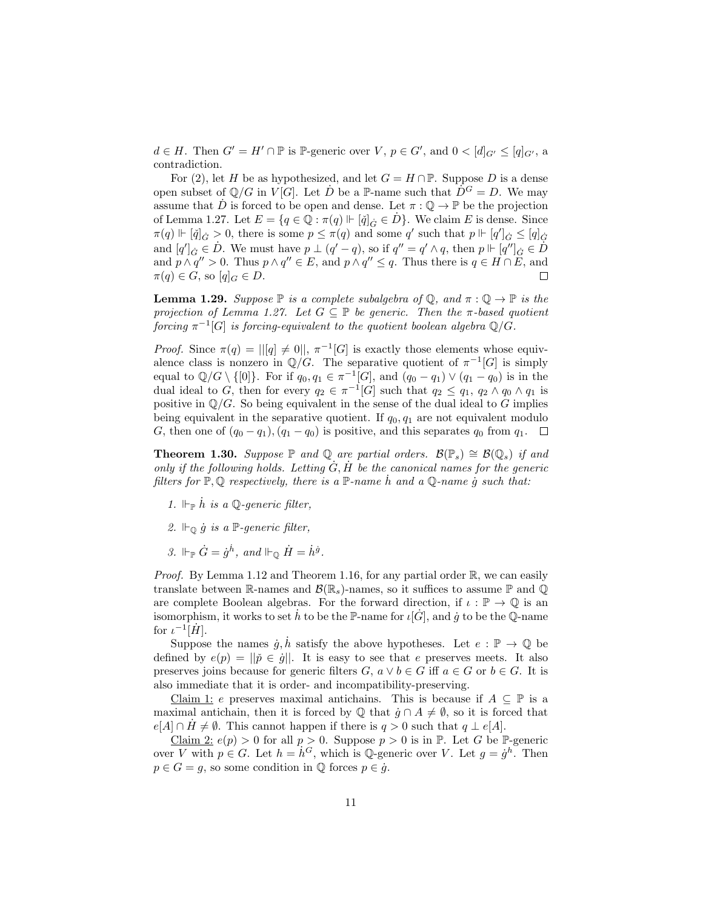$d \in H$ . Then  $G' = H' \cap \mathbb{P}$  is  $\mathbb{P}$ -generic over  $V, p \in G'$ , and  $0 < [d]_{G'} \leq [q]_{G'}$ , a contradiction.

For (2), let H be as hypothesized, and let  $G = H \cap \mathbb{P}$ . Suppose D is a dense open subset of  $\mathbb{Q}/G$  in  $V[G]$ . Let D be a P-name such that  $D^G = D$ . We may assume that  $\dot{D}$  is forced to be open and dense. Let  $\pi: \mathbb{Q} \to \mathbb{P}$  be the projection of Lemma 1.27. Let  $E = \{q \in \mathbb{Q} : \pi(q) \Vdash [\check{q}]_{\check{G}} \in D\}$ . We claim E is dense. Since  $\pi(q) \Vdash [\check{q}]_G > 0$ , there is some  $p \leq \pi(q)$  and some q' such that  $p \Vdash [q']_G \leq [q]_G$ and  $[q']_{\dot{G}} \in \dot{D}$ . We must have  $p \perp (q'-q)$ , so if  $q'' = q' \wedge q$ , then  $p \Vdash [q'']_{\dot{G}} \in \dot{D}$ and  $p \wedge q'' > 0$ . Thus  $p \wedge q'' \in E$ , and  $p \wedge q'' \leq q$ . Thus there is  $q \in H \cap \overline{E}$ , and  $\pi(q) \in G$ , so  $[q]_G \in D$ .  $\Box$ 

**Lemma 1.29.** Suppose  $\mathbb P$  is a complete subalgebra of  $\mathbb Q$ , and  $\pi : \mathbb Q \to \mathbb P$  is the projection of Lemma 1.27. Let  $G \subseteq \mathbb{P}$  be generic. Then the  $\pi$ -based quotient  $f\!or\!i$ ng  $\pi^{-1}[G]$  is forcing-equivalent to the quotient boolean algebra  $\mathbb{Q}/G$ .

*Proof.* Since  $\pi(q) = ||[q] \neq 0||$ ,  $\pi^{-1}[G]$  is exactly those elements whose equivalence class is nonzero in  $\mathbb{Q}/G$ . The separative quotient of  $\pi^{-1}[G]$  is simply equal to  $\mathbb{Q}/G \setminus \{[0]\}$ . For if  $q_0, q_1 \in \pi^{-1}[G]$ , and  $(q_0 - q_1) \vee (q_1 - q_0)$  is in the dual ideal to G, then for every  $q_2 \in \pi^{-1}[G]$  such that  $q_2 \leq q_1, q_2 \wedge q_0 \wedge q_1$  is positive in  $\mathbb{Q}/G$ . So being equivalent in the sense of the dual ideal to G implies being equivalent in the separative quotient. If  $q_0, q_1$  are not equivalent modulo G, then one of  $(q_0 - q_1)$ ,  $(q_1 - q_0)$  is positive, and this separates  $q_0$  from  $q_1$ .  $\Box$ 

**Theorem 1.30.** Suppose  $\mathbb P$  and  $\mathbb Q$  are partial orders.  $\mathcal B(\mathbb P_s) \cong \mathcal B(\mathbb Q_s)$  if and only if the following holds. Letting  $\ddot{G}$ ,  $\ddot{H}$  be the canonical names for the generic filters for  $\mathbb{P}, \mathbb{Q}$  respectively, there is a  $\mathbb{P}$ -name h and a  $\mathbb{Q}$ -name q such that:

- 1.  $\Vdash_{\mathbb{P}} \dot{h}$  is a Q-generic filter,
- 2.  $\Vdash_{\mathbb{Q}} \dot{g}$  is a  $\mathbb{P}\text{-}generic filter$ ,
- 3.  $\Vdash_{\mathbb{P}} \dot{G} = \dot{g}^{\dot{h}}, \text{ and } \Vdash_{\mathbb{Q}} \dot{H} = \dot{h}^{\dot{g}}.$

*Proof.* By Lemma 1.12 and Theorem 1.16, for any partial order  $\mathbb{R}$ , we can easily translate between R-names and  $\mathcal{B}(\mathbb{R}_s)$ -names, so it suffices to assume P and Q are complete Boolean algebras. For the forward direction, if  $\iota : \mathbb{P} \to \mathbb{Q}$  is an isomorphism, it works to set h to be the P-name for  $\iota[\dot{G}]$ , and g to be the Q-name for  $\iota^{-1}[\dot{H}].$ 

Suppose the names  $\dot{g}, \dot{h}$  satisfy the above hypotheses. Let  $e : \mathbb{P} \to \mathbb{Q}$  be defined by  $e(p) = ||\tilde{p} \in \dot{g}||$ . It is easy to see that e preserves meets. It also preserves joins because for generic filters  $G, a \vee b \in G$  iff  $a \in G$  or  $b \in G$ . It is also immediate that it is order- and incompatibility-preserving.

Claim 1: e preserves maximal antichains. This is because if  $A \subseteq \mathbb{P}$  is a maximal antichain, then it is forced by  $\mathbb Q$  that  $\dot{g} \cap A \neq \emptyset$ , so it is forced that  $e[A] \cap H \neq \emptyset$ . This cannot happen if there is  $q > 0$  such that  $q \perp e[A]$ .

Claim 2:  $e(p) > 0$  for all  $p > 0$ . Suppose  $p > 0$  is in  $\mathbb{P}$ . Let G be  $\mathbb{P}$ -generic over V with  $p \in G$ . Let  $h = h^G$ , which is Q-generic over V. Let  $g = g^h$ . Then  $p \in G = g$ , so some condition in  $\mathbb Q$  forces  $p \in \dot{g}$ .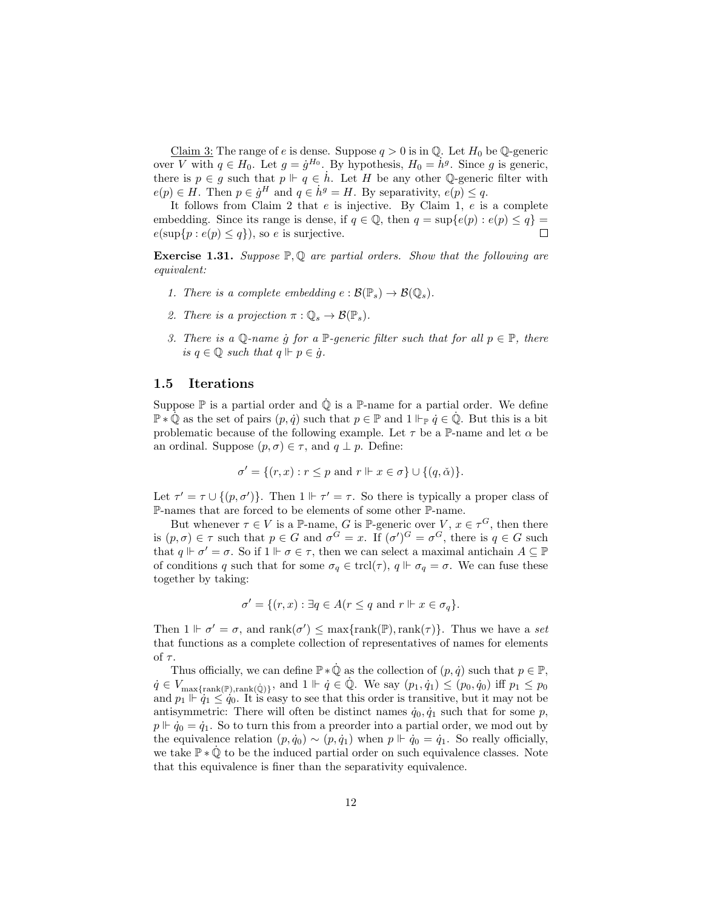Claim 3: The range of e is dense. Suppose  $q > 0$  is in Q. Let  $H_0$  be Q-generic over V with  $q \in H_0$ . Let  $g = \dot{g}^{H_0}$ . By hypothesis,  $H_0 = \dot{h}^g$ . Since g is generic, there is  $p \in g$  such that  $p \Vdash q \in \dot{h}$ . Let H be any other Q-generic filter with  $e(p) \in H$ . Then  $p \in \dot{g}^H$  and  $q \in \dot{h}^g = H$ . By separativity,  $e(p) \leq q$ .

It follows from Claim 2 that  $e$  is injective. By Claim 1,  $e$  is a complete embedding. Since its range is dense, if  $q \in \mathbb{Q}$ , then  $q = \sup\{e(p) : e(p) \leq q\}$  $e(\sup\{p : e(p) \leq q\})$ , so e is surjective.  $\Box$ 

**Exercise 1.31.** Suppose  $\mathbb{P}, \mathbb{Q}$  are partial orders. Show that the following are equivalent:

- 1. There is a complete embedding  $e : \mathcal{B}(\mathbb{P}_s) \to \mathcal{B}(\mathbb{Q}_s)$ .
- 2. There is a projection  $\pi : \mathbb{Q}_s \to \mathcal{B}(\mathbb{P}_s)$ .
- 3. There is a  $\mathbb{Q}$ -name g for a  $\mathbb{P}$ -generic filter such that for all  $p \in \mathbb{P}$ , there is  $q \in \mathbb{Q}$  such that  $q \Vdash p \in \dot{q}$ .

### 1.5 Iterations

Suppose  $\mathbb P$  is a partial order and  $\dot{\mathbb Q}$  is a  $\mathbb P$ -name for a partial order. We define  $\mathbb{P} * \mathbb{Q}$  as the set of pairs  $(p, \dot{q})$  such that  $p \in \mathbb{P}$  and  $1 \Vdash_{\mathbb{P}} \dot{q} \in \mathbb{Q}$ . But this is a bit problematic because of the following example. Let  $\tau$  be a P-name and let  $\alpha$  be an ordinal. Suppose  $(p, \sigma) \in \tau$ , and  $q \perp p$ . Define:

$$
\sigma' = \{(r, x) : r \le p \text{ and } r \Vdash x \in \sigma\} \cup \{(q, \check{\alpha})\}.
$$

Let  $\tau' = \tau \cup \{(p, \sigma')\}$ . Then  $1 \Vdash \tau' = \tau$ . So there is typically a proper class of P-names that are forced to be elements of some other P-name.

But whenever  $\tau \in V$  is a P-name, G is P-generic over  $V, x \in \tau^G$ , then there is  $(p, \sigma) \in \tau$  such that  $p \in G$  and  $\sigma^G = x$ . If  $(\sigma')^G = \sigma^G$ , there is  $q \in G$  such that  $q \Vdash \sigma' = \sigma$ . So if  $1 \Vdash \sigma \in \tau$ , then we can select a maximal antichain  $A \subseteq \mathbb{P}$ of conditions q such that for some  $\sigma_q \in \text{trcl}(\tau)$ ,  $q \Vdash \sigma_q = \sigma$ . We can fuse these together by taking:

$$
\sigma' = \{(r, x) : \exists q \in A (r \le q \text{ and } r \Vdash x \in \sigma_q\}.
$$

Then  $1 \Vdash \sigma' = \sigma$ , and rank $(\sigma') \leq \max\{\text{rank}(\mathbb{P}), \text{rank}(\tau)\}\$ . Thus we have a set that functions as a complete collection of representatives of names for elements of  $\tau$ .

Thus officially, we can define  $\mathbb{P} * \mathbb{Q}$  as the collection of  $(p, \dot{q})$  such that  $p \in \mathbb{P}$ ,  $q \in V_{\text{max} {\text{rank}(\mathbb{P}), \text{rank}(\mathbb{Q})}}$ , and  $1 \Vdash \dot{q} \in \mathbb{Q}$ . We say  $(p_1, \dot{q}_1) \leq (p_0, \dot{q}_0)$  iff  $p_1 \leq p_0$ and  $p_1 \Vdash \dot{q}_1 \leq \dot{q}_0$ . It is easy to see that this order is transitive, but it may not be antisymmetric: There will often be distinct names  $\dot{q}_0, \dot{q}_1$  such that for some p,  $p \Vdash \dot{q}_0 = \dot{q}_1$ . So to turn this from a preorder into a partial order, we mod out by the equivalence relation  $(p, \dot{q}_0) \sim (p, \dot{q}_1)$  when  $p \Vdash \dot{q}_0 = \dot{q}_1$ . So really officially, we take  $\mathbb{P} \ast \mathbb{Q}$  to be the induced partial order on such equivalence classes. Note that this equivalence is finer than the separativity equivalence.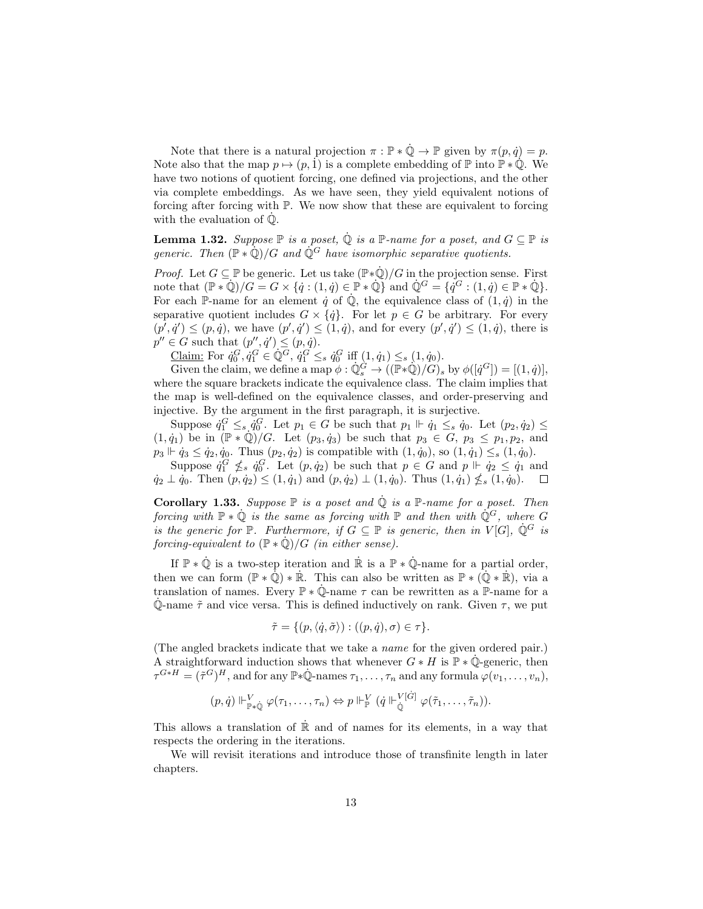Note that there is a natural projection  $\pi : \mathbb{P} * \dot{\mathbb{Q}} \to \mathbb{P}$  given by  $\pi(p, \dot{q}) = p$ . Note also that the map  $p \mapsto (p, 1)$  is a complete embedding of  $\mathbb P$  into  $\mathbb P * \mathbb Q$ . We have two notions of quotient forcing, one defined via projections, and the other via complete embeddings. As we have seen, they yield equivalent notions of forcing after forcing with P. We now show that these are equivalent to forcing with the evaluation of  $\dot{\mathbb{Q}}$ .

**Lemma 1.32.** Suppose  $\mathbb P$  is a poset,  $\dot{\mathbb Q}$  is a  $\mathbb P$ -name for a poset, and  $G \subseteq \mathbb P$  is generic. Then  $(\mathbb{P} * \dot{\mathbb{Q}})/G$  and  $\dot{\mathbb{Q}}^G$  have isomorphic separative quotients.

*Proof.* Let  $G \subseteq \mathbb{P}$  be generic. Let us take  $(\mathbb{P} * \mathbb{Q})/G$  in the projection sense. First note that  $(\mathbb{P} * \mathbb{Q})/G = G \times \{q : (1,q) \in \mathbb{P} * \mathbb{Q}\}\$  and  $\mathbb{Q}^G = \{q^G : (1,q) \in \mathbb{P} * \mathbb{Q}\}.$ For each P-name for an element  $\dot{q}$  of  $\dot{Q}$ , the equivalence class of  $(1, \dot{q})$  in the separative quotient includes  $G \times {\{\dot{q}\}}$ . For let  $p \in G$  be arbitrary. For every  $(p', \dot{q}') \leq (p, \dot{q})$ , we have  $(p', \dot{q}') \leq (1, \dot{q})$ , and for every  $(p', \dot{q}') \leq (1, \dot{q})$ , there is  $p'' \in G$  such that  $(p'', \dot{q}') \leq (p, \dot{q}).$ 

Claim: For  $\dot{q}_0^G, \dot{q}_1^G \in \mathbb{Q}^G$ ,  $\dot{q}_1^G \leq_s \dot{q}_0^G$  iff  $(1, \dot{q}_1) \leq_s (1, \dot{q}_0)$ .

Given the claim, we define a map  $\phi : \mathbb{Q}_s^{\dot{G}} \to ((\mathbb{P} * \mathbb{Q})/G)_s$  by  $\phi([q^G]) = [(1, q)],$ where the square brackets indicate the equivalence class. The claim implies that the map is well-defined on the equivalence classes, and order-preserving and injective. By the argument in the first paragraph, it is surjective.

Suppose  $\dot{q}_1^G \leq_s \dot{q}_0^G$ . Let  $p_1 \in G$  be such that  $p_1 \Vdash \dot{q}_1 \leq_s \dot{q}_0$ . Let  $(p_2, \dot{q}_2) \leq$  $(1, \dot{q}_1)$  be in  $(\mathbb{P} * \dot{\mathbb{Q}})/G$ . Let  $(p_3, \dot{q}_3)$  be such that  $p_3 \in G$ ,  $p_3 \leq p_1, p_2$ , and  $p_3 \Vdash \dot{q}_3 \leq \dot{q}_2, \dot{q}_0$ . Thus  $(p_2, \dot{q}_2)$  is compatible with  $(1, \dot{q}_0)$ , so  $(1, \dot{q}_1) \leq_s (1, \dot{q}_0)$ .

Suppose  $\dot{q}_1^G \nleq_s \dot{q}_0^G$ . Let  $(p, \dot{q}_2)$  be such that  $p \in G$  and  $p \Vdash \dot{q}_2 \leq \dot{q}_1$  and  $\dot{q}_2 \perp \dot{q}_0$ . Then  $(p, \dot{q}_2) \leq (1, \dot{q}_1)$  and  $(p, \dot{q}_2) \perp (1, \dot{q}_0)$ . Thus  $(1, \dot{q}_1) \nleq_s (1, \dot{q}_0)$ .

Corollary 1.33. Suppose  $\mathbb P$  is a poset and  $\dot{\mathbb Q}$  is a  $\mathbb P$ -name for a poset. Then forcing with  $\mathbb{P} * \dot{\mathbb{Q}}$  is the same as forcing with  $\mathbb{P}$  and then with  $\dot{\mathbb{Q}}^G$ , where G is the generic for  $\mathbb P$ . Furthermore, if  $G \subseteq \mathbb P$  is generic, then in  $V[G], \dot{\mathbb Q}^G$  is forcing-equivalent to  $(\mathbb{P} * \dot{\mathbb{Q}})/G$  (in either sense).

If  $\mathbb{P} * \dot{\mathbb{Q}}$  is a two-step iteration and  $\dot{\mathbb{R}}$  is a  $\mathbb{P} * \dot{\mathbb{Q}}$ -name for a partial order, then we can form  $(\mathbb{P} * \mathbb{Q}) * \mathbb{R}$ . This can also be written as  $\mathbb{P} * (\mathbb{Q} * \mathbb{R})$ , via a translation of names. Every  $\mathbb{P} * \dot{\mathbb{Q}}$ -name  $\tau$  can be rewritten as a  $\mathbb{P}$ -name for a  $\dot{\mathbb{Q}}$ -name  $\tilde{\tau}$  and vice versa. This is defined inductively on rank. Given  $\tau$ , we put

$$
\tilde{\tau} = \{ (p, \langle \dot{q}, \tilde{\sigma} \rangle) : ((p, \dot{q}), \sigma) \in \tau \}.
$$

(The angled brackets indicate that we take a name for the given ordered pair.) A straightforward induction shows that whenever  $G * H$  is  $\mathbb{P} * \dot{\mathbb{Q}}$ -generic, then  $\tau^{G*H} = (\tilde{\tau}^G)^H$ , and for any  $\mathbb{P}*\dot{\mathbb{Q}}$ -names  $\tau_1, \ldots, \tau_n$  and any formula  $\varphi(v_1, \ldots, v_n)$ ,

$$
(p,\dot{q}) \Vdash^V_{\mathbb{P} * \dot{\mathbb{Q}}} \varphi(\tau_1,\ldots,\tau_n) \Leftrightarrow p \Vdash^V_{\mathbb{P}} (\dot{q} \Vdash^V_{\dot{\mathbb{Q}}} \varphi(\tilde{\tau}_1,\ldots,\tilde{\tau}_n)).
$$

This allows a translation of  $\mathbb R$  and of names for its elements, in a way that respects the ordering in the iterations.

We will revisit iterations and introduce those of transfinite length in later chapters.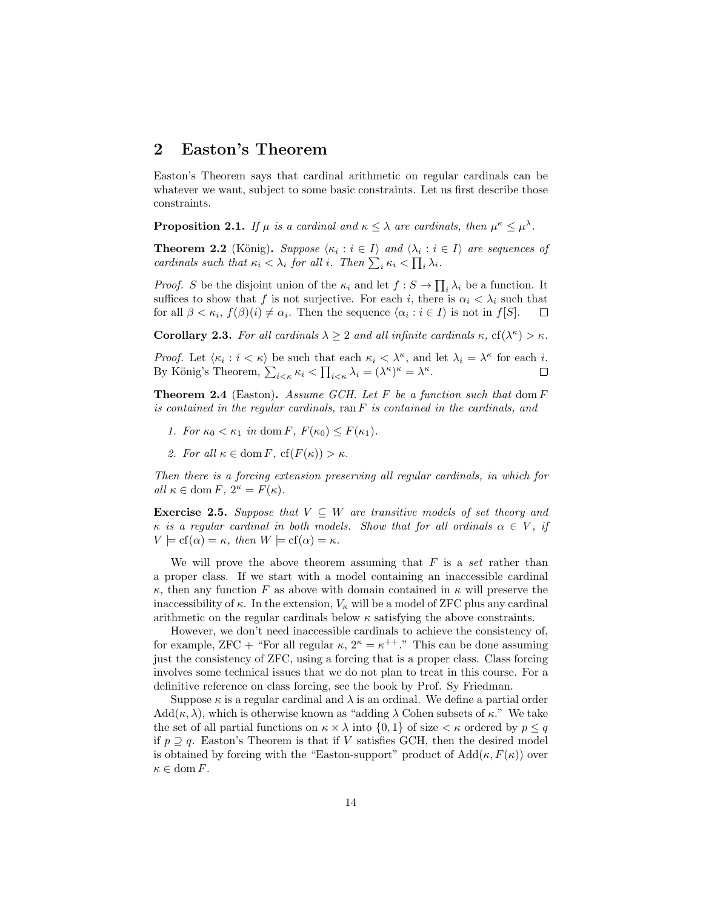# 2 Easton's Theorem

Easton's Theorem says that cardinal arithmetic on regular cardinals can be whatever we want, subject to some basic constraints. Let us first describe those constraints.

**Proposition 2.1.** If  $\mu$  is a cardinal and  $\kappa \leq \lambda$  are cardinals, then  $\mu^{\kappa} \leq \mu^{\lambda}$ .

**Theorem 2.2** (König). Suppose  $\langle \kappa_i : i \in I \rangle$  and  $\langle \lambda_i : i \in I \rangle$  are sequences of cardinals such that  $\kappa_i < \lambda_i$  for all i. Then  $\sum_i \kappa_i < \prod_i \lambda_i$ .

*Proof.* S be the disjoint union of the  $\kappa_i$  and let  $f : S \to \prod_i \lambda_i$  be a function. It suffices to show that f is not surjective. For each i, there is  $\alpha_i < \lambda_i$  such that for all  $\beta < \kappa_i$ ,  $f(\beta)(i) \neq \alpha_i$ . Then the sequence  $\langle \alpha_i : i \in I \rangle$  is not in  $f[S]$ .  $\Box$ 

Corollary 2.3. For all cardinals  $\lambda \geq 2$  and all infinite cardinals  $\kappa$ ,  $cf(\lambda^{\kappa}) > \kappa$ .

Proof. Let  $\langle \kappa_i : i < \kappa \rangle$  be such that each  $\kappa_i < \lambda^{\kappa}$ , and let  $\lambda_i = \lambda^{\kappa}$  for each i. By König's Theorem,  $\sum_{i \leq \kappa} \kappa_i \leq \prod_{i \leq \kappa} \lambda_i = (\lambda^{\kappa})^{\kappa} = \lambda^{\kappa}$ .  $\Box$ 

**Theorem 2.4** (Easton). Assume GCH. Let F be a function such that dom  $F$ is contained in the regular cardinals,  $\text{ran } F$  is contained in the cardinals, and

- 1. For  $\kappa_0 < \kappa_1$  in dom F,  $F(\kappa_0) \leq F(\kappa_1)$ .
- 2. For all  $\kappa \in \text{dom } F$ ,  $cf(F(\kappa)) > \kappa$ .

Then there is a forcing extension preserving all regular cardinals, in which for all  $\kappa \in \text{dom } F$ ,  $2^{\kappa} = F(\kappa)$ .

**Exercise 2.5.** Suppose that  $V \subseteq W$  are transitive models of set theory and  $\kappa$  is a regular cardinal in both models. Show that for all ordinals  $\alpha \in V$ , if  $V \models cf(\alpha) = \kappa$ , then  $W \models cf(\alpha) = \kappa$ .

We will prove the above theorem assuming that  $F$  is a set rather than a proper class. If we start with a model containing an inaccessible cardinal  $\kappa$ , then any function F as above with domain contained in  $\kappa$  will preserve the inaccessibility of  $\kappa$ . In the extension,  $V_{\kappa}$  will be a model of ZFC plus any cardinal arithmetic on the regular cardinals below  $\kappa$  satisfying the above constraints.

However, we don't need inaccessible cardinals to achieve the consistency of, for example,  $ZFC +$  "For all regular  $\kappa$ ,  $2^{\kappa} = \kappa^{++}$ ." This can be done assuming just the consistency of ZFC, using a forcing that is a proper class. Class forcing involves some technical issues that we do not plan to treat in this course. For a definitive reference on class forcing, see the book by Prof. Sy Friedman.

Suppose  $\kappa$  is a regular cardinal and  $\lambda$  is an ordinal. We define a partial order  $Add(\kappa, \lambda)$ , which is otherwise known as "adding  $\lambda$  Cohen subsets of  $\kappa$ ." We take the set of all partial functions on  $\kappa \times \lambda$  into  $\{0, 1\}$  of size  $\lt \kappa$  ordered by  $p \lt q$ if  $p \supset q$ . Easton's Theorem is that if V satisfies GCH, then the desired model is obtained by forcing with the "Easton-support" product of  $Add(\kappa, F(\kappa))$  over  $\kappa \in \text{dom } F$ .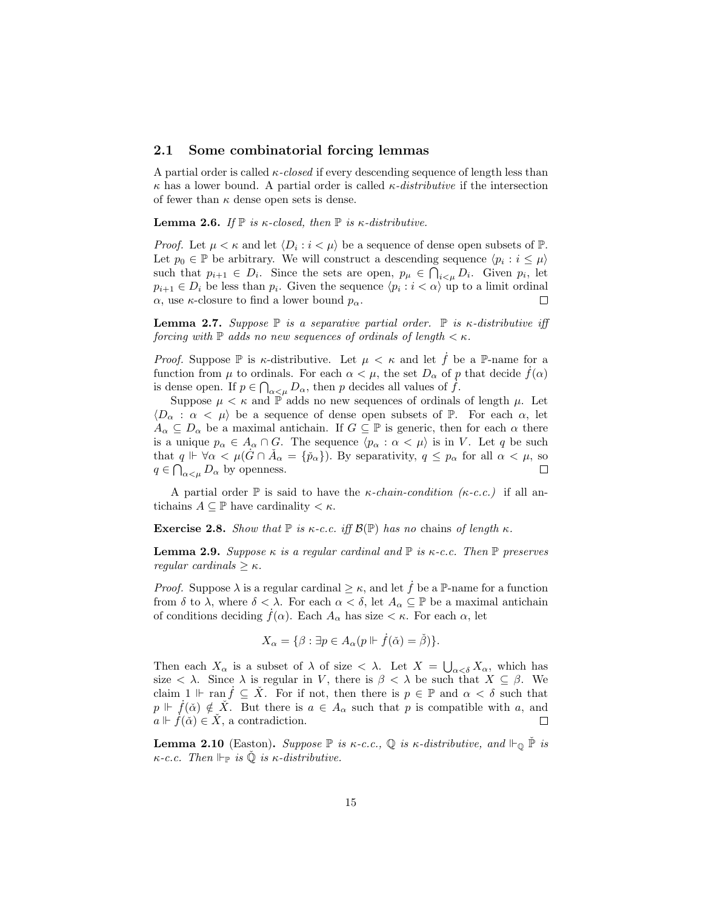### 2.1 Some combinatorial forcing lemmas

A partial order is called  $\kappa$ -closed if every descending sequence of length less than  $\kappa$  has a lower bound. A partial order is called  $\kappa$ -distributive if the intersection of fewer than  $\kappa$  dense open sets is dense.

**Lemma 2.6.** If  $\mathbb P$  is  $\kappa$ -closed, then  $\mathbb P$  is  $\kappa$ -distributive.

*Proof.* Let  $\mu < \kappa$  and let  $\langle D_i : i < \mu \rangle$  be a sequence of dense open subsets of  $\mathbb{P}$ . Let  $p_0 \in \mathbb{P}$  be arbitrary. We will construct a descending sequence  $\langle p_i : i \leq \mu \rangle$ such that  $p_{i+1} \in D_i$ . Since the sets are open,  $p_{\mu} \in \bigcap_{i \leq \mu} D_i$ . Given  $p_i$ , let  $p_{i+1} \in D_i$  be less than  $p_i$ . Given the sequence  $\langle p_i : i \langle \alpha \rangle$  up to a limit ordinal  $\alpha$ , use *κ*-closure to find a lower bound  $p_{\alpha}$ .  $\Box$ 

**Lemma 2.7.** Suppose  $\mathbb{P}$  is a separative partial order.  $\mathbb{P}$  is  $\kappa$ -distributive iff forcing with  $\mathbb P$  adds no new sequences of ordinals of length  $\lt \kappa$ .

*Proof.* Suppose  $\mathbb P$  is  $\kappa$ -distributive. Let  $\mu < \kappa$  and let f be a  $\mathbb P$ -name for a function from  $\mu$  to ordinals. For each  $\alpha < \mu$ , the set  $D_{\alpha}$  of p that decide  $f(\alpha)$ is dense open. If  $p \in \bigcap_{\alpha < \mu} D_{\alpha}$ , then p decides all values of  $\tilde{f}$ .

Suppose  $\mu < \kappa$  and P adds no new sequences of ordinals of length  $\mu$ . Let  $\langle D_{\alpha} : \alpha \langle \mu \rangle$  be a sequence of dense open subsets of P. For each  $\alpha$ , let  $A_{\alpha} \subseteq D_{\alpha}$  be a maximal antichain. If  $G \subseteq \mathbb{P}$  is generic, then for each  $\alpha$  there is a unique  $p_{\alpha} \in A_{\alpha} \cap G$ . The sequence  $\langle p_{\alpha} : \alpha < \mu \rangle$  is in V. Let q be such that  $q \Vdash \forall \alpha < \mu(\hat{G} \cap \check{A}_{\alpha} = {\{\check{p}_{\alpha}\}})$ . By separativity,  $q \leq p_{\alpha}$  for all  $\alpha < \mu$ , so  $q \in \bigcap_{\alpha < \mu} D_{\alpha}$  by openness.  $\Box$ 

A partial order  $\mathbb P$  is said to have the *κ*-chain-condition (*κ*-c.c.) if all antichains  $A \subseteq \mathbb{P}$  have cardinality  $\lt \kappa$ .

**Exercise 2.8.** Show that  $\mathbb{P}$  is  $\kappa$ -c.c. iff  $\mathcal{B}(\mathbb{P})$  has no chains of length  $\kappa$ .

**Lemma 2.9.** Suppose  $\kappa$  is a regular cardinal and  $\mathbb{P}$  is  $\kappa$ -c.c. Then  $\mathbb{P}$  preserves regular cardinals  $>\kappa$ .

*Proof.* Suppose  $\lambda$  is a regular cardinal  $\geq \kappa$ , and let f be a P-name for a function from  $\delta$  to  $\lambda$ , where  $\delta < \lambda$ . For each  $\alpha < \delta$ , let  $A_{\alpha} \subseteq \mathbb{P}$  be a maximal antichain of conditions deciding  $f(\alpha)$ . Each  $A_{\alpha}$  has size  $\lt \kappa$ . For each  $\alpha$ , let

$$
X_{\alpha} = \{ \beta : \exists p \in A_{\alpha}(p \Vdash \dot{f}(\check{\alpha}) = \check{\beta}) \}.
$$

Then each  $X_{\alpha}$  is a subset of  $\lambda$  of size  $\langle \lambda \rangle$ . Let  $X = \bigcup_{\alpha \leq \delta} X_{\alpha}$ , which has size  $\langle \lambda \rangle$ . Since  $\lambda$  is regular in V, there is  $\beta \langle \lambda \rangle$  be such that  $X \subseteq \beta$ . We claim  $1 \Vdash \text{ran } f \subseteq X$ . For if not, then there is  $p \in \mathbb{P}$  and  $\alpha < \delta$  such that  $p \Vdash \dot{f}(\check{\alpha}) \notin \check{X}$ . But there is  $a \in A_{\alpha}$  such that p is compatible with a, and  $a \Vdash f(\check{\alpha}) \in \check{X}$ , a contradiction.

**Lemma 2.10** (Easton). Suppose  $\mathbb P$  is  $\kappa$ -c.c.,  $\mathbb Q$  is  $\kappa$ -distributive, and  $\mathbb P_{\mathbb Q}$   $\mathbb P$  is  $\kappa$ -c.c. Then  $\Vdash_{\mathbb{P}}$  is  $\Diamond$  is  $\kappa$ -distributive.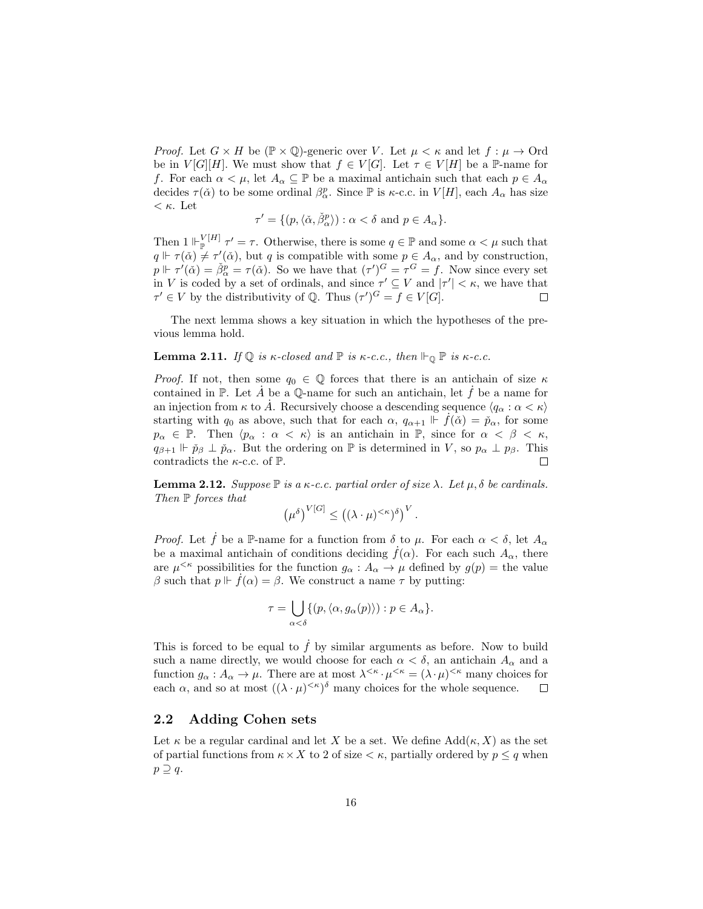*Proof.* Let  $G \times H$  be  $(\mathbb{P} \times \mathbb{Q})$ -generic over V. Let  $\mu \lt \kappa$  and let  $f : \mu \to \text{Ord}$ be in  $V[G][H]$ . We must show that  $f \in V[G]$ . Let  $\tau \in V[H]$  be a P-name for f. For each  $\alpha < \mu$ , let  $A_{\alpha} \subseteq \mathbb{P}$  be a maximal antichain such that each  $p \in A_{\alpha}$ decides  $\tau(\check{\alpha})$  to be some ordinal  $\beta^p_\alpha$ . Since  $\mathbb P$  is  $\kappa$ -c.c. in  $V[H]$ , each  $A_\alpha$  has size  $\langle \kappa$ . Let

$$
\tau' = \{ (p, \langle \check{\alpha}, \check{\beta}_{\alpha}^p \rangle) : \alpha < \delta \text{ and } p \in A_{\alpha} \}.
$$

Then  $1 \Vdash_{\mathbb{P}}^{\mathcal{V}[H]} \tau' = \tau$ . Otherwise, there is some  $q \in \mathbb{P}$  and some  $\alpha < \mu$  such that  $q \Vdash \tau(\check{\alpha}) \neq \tau'(\check{\alpha})$ , but q is compatible with some  $p \in A_{\alpha}$ , and by construction,  $p \Vdash \tau'(\check{\alpha}) = \check{\beta}^p_{\alpha} = \tau(\check{\alpha})$ . So we have that  $(\tau')^G = \tau^G = f$ . Now since every set in V is coded by a set of ordinals, and since  $\tau' \subseteq V$  and  $|\tau'| < \kappa$ , we have that  $\tau' \in V$  by the distributivity of Q. Thus  $(\tau')^G = f \in V[G]$ .  $\Box$ 

The next lemma shows a key situation in which the hypotheses of the previous lemma hold.

# **Lemma 2.11.** If  $\mathbb{Q}$  is  $\kappa$ -closed and  $\mathbb{P}$  is  $\kappa$ -c.c., then  $\mathbb{P}_{\mathbb{Q}} \mathbb{P}$  is  $\kappa$ -c.c.

*Proof.* If not, then some  $q_0 \in \mathbb{Q}$  forces that there is an antichain of size  $\kappa$ contained in P. Let A be a  $\mathbb Q$ -name for such an antichain, let f be a name for an injection from  $\kappa$  to  $\dot{A}$ . Recursively choose a descending sequence  $\langle q_\alpha : \alpha < \kappa \rangle$ starting with  $q_0$  as above, such that for each  $\alpha$ ,  $q_{\alpha+1} \Vdash f(\check{\alpha}) = \check{p}_{\alpha}$ , for some  $p_{\alpha} \in \mathbb{P}$ . Then  $\langle p_{\alpha} : \alpha < \kappa \rangle$  is an antichain in  $\mathbb{P}$ , since for  $\alpha < \beta < \kappa$ ,  $q_{\beta+1} \Vdash \check{p}_{\beta} \perp \check{p}_{\alpha}$ . But the ordering on  $\mathbb P$  is determined in V, so  $p_{\alpha} \perp p_{\beta}$ . This contradicts the  $\kappa$ -c.c. of  $\mathbb{P}$ .  $\Box$ 

**Lemma 2.12.** Suppose  $\mathbb P$  is a  $\kappa$ -c.c. partial order of size  $\lambda$ . Let  $\mu$ ,  $\delta$  be cardinals. Then  $\mathbb P$  forces that

$$
(\mu^{\delta})^{V[G]} \leq ((\lambda \cdot \mu)^{<\kappa})^{\delta})^V.
$$

*Proof.* Let f be a P-name for a function from  $\delta$  to  $\mu$ . For each  $\alpha < \delta$ , let  $A_{\alpha}$ be a maximal antichain of conditions deciding  $f(\alpha)$ . For each such  $A_{\alpha}$ , there are  $\mu^{<\kappa}$  possibilities for the function  $g_\alpha: A_\alpha \to \mu$  defined by  $g(p) =$  the value β such that  $p \Vdash \dot{f}(\alpha) = \beta$ . We construct a name  $\tau$  by putting:

$$
\tau = \bigcup_{\alpha < \delta} \{ (p, \langle \alpha, g_{\alpha}(p) \rangle) : p \in A_{\alpha} \}.
$$

This is forced to be equal to  $\hat{f}$  by similar arguments as before. Now to build such a name directly, we would choose for each  $\alpha < \delta$ , an antichain  $A_{\alpha}$  and a function  $g_{\alpha}: A_{\alpha} \to \mu$ . There are at most  $\lambda^{<\kappa} \cdot \mu^{<\kappa} = (\lambda \cdot \mu)^{<\kappa}$  many choices for each  $\alpha$ , and so at most  $((\lambda \cdot \mu)^{<\kappa})^{\delta}$  many choices for the whole sequence.  $\Box$ 

# 2.2 Adding Cohen sets

Let  $\kappa$  be a regular cardinal and let X be a set. We define  $Add(\kappa, X)$  as the set of partial functions from  $\kappa \times X$  to 2 of size  $\lt \kappa$ , partially ordered by  $p \leq q$  when  $p \supseteq q$ .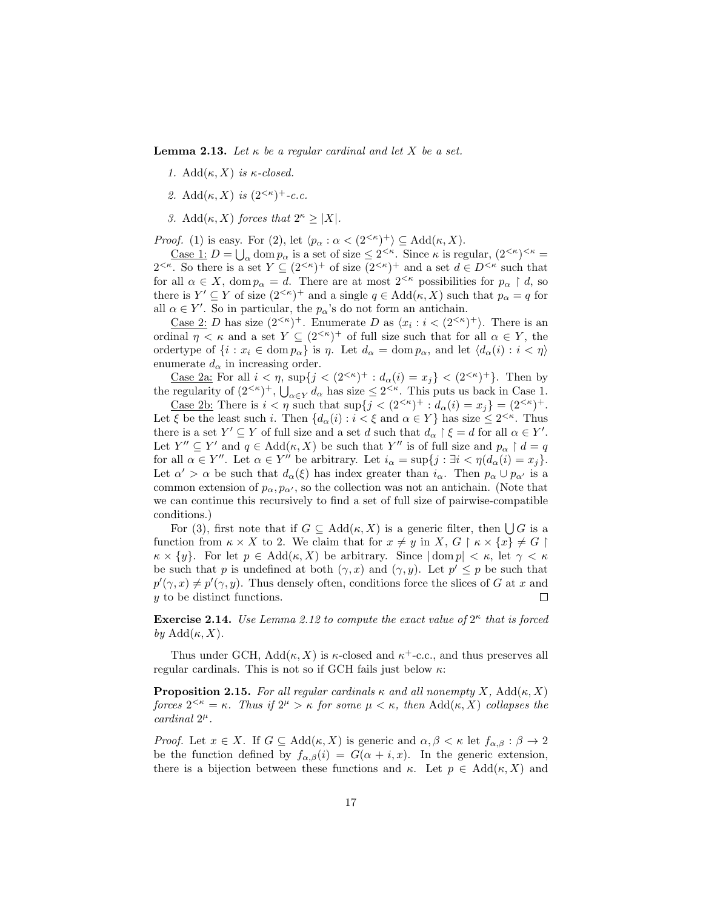**Lemma 2.13.** Let  $\kappa$  be a regular cardinal and let X be a set.

- 1.  $Add(\kappa, X)$  is  $\kappa$ -closed.
- 2. Add $(\kappa, X)$  is  $(2^{<\kappa})^+$ -c.c.
- 3. Add( $\kappa$ , X) forces that  $2^{\kappa} \geq |X|$ .

*Proof.* (1) is easy. For (2), let  $\langle p_{\alpha} : \alpha < (2^{<\kappa})^+ \rangle \subseteq \text{Add}(\kappa, X)$ .

<u>Case 1</u>:  $D = \bigcup_{\alpha} \text{dom } p_{\alpha}$  is a set of size  $\leq 2^{<\kappa}$ . Since  $\kappa$  is regular,  $(2^{<\kappa})^{<\kappa}$  $2^{<\kappa}$ . So there is a set  $Y \subseteq (2^{<\kappa})^+$  of size  $(2^{<\kappa})^+$  and a set  $d \in D^{<\kappa}$  such that for all  $\alpha \in X$ , dom  $p_{\alpha} = d$ . There are at most  $2^{< \kappa}$  possibilities for  $p_{\alpha} \restriction d$ , so there is  $Y' \subseteq Y$  of size  $(2^{< \kappa})^+$  and a single  $q \in \text{Add}(\kappa, X)$  such that  $p_\alpha = q$  for all  $\alpha \in Y'$ . So in particular, the  $p_{\alpha}$ 's do not form an antichain.

<u>Case 2</u>: *D* has size  $(2<sup>{k}</sup>)$ <sup>+</sup>. Enumerate *D* as  $\langle x_i : i < (2<sup>{k}</sup>)$ <sup>+</sup> $\rangle$ . There is an ordinal  $\eta < \kappa$  and a set  $Y \subseteq (2^{<\kappa})^+$  of full size such that for all  $\alpha \in Y$ , the ordertype of  $\{i : x_i \in \text{dom } p_\alpha\}$  is  $\eta$ . Let  $d_\alpha = \text{dom } p_\alpha$ , and let  $\langle d_\alpha(i) : i < \eta \rangle$ enumerate  $d_{\alpha}$  in increasing order.

<u>Case 2a:</u> For all  $i < \eta$ ,  $\sup\{j < (2^{<\kappa})^+ : d_\alpha(i) = x_j\} < (2^{<\kappa})^+$ . Then by the regularity of  $(2^{<\kappa})^+$ ,  $\bigcup_{\alpha \in Y} d_\alpha$  has size  $\leq 2^{<\kappa}$ . This puts us back in Case 1.

<u>Case 2b:</u> There is  $i < \eta$  such that  $\sup\{j < (2^{<\kappa})^+ : d_\alpha(i) = x_j\} = (2^{<\kappa})^+$ . Let  $\xi$  be the least such i. Then  $\{d_{\alpha}(i): i < \xi \text{ and } \alpha \in Y\}$  has size  $\leq 2^{<\kappa}$ . Thus there is a set  $Y' \subseteq Y$  of full size and a set d such that  $d_{\alpha} \restriction \xi = d$  for all  $\alpha \in Y'$ . Let  $Y'' \subseteq Y'$  and  $q \in Add(\kappa, X)$  be such that  $Y''$  is of full size and  $p_{\alpha} \restriction d = q$ for all  $\alpha \in Y''$ . Let  $\alpha \in Y''$  be arbitrary. Let  $i_{\alpha} = \sup\{j : \exists i < \eta (d_{\alpha}(i) = x_j\}.$ Let  $\alpha' > \alpha$  be such that  $d_{\alpha}(\xi)$  has index greater than  $i_{\alpha}$ . Then  $p_{\alpha} \cup p_{\alpha'}$  is a common extension of  $p_{\alpha}, p_{\alpha'}$ , so the collection was not an antichain. (Note that we can continue this recursively to find a set of full size of pairwise-compatible conditions.)

For (3), first note that if  $G \subseteq \text{Add}(\kappa, X)$  is a generic filter, then  $\bigcup G$  is a function from  $\kappa \times X$  to 2. We claim that for  $x \neq y$  in  $X, G \restriction \kappa \times \{x\} \neq G \restriction$  $\kappa \times \{y\}$ . For let  $p \in \text{Add}(\kappa, X)$  be arbitrary. Since  $|\text{dom } p| < \kappa$ , let  $\gamma < \kappa$ be such that p is undefined at both  $(\gamma, x)$  and  $(\gamma, y)$ . Let  $p' \leq p$  be such that  $p'(\gamma, x) \neq p'(\gamma, y)$ . Thus densely often, conditions force the slices of G at x and y to be distinct functions.  $\Box$ 

**Exercise 2.14.** Use Lemma 2.12 to compute the exact value of  $2^{\kappa}$  that is forced by  $\mathrm{Add}(\kappa, X)$ .

Thus under GCH,  $Add(\kappa, X)$  is  $\kappa$ -closed and  $\kappa^+$ -c.c., and thus preserves all regular cardinals. This is not so if GCH fails just below  $\kappa$ :

**Proposition 2.15.** For all regular cardinals  $\kappa$  and all nonempty X, Add( $\kappa$ , X) forces  $2^{<\kappa} = \kappa$ . Thus if  $2^{\mu} > \kappa$  for some  $\mu < \kappa$ , then Add $(\kappa, X)$  collapses the  $cardinal$   $2^{\mu}$ .

*Proof.* Let  $x \in X$ . If  $G \subseteq \text{Add}(\kappa, X)$  is generic and  $\alpha, \beta < \kappa$  let  $f_{\alpha, \beta} : \beta \to 2$ be the function defined by  $f_{\alpha,\beta}(i) = G(\alpha + i, x)$ . In the generic extension, there is a bijection between these functions and  $\kappa$ . Let  $p \in \text{Add}(\kappa, X)$  and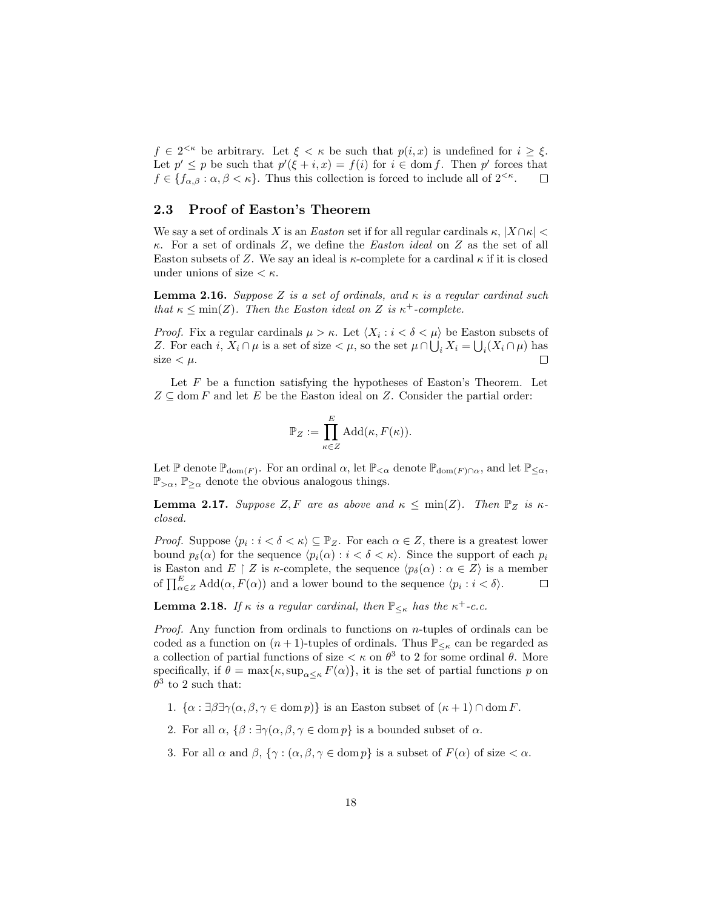$f \in 2^{<\kappa}$  be arbitrary. Let  $\xi < \kappa$  be such that  $p(i, x)$  is undefined for  $i \geq \xi$ . Let  $p' \leq p$  be such that  $p'(\xi + i, x) = f(i)$  for  $i \in \text{dom } f$ . Then p' forces that  $f \in \{f_{\alpha,\beta} : \alpha, \beta < \kappa\}.$  Thus this collection is forced to include all of  $2^{<\kappa}$ .  $\Box$ 

### 2.3 Proof of Easton's Theorem

We say a set of ordinals X is an Easton set if for all regular cardinals  $\kappa$ ,  $|X \cap \kappa|$  $\kappa$ . For a set of ordinals Z, we define the *Easton ideal* on Z as the set of all Easton subsets of Z. We say an ideal is  $\kappa$ -complete for a cardinal  $\kappa$  if it is closed under unions of size  $\lt \kappa$ .

**Lemma 2.16.** Suppose Z is a set of ordinals, and  $\kappa$  is a regular cardinal such that  $\kappa \leq \min(Z)$ . Then the Easton ideal on Z is  $\kappa^+$ -complete.

*Proof.* Fix a regular cardinals  $\mu > \kappa$ . Let  $\langle X_i : i < \delta < \mu \rangle$  be Easton subsets of Z. For each i,  $X_i \cap \mu$  is a set of size  $\lt \mu$ , so the set  $\mu \cap \bigcup_i X_i = \bigcup_i (X_i \cap \mu)$  has size  $< \mu$ .  $\Box$ 

Let  $F$  be a function satisfying the hypotheses of Easton's Theorem. Let  $Z \subseteq \text{dom } F$  and let E be the Easton ideal on Z. Consider the partial order:

$$
\mathbb{P}_Z := \prod_{\kappa \in Z}^E \text{Add}(\kappa, F(\kappa)).
$$

Let  $\mathbb P$  denote  $\mathbb P_{\text{dom}(F)}$ . For an ordinal  $\alpha$ , let  $\mathbb P_{\leq \alpha}$  denote  $\mathbb P_{\text{dom}(F)\cap \alpha}$ , and let  $\mathbb P_{\leq \alpha}$ ,  $\mathbb{P}_{>\alpha}$ ,  $\mathbb{P}_{\geq \alpha}$  denote the obvious analogous things.

**Lemma 2.17.** Suppose Z, F are as above and  $\kappa \le \min(Z)$ . Then  $\mathbb{P}_Z$  is  $\kappa$ closed.

*Proof.* Suppose  $\langle p_i : i < \delta < \kappa \rangle \subseteq \mathbb{P}_Z$ . For each  $\alpha \in \mathbb{Z}$ , there is a greatest lower bound  $p_{\delta}(\alpha)$  for the sequence  $\langle p_i(\alpha) : i < \delta < \kappa \rangle$ . Since the support of each  $p_i$ is Easton and E | Z is  $\kappa$ -complete, the sequence  $\langle p_{\delta}(\alpha) : \alpha \in Z \rangle$  is a member of  $\prod_{\alpha\in\mathbb{Z}}^E \text{Add}(\alpha, F(\alpha))$  and a lower bound to the sequence  $\langle p_i : i < \delta \rangle$ .  $\Box$ 

**Lemma 2.18.** If  $\kappa$  is a regular cardinal, then  $\mathbb{P}_{\leq \kappa}$  has the  $\kappa^+$ -c.c.

*Proof.* Any function from ordinals to functions on  $n$ -tuples of ordinals can be coded as a function on  $(n + 1)$ -tuples of ordinals. Thus  $\mathbb{P}_{\leq \kappa}$  can be regarded as a collection of partial functions of size  $\lt \kappa$  on  $\theta^3$  to 2 for some ordinal  $\theta$ . More specifically, if  $\theta = \max{\kappa, \sup_{\alpha \leq \kappa} F(\alpha)}$ , it is the set of partial functions p on  $\theta^3$  to 2 such that:

- 1.  $\{\alpha : \exists \beta \exists \gamma (\alpha, \beta, \gamma \in \text{dom } p)\}\$ is an Easton subset of  $(\kappa + 1) \cap \text{dom } F$ .
- 2. For all  $\alpha$ ,  $\{\beta : \exists \gamma(\alpha, \beta, \gamma \in \text{dom } p\}$  is a bounded subset of  $\alpha$ .
- 3. For all  $\alpha$  and  $\beta$ ,  $\{\gamma : (\alpha, \beta, \gamma \in \text{dom } p\})$  is a subset of  $F(\alpha)$  of size  $\langle \alpha, \beta \rangle$ .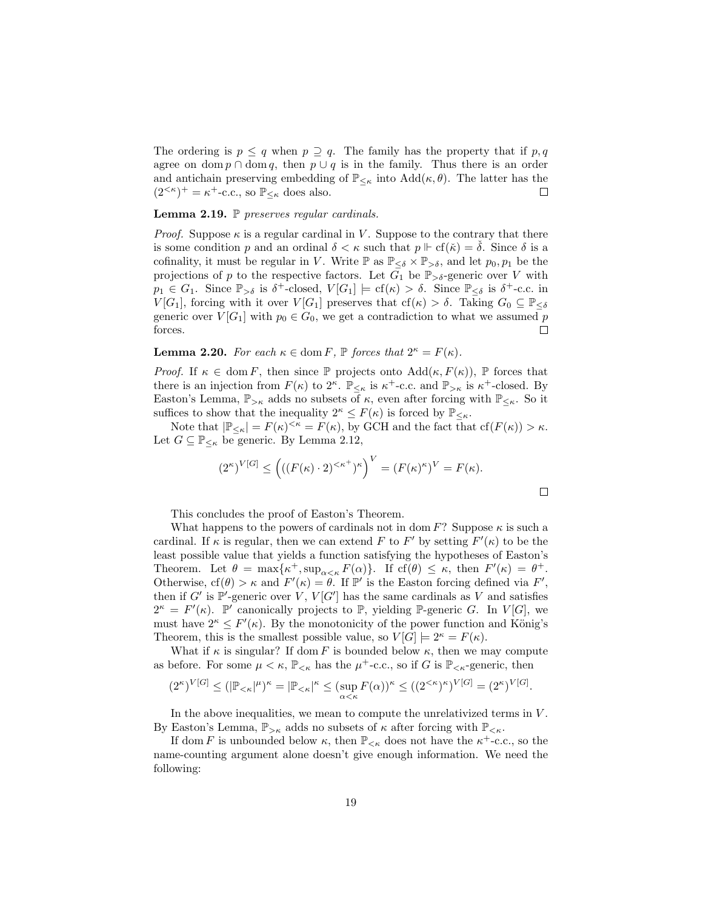The ordering is  $p \leq q$  when  $p \supseteq q$ . The family has the property that if p, q agree on dom  $p \cap \text{dom } q$ , then  $p \cup q$  is in the family. Thus there is an order and antichain preserving embedding of  $\mathbb{P}_{\leq \kappa}$  into  $\text{Add}(\kappa, \theta)$ . The latter has the  $(2^{<\kappa})^+ = \kappa^+$ -c.c., so  $\mathbb{P}_{\leq \kappa}$  does also.  $\Box$ 

### Lemma 2.19. P preserves regular cardinals.

*Proof.* Suppose  $\kappa$  is a regular cardinal in V. Suppose to the contrary that there is some condition p and an ordinal  $\delta < \kappa$  such that  $p \Vdash \text{cf}(\check{\kappa}) = \delta$ . Since  $\delta$  is a cofinality, it must be regular in V. Write  $\mathbb P$  as  $\mathbb P_{\leq \delta} \times \mathbb P_{> \delta}$ , and let  $p_0, p_1$  be the projections of p to the respective factors. Let  $G_1$  be  $\mathbb{P}_{> \delta}$ -generic over V with  $p_1 \in G_1$ . Since  $\mathbb{P}_{>\delta}$  is  $\delta^+$ -closed,  $V[G_1] \models cf(\kappa) > \delta$ . Since  $\mathbb{P}_{\leq \delta}$  is  $\delta^+$ -c.c. in  $V[G_1]$ , forcing with it over  $V[G_1]$  preserves that  $cf(\kappa) > \delta$ . Taking  $G_0 \subseteq \mathbb{P}_{\leq \delta}$ generic over  $V[G_1]$  with  $p_0 \in G_0$ , we get a contradiction to what we assumed p forces.  $\Box$ 

**Lemma 2.20.** For each  $\kappa \in \text{dom } F$ ,  $\mathbb{P}$  forces that  $2^{\kappa} = F(\kappa)$ .

*Proof.* If  $\kappa \in \text{dom } F$ , then since  $\mathbb P$  projects onto  $\text{Add}(\kappa, F(\kappa))$ ,  $\mathbb P$  forces that there is an injection from  $F(\kappa)$  to  $2^{\kappa}$ .  $\mathbb{P}_{\leq \kappa}$  is  $\kappa^+$ -c.c. and  $\mathbb{P}_{>\kappa}$  is  $\kappa^+$ -closed. By Easton's Lemma,  $\mathbb{P}_{> \kappa}$  adds no subsets of  $\kappa$ , even after forcing with  $\mathbb{P}_{< \kappa}$ . So it suffices to show that the inequality  $2^{\kappa} \leq F(\kappa)$  is forced by  $\mathbb{P}_{\leq \kappa}$ .

Note that  $|\mathbb{P}_{\leq \kappa}| = F(\kappa)^{<\kappa} = F(\kappa)$ , by GCH and the fact that  $cf(F(\kappa)) > \kappa$ . Let  $G \subseteq \mathbb{P}_{\leq \kappa}$  be generic. By Lemma 2.12,

$$
(2^{\kappa})^{V[G]} \le \left( ((F(\kappa) \cdot 2)^{<\kappa^+})^{\kappa} \right)^V = (F(\kappa)^{\kappa})^V = F(\kappa).
$$

 $\Box$ 

This concludes the proof of Easton's Theorem.

What happens to the powers of cardinals not in dom F? Suppose  $\kappa$  is such a cardinal. If  $\kappa$  is regular, then we can extend F to F' by setting  $F'(\kappa)$  to be the least possible value that yields a function satisfying the hypotheses of Easton's Theorem. Let  $\theta = \max{\kappa^+, \sup_{\alpha < \kappa} F(\alpha)}$ . If  $cf(\theta) \leq \kappa$ , then  $F'(\kappa) = \theta^+$ . Otherwise,  $cf(\theta) > \kappa$  and  $F'(\kappa) = \theta$ . If  $\mathbb{P}'$  is the Easton forcing defined via  $F'$ , then if G' is  $\mathbb{P}'$ -generic over  $V, V[G']$  has the same cardinals as V and satisfies  $2^{\kappa} = F(\kappa)$ .  $\mathbb{P}'$  canonically projects to  $\mathbb{P}$ , yielding  $\mathbb{P}$ -generic G. In  $V[G]$ , we must have  $2^{\kappa} \leq F'(\kappa)$ . By the monotonicity of the power function and König's Theorem, this is the smallest possible value, so  $V[G] \models 2^{\kappa} = F(\kappa)$ .

What if  $\kappa$  is singular? If dom F is bounded below  $\kappa$ , then we may compute as before. For some  $\mu < \kappa$ ,  $\mathbb{P}_{\leq \kappa}$  has the  $\mu^+$ -c.c., so if G is  $\mathbb{P}_{\leq \kappa}$ -generic, then

$$
(2^{\kappa})^{V[G]} \leq (|\mathbb{P}_{<\kappa}|^{\mu})^{\kappa} = |\mathbb{P}_{<\kappa}|^{\kappa} \leq (\sup_{\alpha < \kappa} F(\alpha))^{\kappa} \leq ((2^{\kappa})^{\kappa})^{V[G]} = (2^{\kappa})^{V[G]}.
$$

In the above inequalities, we mean to compute the unrelativized terms in  $V$ . By Easton's Lemma,  $\mathbb{P}_{> \kappa}$  adds no subsets of  $\kappa$  after forcing with  $\mathbb{P}_{< \kappa}$ .

If dom F is unbounded below  $\kappa$ , then  $\mathbb{P}_{<\kappa}$  does not have the  $\kappa^+$ -c.c., so the name-counting argument alone doesn't give enough information. We need the following: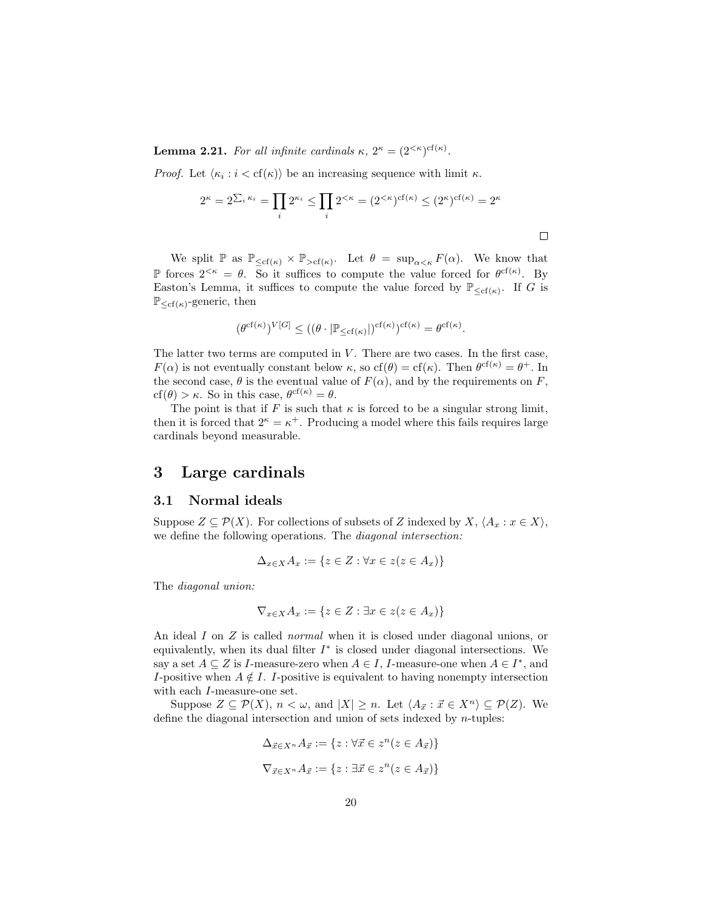**Lemma 2.21.** For all infinite cardinals  $\kappa$ ,  $2^{\kappa} = (2^{<\kappa})^{\text{cf}(\kappa)}$ .

*Proof.* Let  $\langle \kappa_i : i < \text{cf}(\kappa) \rangle$  be an increasing sequence with limit  $\kappa$ .

$$
2^{\kappa} = 2^{\sum_i \kappa_i} = \prod_i 2^{\kappa_i} \le \prod_i 2^{<\kappa} = (2^{<\kappa})^{\mathrm{cf}(\kappa)} \le (2^{\kappa})^{\mathrm{cf}(\kappa)} = 2^{\kappa}
$$

 $\Box$ 

We split  $\mathbb P$  as  $\mathbb P_{\leq cf(\kappa)} \times \mathbb P_{>cf(\kappa)}$ . Let  $\theta = \sup_{\alpha < \kappa} F(\alpha)$ . We know that P forces  $2^{<\kappa} = \theta$ . So it suffices to compute the value forced for  $\theta^{\text{cf}(\kappa)}$ . By Easton's Lemma, it suffices to compute the value forced by  $\mathbb{P}_{\leq cf(\kappa)}$ . If G is  $\mathbb{P}_{\leq cf(\kappa)}$ -generic, then

$$
(\theta^{\mathrm{cf}(\kappa)})^{V[G]}\leq ((\theta\cdot |\mathbb{P}_{\leq \mathrm{cf}(\kappa)}|)^{\mathrm{cf}(\kappa)})^{\mathrm{cf}(\kappa)}=\theta^{\mathrm{cf}(\kappa)}.
$$

The latter two terms are computed in  $V$ . There are two cases. In the first case,  $F(\alpha)$  is not eventually constant below  $\kappa$ , so  $cf(\theta) = cf(\kappa)$ . Then  $\theta^{cf(\kappa)} = \theta^+$ . In the second case,  $\theta$  is the eventual value of  $F(\alpha)$ , and by the requirements on F,  $cf(\theta) > \kappa$ . So in this case,  $\theta^{cf(\kappa)} = \theta$ .

The point is that if F is such that  $\kappa$  is forced to be a singular strong limit, then it is forced that  $2^k = \kappa^+$ . Producing a model where this fails requires large cardinals beyond measurable.

# 3 Large cardinals

# 3.1 Normal ideals

Suppose  $Z \subseteq \mathcal{P}(X)$ . For collections of subsets of Z indexed by  $X, \langle A_x : x \in X \rangle$ , we define the following operations. The *diagonal intersection*:

$$
\Delta_{x \in X} A_x := \{ z \in Z : \forall x \in z (z \in A_x) \}
$$

The diagonal union:

$$
\nabla_{x \in X} A_x := \{ z \in Z : \exists x \in z (z \in A_x) \}
$$

An ideal I on Z is called *normal* when it is closed under diagonal unions, or equivalently, when its dual filter  $I^*$  is closed under diagonal intersections. We say a set  $A \subseteq Z$  is *I*-measure-zero when  $A \in I$ , *I*-measure-one when  $A \in I^*$ , and I-positive when  $A \notin I$ . I-positive is equivalent to having nonempty intersection with each I-measure-one set.

Suppose  $Z \subseteq \mathcal{P}(X)$ ,  $n < \omega$ , and  $|X| \geq n$ . Let  $\langle A_{\vec{x}} : \vec{x} \in X^n \rangle \subseteq \mathcal{P}(Z)$ . We define the diagonal intersection and union of sets indexed by  $n$ -tuples:

$$
\Delta_{\vec{x}\in X^n} A_{\vec{x}} := \{ z : \forall \vec{x} \in z^n (z \in A_{\vec{x}}) \}
$$
  

$$
\nabla_{\vec{x}\in X^n} A_{\vec{x}} := \{ z : \exists \vec{x} \in z^n (z \in A_{\vec{x}}) \}
$$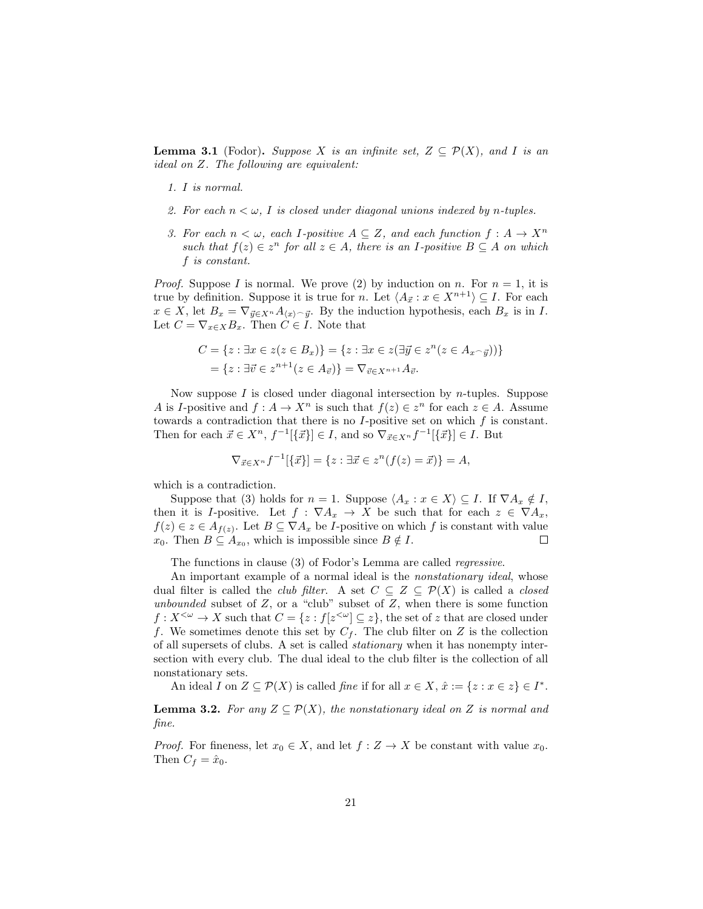**Lemma 3.1** (Fodor). Suppose X is an infinite set,  $Z \subseteq \mathcal{P}(X)$ , and I is an ideal on Z. The following are equivalent:

- 1. I is normal.
- 2. For each  $n < \omega$ , I is closed under diagonal unions indexed by n-tuples.
- 3. For each  $n < \omega$ , each I-positive  $A \subseteq Z$ , and each function  $f : A \to X^n$ such that  $f(z) \in z^n$  for all  $z \in A$ , there is an I-positive  $B \subseteq A$  on which f is constant.

*Proof.* Suppose I is normal. We prove (2) by induction on n. For  $n = 1$ , it is true by definition. Suppose it is true for n. Let  $\langle A_{\vec{x}} : x \in X^{n+1} \rangle \subseteq I$ . For each  $x \in X$ , let  $B_x = \nabla_{\vec{y} \in X^n} A_{\langle x \rangle \supset \vec{y}}$ . By the induction hypothesis, each  $B_x$  is in I. Let  $C = \nabla_{x \in X} B_x$ . Then  $C \in I$ . Note that

$$
C = \{ z : \exists x \in z (z \in B_x) \} = \{ z : \exists x \in z (\exists \vec{y} \in z^n (z \in A_{x \cap \vec{y}})) \}
$$
  
= 
$$
\{ z : \exists \vec{v} \in z^{n+1} (z \in A_{\vec{v}}) \} = \nabla_{\vec{v} \in X^{n+1}} A_{\vec{v}}.
$$

Now suppose  $I$  is closed under diagonal intersection by *n*-tuples. Suppose A is I-positive and  $f: A \to X^n$  is such that  $f(z) \in z^n$  for each  $z \in A$ . Assume towards a contradiction that there is no  $I$ -positive set on which  $f$  is constant. Then for each  $\vec{x} \in X^n$ ,  $f^{-1}[\{\vec{x}\}] \in I$ , and so  $\nabla_{\vec{x} \in X^n} f^{-1}[\{\vec{x}\}] \in I$ . But

$$
\nabla_{\vec{x}\in X^n} f^{-1}[\{\vec{x}\}] = \{z : \exists \vec{x} \in z^n (f(z) = \vec{x})\} = A,
$$

which is a contradiction.

Suppose that (3) holds for  $n = 1$ . Suppose  $\langle A_x : x \in X \rangle \subseteq I$ . If  $\nabla A_x \notin I$ , then it is I-positive. Let  $f : \nabla A_x \to X$  be such that for each  $z \in \nabla A_x$ ,  $f(z) \in z \in A_{f(z)}$ . Let  $B \subseteq \nabla A_x$  be *I*-positive on which f is constant with value  $x_0$ . Then  $B \subseteq A_{x_0}$ , which is impossible since  $B \notin I$ .  $\Box$ 

The functions in clause (3) of Fodor's Lemma are called *regressive*.

An important example of a normal ideal is the *nonstationary ideal*, whose dual filter is called the *club filter*. A set  $C \subseteq Z \subseteq \mathcal{P}(X)$  is called a *closed* unbounded subset of  $Z$ , or a "club" subset of  $Z$ , when there is some function  $f: X^{<\omega} \to X$  such that  $C = \{z: f[z^{<\omega}] \subseteq z\}$ , the set of z that are closed under f. We sometimes denote this set by  $C_f$ . The club filter on Z is the collection of all supersets of clubs. A set is called stationary when it has nonempty intersection with every club. The dual ideal to the club filter is the collection of all nonstationary sets.

An ideal I on  $Z \subseteq \mathcal{P}(X)$  is called fine if for all  $x \in X$ ,  $\hat{x} := \{z : x \in z\} \in I^*$ .

**Lemma 3.2.** For any  $Z \subseteq \mathcal{P}(X)$ , the nonstationary ideal on Z is normal and fine.

*Proof.* For fineness, let  $x_0 \in X$ , and let  $f: Z \to X$  be constant with value  $x_0$ . Then  $C_f = \hat{x}_0$ .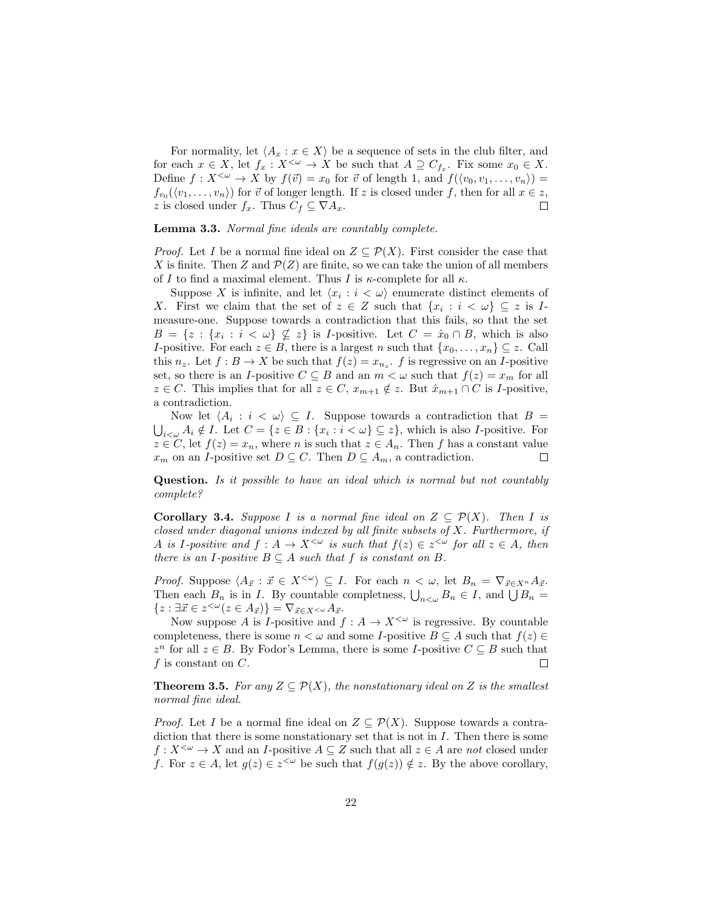For normality, let  $\langle A_x : x \in X \rangle$  be a sequence of sets in the club filter, and for each  $x \in X$ , let  $f_x: X^{\leq \omega} \to X$  be such that  $A \supseteq C_{f_x}$ . Fix some  $x_0 \in X$ . Define  $f: X^{\leq \omega} \to X$  by  $f(\vec{v}) = x_0$  for  $\vec{v}$  of length 1, and  $f(\langle v_0, v_1, \ldots, v_n \rangle) =$  $f_{v_0}(\langle v_1,\ldots,v_n\rangle)$  for  $\vec{v}$  of longer length. If z is closed under f, then for all  $x \in z$ , z is closed under  $f_x$ . Thus  $C_f \subseteq \nabla A_x$ .  $\Box$ 

Lemma 3.3. Normal fine ideals are countably complete.

*Proof.* Let I be a normal fine ideal on  $Z \subseteq \mathcal{P}(X)$ . First consider the case that X is finite. Then Z and  $\mathcal{P}(Z)$  are finite, so we can take the union of all members of I to find a maximal element. Thus I is  $\kappa$ -complete for all  $\kappa$ .

Suppose X is infinite, and let  $\langle x_i : i \langle \omega \rangle$  enumerate distinct elements of X. First we claim that the set of  $z \in Z$  such that  $\{x_i : i < \omega\} \subseteq z$  is Imeasure-one. Suppose towards a contradiction that this fails, so that the set  $B = \{z : \{x_i : i < \omega\} \nsubseteq z\}$  is *I*-positive. Let  $C = \hat{x}_0 \cap B$ , which is also I-positive. For each  $z \in B$ , there is a largest n such that  $\{x_0, \ldots, x_n\} \subseteq z$ . Call this  $n_z$ . Let  $f : B \to X$  be such that  $f(z) = x_{n_z}$ . f is regressive on an I-positive set, so there is an I-positive  $C \subseteq B$  and an  $m < \omega$  such that  $f(z) = x_m$  for all  $z \in C$ . This implies that for all  $z \in C$ ,  $x_{m+1} \notin z$ . But  $\hat{x}_{m+1} \cap C$  is *I*-positive, a contradiction.

Now let  $\langle A_i : i \langle \omega \rangle \subseteq I$ . Suppose towards a contradiction that  $B =$  $\bigcup_{i<\omega} A_i \notin I$ . Let  $C = \{z \in B : \{x_i : i<\omega\} \subseteq z\}$ , which is also *I*-positive. For  $z \in C$ , let  $f(z) = x_n$ , where *n* is such that  $z \in A_n$ . Then *f* has a constant value  $x_m$  on an *I*-positive set  $D \subseteq C$ . Then  $D \subseteq A_m$ , a contradiction.  $\Box$ 

Question. Is it possible to have an ideal which is normal but not countably complete?

**Corollary 3.4.** Suppose I is a normal fine ideal on  $Z \subseteq \mathcal{P}(X)$ . Then I is closed under diagonal unions indexed by all finite subsets of X. Furthermore, if A is I-positive and  $f: A \to X^{\leq \omega}$  is such that  $f(z) \in z^{\leq \omega}$  for all  $z \in A$ , then there is an I-positive  $B \subseteq A$  such that f is constant on B.

*Proof.* Suppose  $\langle A_{\vec{x}} : \vec{x} \in X^{\langle \omega \rangle} \subseteq I$ . For each  $n < \omega$ , let  $B_n = \nabla_{\vec{x} \in X^n} A_{\vec{x}}$ . Then each  $B_n$  is in I. By countable completness,  $\bigcup_{n<\omega} B_n \in I$ , and  $\bigcup B_n =$  ${z : \exists \vec{x} \in z^{\leq \omega} (z \in A_{\vec{x}}) } = \nabla_{\vec{x} \in X^{\leq \omega}} A_{\vec{x}}.$ 

Now suppose A is I-positive and  $f : A \to X^{\leq \omega}$  is regressive. By countable completeness, there is some  $n < \omega$  and some *I*-positive  $B \subseteq A$  such that  $f(z) \in$  $z^n$  for all  $z \in B$ . By Fodor's Lemma, there is some *I*-positive  $C \subseteq B$  such that  $f$  is constant on  $C$ .  $\Box$ 

**Theorem 3.5.** For any  $Z \subseteq \mathcal{P}(X)$ , the nonstationary ideal on Z is the smallest normal fine ideal.

*Proof.* Let I be a normal fine ideal on  $Z \subseteq \mathcal{P}(X)$ . Suppose towards a contradiction that there is some nonstationary set that is not in  $I$ . Then there is some  $f: X^{\leq \omega} \to X$  and an I-positive  $A \subseteq Z$  such that all  $z \in A$  are not closed under f. For  $z \in A$ , let  $g(z) \in z^{\leq \omega}$  be such that  $f(g(z)) \notin z$ . By the above corollary,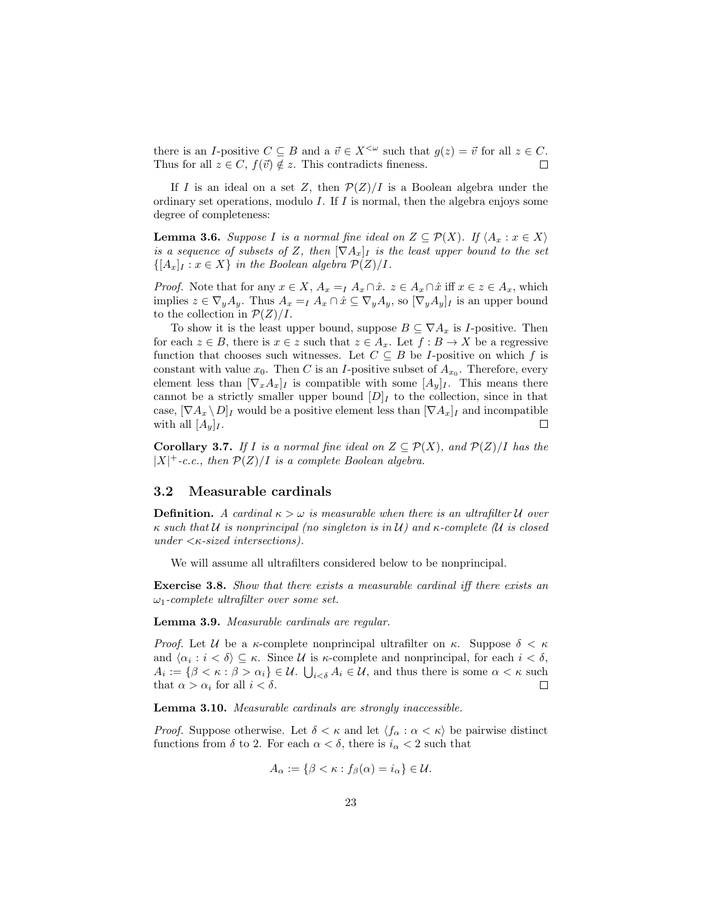there is an I-positive  $C \subseteq B$  and a  $\vec{v} \in X^{\leq \omega}$  such that  $g(z) = \vec{v}$  for all  $z \in C$ . Thus for all  $z \in C$ ,  $f(\vec{v}) \notin z$ . This contradicts fineness.  $\Box$ 

If I is an ideal on a set Z, then  $\mathcal{P}(Z)/I$  is a Boolean algebra under the ordinary set operations, modulo  $I$ . If  $I$  is normal, then the algebra enjoys some degree of completeness:

**Lemma 3.6.** Suppose I is a normal fine ideal on  $Z \subseteq \mathcal{P}(X)$ . If  $\langle A_x : x \in X \rangle$ is a sequence of subsets of Z, then  $[\nabla A_x]_I$  is the least upper bound to the set  $\{[A_x]_I : x \in X\}$  in the Boolean algebra  $\mathcal{P}(Z)/I$ .

*Proof.* Note that for any  $x \in X$ ,  $A_x = I A_x \cap \hat{x}$ .  $z \in A_x \cap \hat{x}$  iff  $x \in z \in A_x$ , which implies  $z \in \nabla_y A_y$ . Thus  $A_x = I A_x \cap \hat{x} \subseteq \nabla_y A_y$ , so  $[\nabla_y A_y]_I$  is an upper bound to the collection in  $\mathcal{P}(Z)/I$ .

To show it is the least upper bound, suppose  $B \subseteq \nabla A_x$  is *I*-positive. Then for each  $z \in B$ , there is  $x \in z$  such that  $z \in A_x$ . Let  $f : B \to X$  be a regressive function that chooses such witnesses. Let  $C \subseteq B$  be *I*-positive on which f is constant with value  $x_0$ . Then C is an I-positive subset of  $A_{x_0}$ . Therefore, every element less than  $[\nabla_x A_x]_I$  is compatible with some  $[A_y]_I$ . This means there cannot be a strictly smaller upper bound  $[D]_I$  to the collection, since in that case,  $[\nabla A_x \setminus D]$  would be a positive element less than  $[\nabla A_x]$  and incompatible with all  $[A_y]_I$ .  $\Box$ 

**Corollary 3.7.** If I is a normal fine ideal on  $Z \subseteq \mathcal{P}(X)$ , and  $\mathcal{P}(Z)/I$  has the  $|X|^{+}$ -c.c., then  $\mathcal{P}(Z)/I$  is a complete Boolean algebra.

# 3.2 Measurable cardinals

**Definition.** A cardinal  $\kappa > \omega$  is measurable when there is an ultrafilter U over  $\kappa$  such that U is nonprincipal (no singleton is in U) and  $\kappa$ -complete (U is closed under  $\langle \kappa\text{-}sized\text{ }intersections\rangle$ .

We will assume all ultrafilters considered below to be nonprincipal.

Exercise 3.8. Show that there exists a measurable cardinal iff there exists an  $\omega_1$ -complete ultrafilter over some set.

Lemma 3.9. Measurable cardinals are regular.

*Proof.* Let U be a  $\kappa$ -complete nonprincipal ultrafilter on  $\kappa$ . Suppose  $\delta < \kappa$ and  $\langle \alpha_i : i < \delta \rangle \subseteq \kappa$ . Since U is  $\kappa$ -complete and nonprincipal, for each  $i < \delta$ ,  $A_i := \{ \beta < \kappa : \beta > \alpha_i \} \in \mathcal{U}$ .  $\bigcup_{i < \delta} A_i \in \mathcal{U}$ , and thus there is some  $\alpha < \kappa$  such that  $\alpha > \alpha_i$  for all  $i < \delta$ .  $\Box$ 

Lemma 3.10. Measurable cardinals are strongly inaccessible.

*Proof.* Suppose otherwise. Let  $\delta < \kappa$  and let  $\langle f_{\alpha} : \alpha < \kappa \rangle$  be pairwise distinct functions from  $\delta$  to 2. For each  $\alpha < \delta$ , there is  $i_{\alpha} < 2$  such that

$$
A_{\alpha} := \{ \beta < \kappa : f_{\beta}(\alpha) = i_{\alpha} \} \in \mathcal{U}.
$$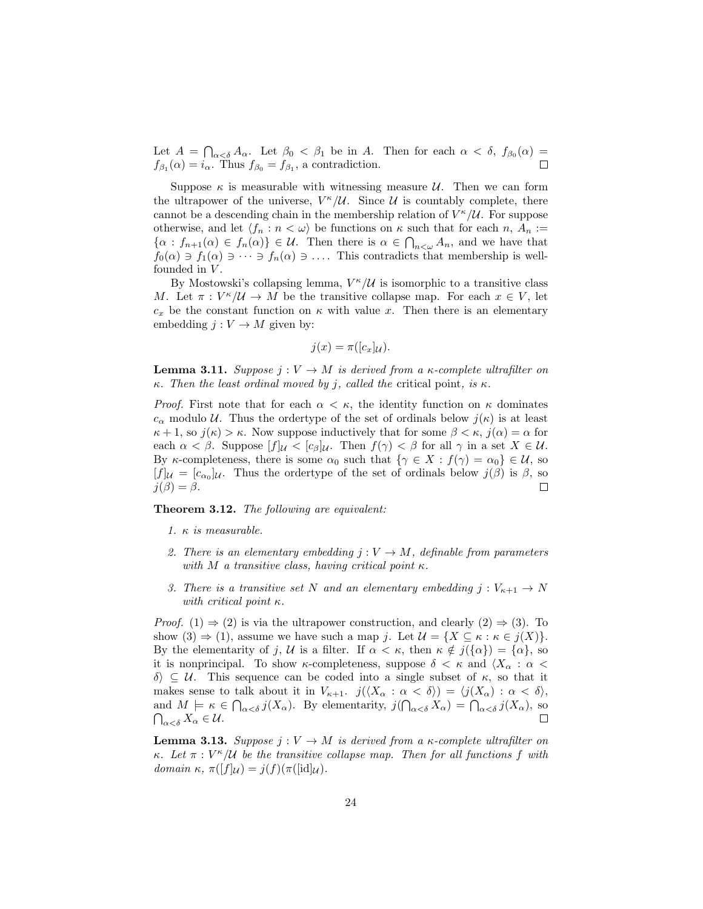Let  $A = \bigcap_{\alpha < \delta} A_{\alpha}$ . Let  $\beta_0 < \beta_1$  be in A. Then for each  $\alpha < \delta$ ,  $f_{\beta_0}(\alpha) =$  $f_{\beta_1}(\alpha) = i_{\alpha}$ . Thus  $f_{\beta_0} = f_{\beta_1}$ , a contradiction.

Suppose  $\kappa$  is measurable with witnessing measure U. Then we can form the ultrapower of the universe,  $V^{\kappa}/\mathcal{U}$ . Since  $\mathcal{U}$  is countably complete, there cannot be a descending chain in the membership relation of  $V^{\kappa}/\mathcal{U}$ . For suppose otherwise, and let  $\langle f_n : n < \omega \rangle$  be functions on  $\kappa$  such that for each  $n, A_n :=$  $\{\alpha : f_{n+1}(\alpha) \in f_n(\alpha)\}\in \mathcal{U}$ . Then there is  $\alpha \in \bigcap_{n<\omega} A_n$ , and we have that  $f_0(\alpha) \ni f_1(\alpha) \ni \cdots \ni f_n(\alpha) \ni \ldots$  This contradicts that membership is wellfounded in  $V$ .

By Mostowski's collapsing lemma,  $V^{\kappa}/\mathcal{U}$  is isomorphic to a transitive class M. Let  $\pi: V^{\kappa}/\mathcal{U} \to M$  be the transitive collapse map. For each  $x \in V$ , let  $c_x$  be the constant function on  $\kappa$  with value x. Then there is an elementary embedding  $j: V \to M$  given by:

$$
j(x) = \pi([c_x]_{\mathcal{U}}).
$$

**Lemma 3.11.** Suppose  $j: V \to M$  is derived from a  $\kappa$ -complete ultrafilter on κ. Then the least ordinal moved by j, called the critical point, is  $\kappa$ .

*Proof.* First note that for each  $\alpha < \kappa$ , the identity function on  $\kappa$  dominates  $c_{\alpha}$  modulo U. Thus the ordertype of the set of ordinals below  $j(\kappa)$  is at least  $\kappa + 1$ , so  $j(\kappa) > \kappa$ . Now suppose inductively that for some  $\beta < \kappa$ ,  $j(\alpha) = \alpha$  for each  $\alpha < \beta$ . Suppose  $[f]_{\mathcal{U}} < [c_{\beta}]_{\mathcal{U}}$ . Then  $f(\gamma) < \beta$  for all  $\gamma$  in a set  $X \in \mathcal{U}$ . By κ-completeness, there is some  $\alpha_0$  such that  $\{\gamma \in X : f(\gamma) = \alpha_0\} \in \mathcal{U}$ , so  $[f]_\mathcal{U} = [c_{\alpha_0}]\mathcal{U}$ . Thus the ordertype of the set of ordinals below  $j(\beta)$  is  $\beta$ , so  $j(\beta) = \beta$ .  $\Box$ 

#### Theorem 3.12. The following are equivalent:

- 1.  $\kappa$  is measurable.
- 2. There is an elementary embedding  $j: V \to M$ , definable from parameters with M a transitive class, having critical point  $\kappa$ .
- 3. There is a transitive set N and an elementary embedding  $j: V_{\kappa+1} \to N$ with critical point  $\kappa$ .

*Proof.* (1)  $\Rightarrow$  (2) is via the ultrapower construction, and clearly (2)  $\Rightarrow$  (3). To show  $(3) \Rightarrow (1)$ , assume we have such a map j. Let  $\mathcal{U} = \{X \subseteq \kappa : \kappa \in j(X)\}.$ By the elementarity of j, U is a filter. If  $\alpha < \kappa$ , then  $\kappa \notin j({\alpha}) = {\alpha}$ , so it is nonprincipal. To show  $\kappa$ -completeness, suppose  $\delta < \kappa$  and  $\langle X_\alpha : \alpha <$  $\delta$   $\subseteq$  U. This sequence can be coded into a single subset of κ, so that it makes sense to talk about it in  $V_{\kappa+1}$ .  $j(\langle X_{\alpha} : \alpha < \delta \rangle) = \langle j(X_{\alpha}) : \alpha < \delta \rangle$ , and  $M \models \kappa \in \bigcap_{\alpha < \delta} j(X_{\alpha})$ . By elementarity,  $j(\bigcap_{\alpha < \delta} X_{\alpha}) = \bigcap_{\alpha < \delta} j(X_{\alpha})$ , so  $\bigcap_{\alpha<\delta}X_{\alpha}\in\mathcal{U}.$ 

**Lemma 3.13.** Suppose  $j: V \to M$  is derived from a  $\kappa$ -complete ultrafilter on κ. Let  $\pi : V^{\kappa}/\mathcal{U}$  be the transitive collapse map. Then for all functions f with domain  $\kappa$ ,  $\pi([f]_{\mathcal{U}}) = j(f)(\pi([\text{id}]_{\mathcal{U}})).$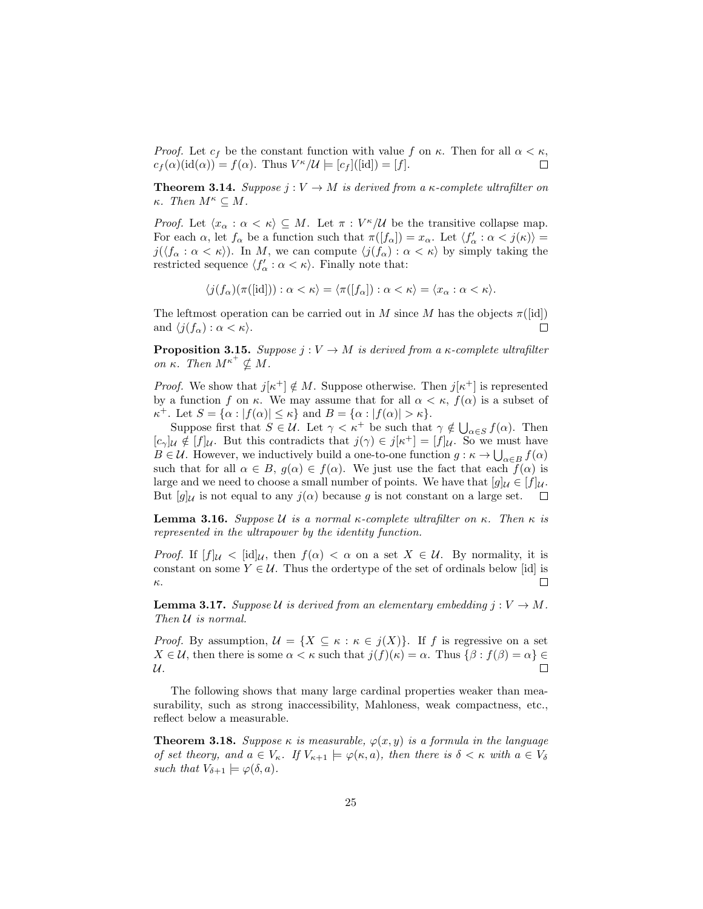*Proof.* Let  $c_f$  be the constant function with value f on  $\kappa$ . Then for all  $\alpha < \kappa$ ,  $c_f(\alpha)(\mathrm{id}(\alpha)) = f(\alpha)$ . Thus  $V^{\kappa}/\mathcal{U} \models [c_f]([\mathrm{id}]) = [f]$ .  $\Box$ 

**Theorem 3.14.** Suppose  $j: V \to M$  is derived from a  $\kappa$ -complete ultrafilter on κ. Then  $M^{\kappa} \subseteq M$ .

*Proof.* Let  $\langle x_{\alpha} : \alpha \langle \kappa \rangle \subseteq M$ . Let  $\pi : V^{\kappa}/\mathcal{U}$  be the transitive collapse map. For each  $\alpha$ , let  $f_{\alpha}$  be a function such that  $\pi([f_{\alpha}]) = x_{\alpha}$ . Let  $\langle f'_{\alpha} : \alpha < j(\kappa) \rangle =$  $j(\langle f_\alpha : \alpha < \kappa \rangle)$ . In M, we can compute  $\langle j(f_\alpha) : \alpha < \kappa \rangle$  by simply taking the restricted sequence  $\langle f'_{\alpha} : \alpha < \kappa \rangle$ . Finally note that:

$$
\langle j(f_\alpha)(\pi([id])) : \alpha < \kappa \rangle = \langle \pi([f_\alpha]) : \alpha < \kappa \rangle = \langle x_\alpha : \alpha < \kappa \rangle.
$$

The leftmost operation can be carried out in M since M has the objects  $\pi([id])$ and  $\langle j(f_\alpha) : \alpha < \kappa \rangle$ .  $\Box$ 

**Proposition 3.15.** Suppose  $j: V \to M$  is derived from a  $\kappa$ -complete ultrafilter on  $\kappa$ . Then  $M^{\kappa^+} \nsubseteq M$ .

*Proof.* We show that  $j[\kappa^+] \notin M$ . Suppose otherwise. Then  $j[\kappa^+]$  is represented by a function f on  $\kappa$ . We may assume that for all  $\alpha < \kappa$ ,  $f(\alpha)$  is a subset of  $\kappa^+$ . Let  $S = {\alpha : |f(\alpha)| \leq \kappa}$  and  $B = {\alpha : |f(\alpha)| > \kappa}.$ 

Suppose first that  $S \in \mathcal{U}$ . Let  $\gamma < \kappa^+$  be such that  $\gamma \notin \bigcup_{\alpha \in S} f(\alpha)$ . Then  $[c_{\gamma}]_{\mathcal{U}} \notin [f]_{\mathcal{U}}$ . But this contradicts that  $j(\gamma) \in j[\kappa^+] = [f]_{\mathcal{U}}$ . So we must have  $B \in \mathcal{U}$ . However, we inductively build a one-to-one function  $g : \kappa \to \bigcup_{\alpha \in B} f(\alpha)$ such that for all  $\alpha \in B$ ,  $g(\alpha) \in f(\alpha)$ . We just use the fact that each  $f(\alpha)$  is large and we need to choose a small number of points. We have that  $[g]_\mathcal{U} \in [f]_\mathcal{U}$ . But  $[g]_{\mathcal{U}}$  is not equal to any  $j(\alpha)$  because g is not constant on a large set.  $\Box$ 

**Lemma 3.16.** Suppose *U* is a normal κ-complete ultrafilter on κ. Then κ is represented in the ultrapower by the identity function.

*Proof.* If  $[f]_{\mathcal{U}} < [id]_{\mathcal{U}}$ , then  $f(\alpha) < \alpha$  on a set  $X \in \mathcal{U}$ . By normality, it is constant on some  $Y \in \mathcal{U}$ . Thus the ordertype of the set of ordinals below [id] is  $\Box$ κ.

**Lemma 3.17.** Suppose U is derived from an elementary embedding  $j: V \to M$ . Then  $U$  is normal.

*Proof.* By assumption,  $\mathcal{U} = \{X \subseteq \kappa : \kappa \in j(X)\}\$ . If f is regressive on a set  $X \in \mathcal{U}$ , then there is some  $\alpha < \kappa$  such that  $j(f)(\kappa) = \alpha$ . Thus  $\{\beta : f(\beta) = \alpha\} \in$  $\mathcal{U}.$  $\Box$ 

The following shows that many large cardinal properties weaker than measurability, such as strong inaccessibility, Mahloness, weak compactness, etc., reflect below a measurable.

**Theorem 3.18.** Suppose  $\kappa$  is measurable,  $\varphi(x, y)$  is a formula in the language of set theory, and  $a \in V_{\kappa}$ . If  $V_{\kappa+1} \models \varphi(\kappa, a)$ , then there is  $\delta < \kappa$  with  $a \in V_{\delta}$ such that  $V_{\delta+1} \models \varphi(\delta, a)$ .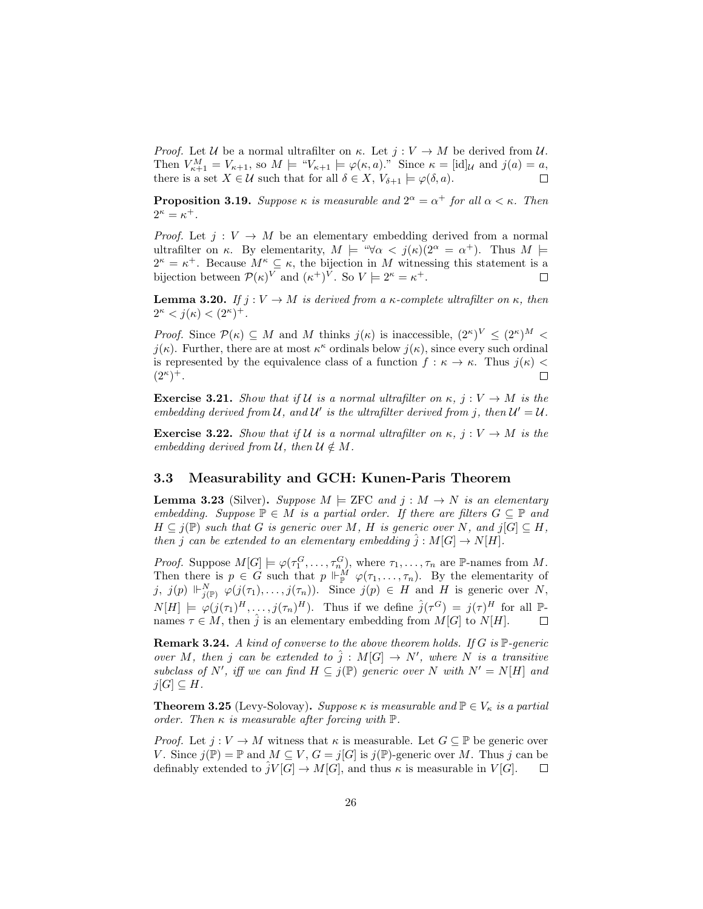*Proof.* Let U be a normal ultrafilter on  $\kappa$ . Let  $j: V \to M$  be derived from U. Then  $V_{\kappa+1}^M = V_{\kappa+1}$ , so  $M \models "V_{\kappa+1} \models \varphi(\kappa, a)$ ." Since  $\kappa = [\text{id}]_{\mathcal{U}}$  and  $j(a) = a$ , there is a set  $X \in \mathcal{U}$  such that for all  $\delta \in X$ ,  $V_{\delta+1} \models \varphi(\delta, a)$ .  $\Box$ 

**Proposition 3.19.** Suppose  $\kappa$  is measurable and  $2^{\alpha} = \alpha^+$  for all  $\alpha < \kappa$ . Then  $2^{\kappa} = \kappa^+$ .

*Proof.* Let  $j: V \to M$  be an elementary embedding derived from a normal ultrafilter on  $\kappa$ . By elementarity,  $M \models \forall \alpha < j(\kappa)(2^{\alpha} = \alpha^+)$ . Thus  $M \models$  $2^{\kappa} = \kappa^+$ . Because  $M^{\kappa} \subseteq \kappa$ , the bijection in M witnessing this statement is a bijection between  $\mathcal{P}(\kappa)^V$  and  $(\kappa^+)^V$ . So  $V \models 2^{\kappa} = \kappa^+$ .  $\Box$ 

**Lemma 3.20.** If  $j: V \to M$  is derived from a  $\kappa$ -complete ultrafilter on  $\kappa$ , then  $2^{\kappa} < j(\kappa) < (2^{\kappa})^+$ .

*Proof.* Since  $\mathcal{P}(\kappa) \subseteq M$  and M thinks  $j(\kappa)$  is inaccessible,  $(2^{\kappa})^V \leq (2^{\kappa})^M$  $j(\kappa)$ . Further, there are at most  $\kappa^{\kappa}$  ordinals below  $j(\kappa)$ , since every such ordinal is represented by the equivalence class of a function  $f : \kappa \to \kappa$ . Thus  $j(\kappa)$  $(2^{\kappa})^{+}.$  $\Box$ 

**Exercise 3.21.** Show that if U is a normal ultrafilter on  $\kappa$ ,  $j: V \to M$  is the embedding derived from U, and U' is the ultrafilter derived from j, then  $U' = U$ .

**Exercise 3.22.** Show that if U is a normal ultrafilter on  $\kappa$ ,  $j: V \to M$  is the embedding derived from  $\mathcal{U}$ , then  $\mathcal{U} \notin M$ .

### 3.3 Measurability and GCH: Kunen-Paris Theorem

**Lemma 3.23** (Silver). Suppose  $M \models \text{ZFC}$  and  $j : M \rightarrow N$  is an elementary embedding. Suppose  $\mathbb{P} \in M$  is a partial order. If there are filters  $G \subseteq \mathbb{P}$  and  $H \subseteq j(\mathbb{P})$  such that G is generic over M, H is generic over N, and  $j[G] \subseteq H$ , then j can be extended to an elementary embedding  $\hat{j}: M[G] \to N[H]$ .

*Proof.* Suppose  $M[G] \models \varphi(\tau_1^G, \ldots, \tau_n^G)$ , where  $\tau_1, \ldots, \tau_n$  are P-names from M. Then there is  $p \in G$  such that  $p \Vdash^M_{\mathbb{P}} \varphi(\tau_1,\ldots,\tau_n)$ . By the elementarity of  $j, j(p) \Vdash_{j(\mathbb{P})}^N \varphi(j(\tau_1), \ldots, j(\tau_n)).$  Since  $j(p) \in H$  and H is generic over N,  $N[H] \models \varphi(j(\tau_1)^H, \ldots, j(\tau_n)^H)$ . Thus if we define  $\hat{j}(\tau^G) = j(\tau)^H$  for all  $\mathbb{P}$ names  $\tau \in M$ , then  $\hat{j}$  is an elementary embedding from  $M[G]$  to  $N[H]$ .

**Remark 3.24.** A kind of converse to the above theorem holds. If  $G$  is  $\mathbb{P}$ -generic over M, then j can be extended to  $\hat{j}: M[G] \to N'$ , where N is a transitive subclass of N', iff we can find  $H \subseteq j(\mathbb{P})$  generic over N with  $N' = N[H]$  and  $j[G] \subseteq H$ .

**Theorem 3.25** (Levy-Solovay). Suppose  $\kappa$  is measurable and  $\mathbb{P} \in V_{\kappa}$  is a partial order. Then  $\kappa$  is measurable after forcing with  $\mathbb{P}$ .

*Proof.* Let  $j: V \to M$  witness that  $\kappa$  is measurable. Let  $G \subseteq \mathbb{P}$  be generic over V. Since  $j(\mathbb{P}) = \mathbb{P}$  and  $M \subseteq V$ ,  $G = j[G]$  is  $j(\mathbb{P})$ -generic over M. Thus j can be definably extended to  $\hat{j}V[G] \to M[G]$ , and thus  $\kappa$  is measurable in  $V[G]$ .  $\Box$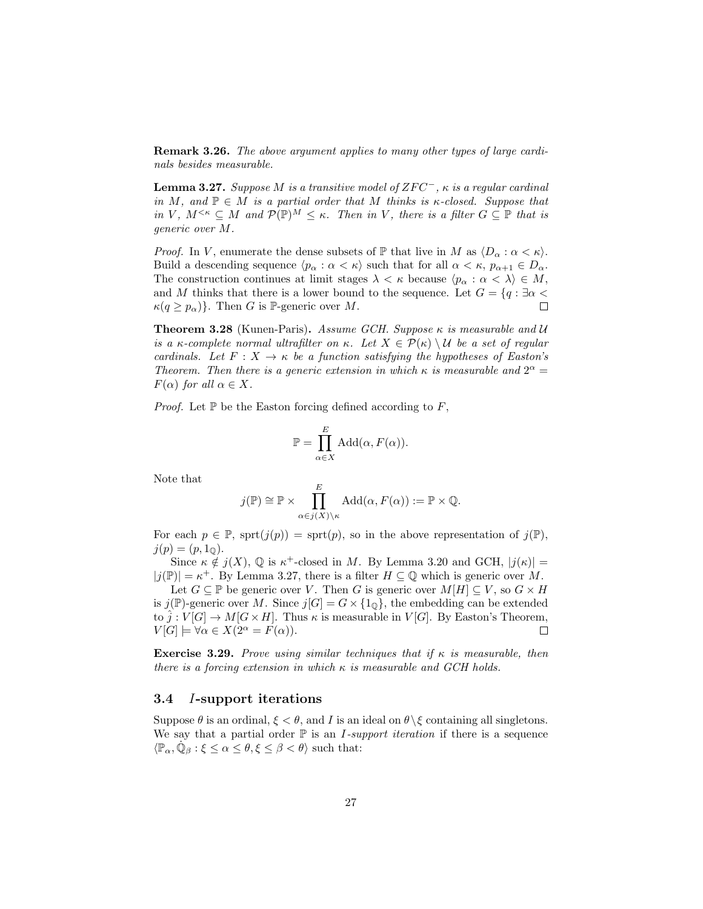Remark 3.26. The above argument applies to many other types of large cardinals besides measurable.

**Lemma 3.27.** Suppose M is a transitive model of  $ZFC^-$ ,  $\kappa$  is a regular cardinal in M, and  $\mathbb{P} \in M$  is a partial order that M thinks is  $\kappa$ -closed. Suppose that in V,  $M^{<\kappa} \subseteq M$  and  $\mathcal{P}(\mathbb{P})^M \leq \kappa$ . Then in V, there is a filter  $G \subseteq \mathbb{P}$  that is generic over M.

*Proof.* In V, enumerate the dense subsets of  $\mathbb P$  that live in M as  $\langle D_\alpha : \alpha < \kappa \rangle$ . Build a descending sequence  $\langle p_{\alpha} : \alpha < \kappa \rangle$  such that for all  $\alpha < \kappa$ ,  $p_{\alpha+1} \in D_{\alpha}$ . The construction continues at limit stages  $\lambda < \kappa$  because  $\langle p_{\alpha} : \alpha < \lambda \rangle \in M$ , and M thinks that there is a lower bound to the sequence. Let  $G = \{q : \exists \alpha$  $\kappa(q \geq p_{\alpha})\}$ . Then G is P-generic over M.  $\Box$ 

**Theorem 3.28** (Kunen-Paris). Assume GCH. Suppose  $\kappa$  is measurable and U is a κ-complete normal ultrafilter on κ. Let  $X \in \mathcal{P}(\kappa) \setminus \mathcal{U}$  be a set of regular cardinals. Let  $F: X \to \kappa$  be a function satisfying the hypotheses of Easton's Theorem. Then there is a generic extension in which  $\kappa$  is measurable and  $2^{\alpha} =$  $F(\alpha)$  for all  $\alpha \in X$ .

*Proof.* Let  $\mathbb P$  be the Easton forcing defined according to  $F$ ,

$$
\mathbb{P} = \prod_{\alpha \in X}^E \text{Add}(\alpha, F(\alpha)).
$$

Note that

$$
j(\mathbb{P}) \cong \mathbb{P} \times \prod_{\alpha \in j(X) \setminus \kappa}^{E} \text{Add}(\alpha, F(\alpha)) := \mathbb{P} \times \mathbb{Q}.
$$

For each  $p \in \mathbb{P}$ ,  $\text{sprt}(j(p)) = \text{sprt}(p)$ , so in the above representation of  $j(\mathbb{P})$ ,  $j(p) = (p, 1<sub>0</sub>).$ 

Since  $\kappa \notin j(X)$ ,  $\mathbb Q$  is  $\kappa^+$ -closed in M. By Lemma 3.20 and GCH,  $|j(\kappa)| =$  $|j(\mathbb{P})| = \kappa^+$ . By Lemma 3.27, there is a filter  $H \subseteq \mathbb{Q}$  which is generic over M.

Let  $G \subseteq \mathbb{P}$  be generic over V. Then G is generic over  $M[H] \subseteq V$ , so  $G \times H$ is  $j(\mathbb{P})$ -generic over M. Since  $j[G] = G \times \{1_0\}$ , the embedding can be extended to  $\hat{j}: V[G] \to M[G \times H]$ . Thus  $\kappa$  is measurable in  $V[G]$ . By Easton's Theorem,  $V[G] \models \forall \alpha \in X(2^{\alpha} = F(\alpha)).$  $\Box$ 

**Exercise 3.29.** Prove using similar techniques that if  $\kappa$  is measurable, then there is a forcing extension in which  $\kappa$  is measurable and GCH holds.

### 3.4 I-support iterations

Suppose  $\theta$  is an ordinal,  $\xi < \theta$ , and I is an ideal on  $\theta \setminus \xi$  containing all singletons. We say that a partial order  $\mathbb P$  is an *I-support iteration* if there is a sequence  $\langle \mathbb{P}_{\alpha}, \dot{\mathbb{Q}}_{\beta} : \xi \leq \alpha \leq \theta, \xi \leq \beta < \theta \rangle$  such that: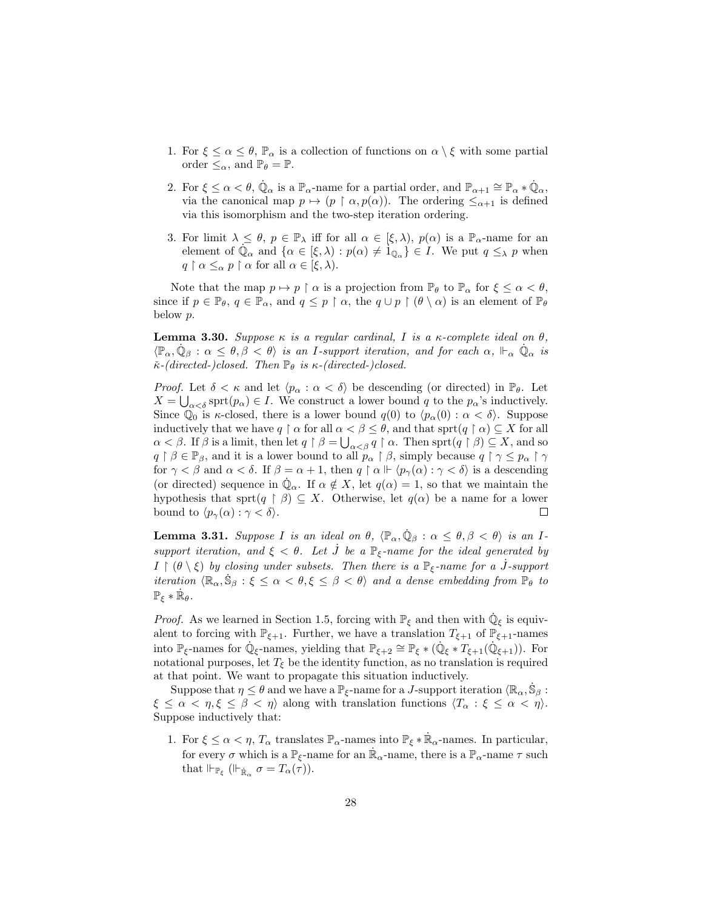- 1. For  $\xi \leq \alpha \leq \theta$ ,  $\mathbb{P}_{\alpha}$  is a collection of functions on  $\alpha \setminus \xi$  with some partial order  $\leq_\alpha$ , and  $\mathbb{P}_\theta = \mathbb{P}$ .
- 2. For  $\xi \leq \alpha < \theta$ ,  $\dot{\mathbb{Q}}_{\alpha}$  is a  $\mathbb{P}_{\alpha}$ -name for a partial order, and  $\mathbb{P}_{\alpha+1} \cong \mathbb{P}_{\alpha} * \dot{\mathbb{Q}}_{\alpha}$ , via the canonical map  $p \mapsto (p \restriction \alpha, p(\alpha))$ . The ordering  $\leq_{\alpha+1}$  is defined via this isomorphism and the two-step iteration ordering.
- 3. For limit  $\lambda \leq \theta$ ,  $p \in \mathbb{P}_{\lambda}$  iff for all  $\alpha \in [\xi, \lambda)$ ,  $p(\alpha)$  is a  $\mathbb{P}_{\alpha}$ -name for an element of  $\mathbb{Q}_{\alpha}$  and  $\{\alpha \in [\xi, \lambda) : p(\alpha) \neq \mathbb{I}_{\mathbb{Q}_{\alpha}}\} \in I$ . We put  $q \leq_{\lambda} p$  when  $q \restriction \alpha \leq_\alpha p \restriction \alpha$  for all  $\alpha \in [\xi, \lambda)$ .

Note that the map  $p \mapsto p \restriction \alpha$  is a projection from  $\mathbb{P}_{\theta}$  to  $\mathbb{P}_{\alpha}$  for  $\xi \leq \alpha < \theta$ , since if  $p \in \mathbb{P}_{\theta}$ ,  $q \in \mathbb{P}_{\alpha}$ , and  $q \leq p \restriction \alpha$ , the  $q \cup p \restriction (\theta \setminus \alpha)$  is an element of  $\mathbb{P}_{\theta}$ below p.

**Lemma 3.30.** Suppose κ is a regular cardinal, I is a κ-complete ideal on  $θ$ ,  $\langle \mathbb{P}_{\alpha}, \dot{\mathbb{Q}}_{\beta} : \alpha \leq \theta, \beta < \theta \rangle$  is an I-support iteration, and for each  $\alpha$ ,  $\mathbb{P}_{\alpha}$   $\dot{\mathbb{Q}}_{\alpha}$  is  $\check{\kappa}$ -(directed-)closed. Then  $\mathbb{P}_{\theta}$  is  $\kappa$ -(directed-)closed.

*Proof.* Let  $\delta < \kappa$  and let  $\langle p_{\alpha} : \alpha < \delta \rangle$  be descending (or directed) in  $\mathbb{P}_{\theta}$ . Let  $X = \bigcup_{\alpha < \delta} \text{sprt}(p_{\alpha}) \in I$ . We construct a lower bound q to the  $p_{\alpha}$ 's inductively. Since  $\mathbb{Q}_0$  is  $\kappa$ -closed, there is a lower bound  $q(0)$  to  $\langle p_\alpha(0) : \alpha < \delta \rangle$ . Suppose inductively that we have  $q \restriction \alpha$  for all  $\alpha < \beta \leq \theta$ , and that sprt $(q \restriction \alpha) \subseteq X$  for all  $\alpha < \beta$ . If  $\beta$  is a limit, then let  $q \restriction \beta = \bigcup_{\alpha < \beta} q \restriction \alpha$ . Then sprt $(q \restriction \beta) \subseteq X$ , and so  $q \restriction \beta \in \mathbb{P}_{\beta}$ , and it is a lower bound to all  $p_{\alpha} \restriction \beta$ , simply because  $q \restriction \gamma \leq p_{\alpha} \restriction \gamma$ for  $\gamma < \beta$  and  $\alpha < \delta$ . If  $\beta = \alpha + 1$ , then  $q \restriction \alpha \Vdash \langle p_{\gamma}(\alpha) : \gamma < \delta \rangle$  is a descending (or directed) sequence in  $\dot{\mathbb{Q}}_{\alpha}$ . If  $\alpha \notin X$ , let  $q(\alpha) = 1$ , so that we maintain the hypothesis that sprt $(q \restriction \beta) \subseteq X$ . Otherwise, let  $q(\alpha)$  be a name for a lower bound to  $\langle p_{\gamma}(\alpha) : \gamma < \delta \rangle$ .  $\Box$ 

**Lemma 3.31.** Suppose I is an ideal on  $\theta$ ,  $\langle \mathbb{P}_{\alpha}, \dot{\mathbb{Q}}_{\beta} : \alpha \leq \theta, \beta < \theta \rangle$  is an Isupport iteration, and  $\xi < \theta$ . Let  $\tilde{J}$  be a  $\mathbb{P}_{\xi}$ -name for the ideal generated by  $I \restriction (\theta \setminus \xi)$  by closing under subsets. Then there is a  $\mathbb{P}_{\xi}$ -name for a J-support iteration  $\langle \mathbb{R}_{\alpha}, \dot{\mathbb{S}}_{\beta} : \xi \leq \alpha < \theta, \xi \leq \beta < \theta \rangle$  and a dense embedding from  $\mathbb{P}_{\theta}$  to  $\mathbb{P}_{\xi} * \dot{\mathbb{R}}_{\theta}.$ 

*Proof.* As we learned in Section 1.5, forcing with  $\mathbb{P}_{\xi}$  and then with  $\dot{\mathbb{Q}}_{\xi}$  is equivalent to forcing with  $\mathbb{P}_{\xi+1}$ . Further, we have a translation  $T_{\xi+1}$  of  $\mathbb{P}_{\xi+1}$ -names into  $\mathbb{P}_{\xi}$ -names for  $\mathbb{Q}_{\xi}$ -names, yielding that  $\mathbb{P}_{\xi+2} \cong \mathbb{P}_{\xi} * (\mathbb{Q}_{\xi} * T_{\xi+1}(\mathbb{Q}_{\xi+1}))$ . For notational purposes, let  $T_{\xi}$  be the identity function, as no translation is required at that point. We want to propagate this situation inductively.

Suppose that  $\eta \leq \theta$  and we have a  $\mathbb{P}_{\xi}$ -name for a *J*-support iteration  $\langle \mathbb{R}_{\alpha}, \dot{\mathbb{S}}_{\beta} :$  $\xi \leq \alpha < \eta, \xi \leq \beta < \eta$  along with translation functions  $\langle T_{\alpha} : \xi \leq \alpha < \eta \rangle$ . Suppose inductively that:

1. For  $\xi \leq \alpha < \eta$ ,  $T_{\alpha}$  translates  $\mathbb{P}_{\alpha}$ -names into  $\mathbb{P}_{\xi} * \dot{\mathbb{R}}_{\alpha}$ -names. In particular, for every  $\sigma$  which is a  $\mathbb{P}_{\xi}$ -name for an  $\mathbb{R}_{\alpha}$ -name, there is a  $\mathbb{P}_{\alpha}$ -name  $\tau$  such that  $\Vdash_{\dot{\mathbb{F}}_{\xi}} (\Vdash_{\dot{\mathbb{R}}_{\alpha}} \sigma = T_{\alpha}(\tau)).$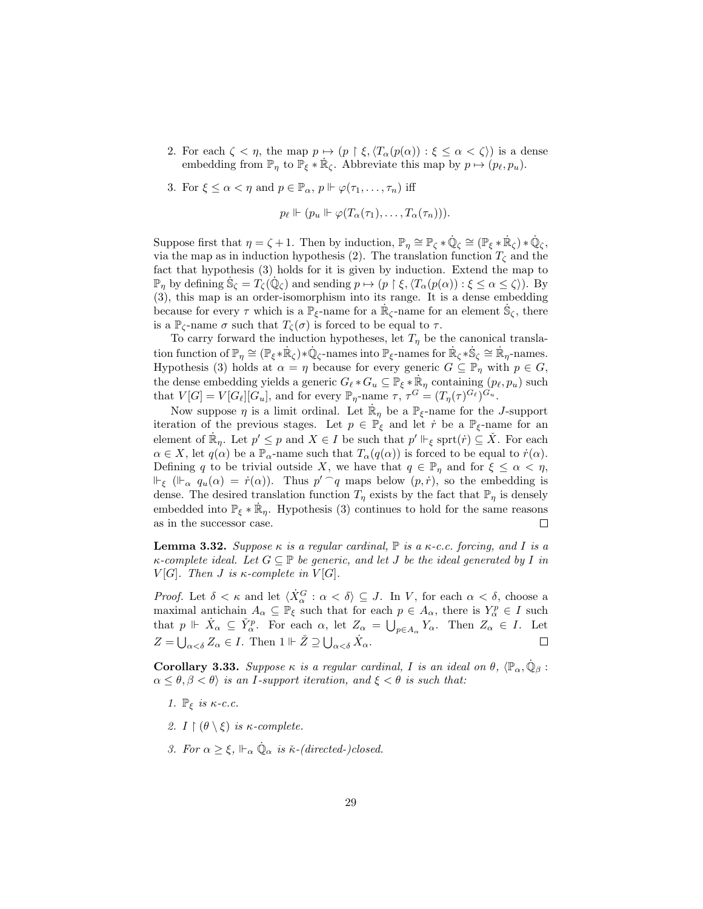- 2. For each  $\zeta < \eta$ , the map  $p \mapsto (p \restriction \xi, \langle T_\alpha(p(\alpha)) : \xi \leq \alpha < \zeta \rangle)$  is a dense embedding from  $\mathbb{P}_\eta$  to  $\mathbb{P}_\xi * \dot{\mathbb{R}}_\zeta$ . Abbreviate this map by  $p \mapsto (p_\ell, p_u)$ .
- 3. For  $\xi \leq \alpha < \eta$  and  $p \in \mathbb{P}_{\alpha}$ ,  $p \Vdash \varphi(\tau_1, \ldots, \tau_n)$  iff

$$
p_{\ell} \Vdash (p_u \Vdash \varphi(T_\alpha(\tau_1), \ldots, T_\alpha(\tau_n))).
$$

Suppose first that  $\eta = \zeta + 1$ . Then by induction,  $\mathbb{P}_{\eta} \cong \mathbb{P}_{\zeta} * \dot{\mathbb{Q}}_{\zeta} \cong (\mathbb{P}_{\xi} * \dot{\mathbb{R}}_{\zeta}) * \dot{\mathbb{Q}}_{\zeta}$ , via the map as in induction hypothesis (2). The translation function  $T<sub>C</sub>$  and the fact that hypothesis (3) holds for it is given by induction. Extend the map to  $\mathbb{P}_\eta$  by defining  $\dot{\mathbb{S}}_{\zeta} = T_{\zeta}(\dot{\mathbb{Q}}_{\zeta})$  and sending  $p \mapsto (p \restriction \xi, \langle T_{\alpha}(p(\alpha)) : \xi \leq \alpha \leq \zeta \rangle)$ . By (3), this map is an order-isomorphism into its range. It is a dense embedding because for every  $\tau$  which is a  $\mathbb{P}_{\xi}$ -name for a  $\mathbb{R}_{\zeta}$ -name for an element  $\dot{\mathbb{S}}_{\zeta}$ , there is a  $\mathbb{P}_{\zeta}$ -name  $\sigma$  such that  $T_{\zeta}(\sigma)$  is forced to be equal to  $\tau$ .

To carry forward the induction hypotheses, let  $T_{\eta}$  be the canonical translation function of  $\mathbb{P}_{\eta} \cong (\mathbb{P}_{\xi} * \dot{\mathbb{R}}_{\zeta}) * \dot{\mathbb{Q}}_{\zeta}$ -names into  $\mathbb{P}_{\xi}$ -names for  $\dot{\mathbb{R}}_{\zeta} * \dot{\mathbb{S}}_{\zeta} \cong \dot{\mathbb{R}}_{\eta}$ -names. Hypothesis (3) holds at  $\alpha = \eta$  because for every generic  $G \subseteq \mathbb{P}_{\eta}$  with  $p \in G$ , the dense embedding yields a generic  $G_{\ell} * G_u \subseteq \mathbb{P}_{\xi} * \dot{\mathbb{R}}_n$  containing  $(p_{\ell}, p_u)$  such that  $V[G] = V[G_\ell][G_u]$ , and for every  $\mathbb{P}_{\eta}$ -name  $\tau, \tau^G = (T_\eta(\tau)^{G_\ell})^{G_u}$ .

Now suppose  $\eta$  is a limit ordinal. Let  $\mathbb{R}_{\eta}$  be a  $\mathbb{P}_{\xi}$ -name for the *J*-support iteration of the previous stages. Let  $p \in \mathbb{P}_{\xi}$  and let  $\dot{r}$  be a  $\mathbb{P}_{\xi}$ -name for an element of  $\mathbb{R}_\eta$ . Let  $p' \leq p$  and  $X \in I$  be such that  $p' \Vdash_{\xi} \text{sprt}(r) \subseteq X$ . For each  $\alpha \in X$ , let  $q(\alpha)$  be a  $\mathbb{P}_{\alpha}$ -name such that  $T_{\alpha}(q(\alpha))$  is forced to be equal to  $\dot{r}(\alpha)$ . Defining q to be trivial outside X, we have that  $q \in \mathbb{P}_\eta$  and for  $\xi \leq \alpha < \eta$ ,  $\Vdash_{\xi}$  ( $\Vdash_{\alpha} q_u(\alpha) = \dot{r}(\alpha)$ ). Thus  $p' \cap q$  maps below  $(p, \dot{r})$ , so the embedding is dense. The desired translation function  $T_n$  exists by the fact that  $\mathbb{P}_n$  is densely embedded into  $\mathbb{P}_{\xi} * \dot{\mathbb{R}}_{\eta}$ . Hypothesis (3) continues to hold for the same reasons as in the successor case.  $\Box$ 

**Lemma 3.32.** Suppose  $\kappa$  is a regular cardinal,  $\mathbb P$  is a  $\kappa$ -c.c. forcing, and I is a  $\kappa$ -complete ideal. Let  $G \subseteq \mathbb{P}$  be generic, and let J be the ideal generated by I in V[G]. Then *J* is  $\kappa$ -complete in V[G].

*Proof.* Let  $\delta < \kappa$  and let  $\langle \dot{X}_\alpha^G : \alpha < \delta \rangle \subseteq J$ . In V, for each  $\alpha < \delta$ , choose a maximal antichain  $A_{\alpha} \subseteq \mathbb{P}_{\xi}$  such that for each  $p \in A_{\alpha}$ , there is  $Y_{\alpha}^{p} \in I$  such that  $p \Vdash \dot{X}_{\alpha} \subseteq \check{Y}_{\alpha}^p$ . For each  $\alpha$ , let  $Z_{\alpha} = \bigcup_{p \in A_{\alpha}} Y_{\alpha}$ . Then  $Z_{\alpha} \in I$ . Let  $Z = \bigcup_{\alpha < \delta} Z_{\alpha} \in I$ . Then  $1 \Vdash \check{Z} \supseteq \bigcup_{\alpha < \delta} \dot{X}_{\alpha}$ .  $\Box$ 

**Corollary 3.33.** Suppose  $\kappa$  is a regular cardinal, I is an ideal on  $\theta$ ,  $\langle \mathbb{P}_{\alpha}, \dot{\mathbb{Q}}_{\beta}$ :  $\alpha \leq \theta, \beta < \theta$  is an I-support iteration, and  $\xi < \theta$  is such that:

- 1.  $\mathbb{P}_{\xi}$  is  $\kappa$ -c.c.
- 2.  $I \upharpoonright (\theta \setminus \xi)$  is  $\kappa$ -complete.
- 3. For  $\alpha \geq \xi$ ,  $\mathbb{H}_{\alpha} \dot{\mathbb{Q}}_{\alpha}$  is  $\check{\kappa}$ -(directed-)closed.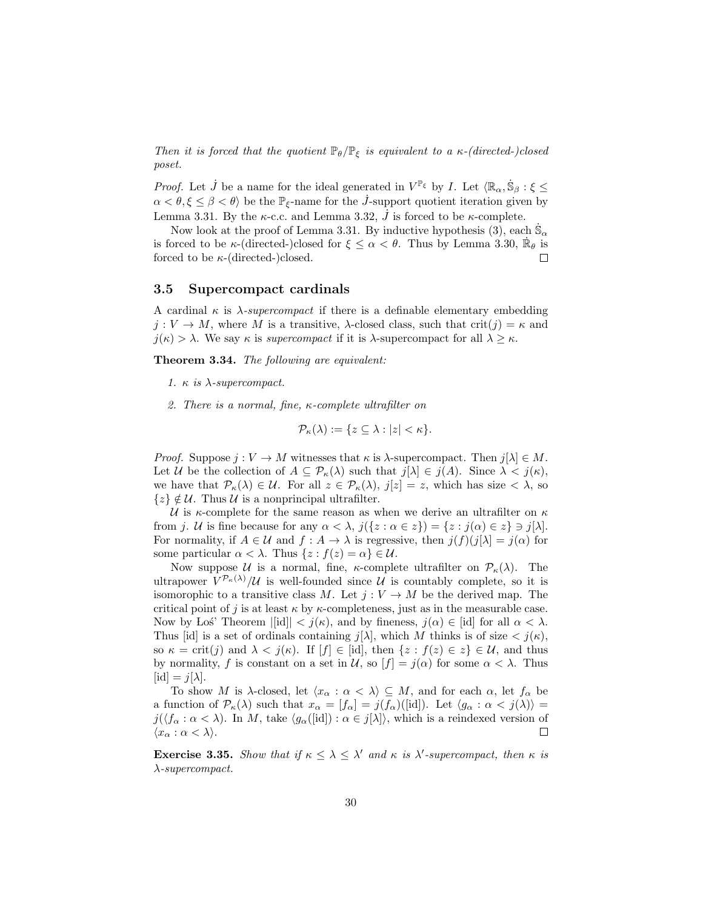Then it is forced that the quotient  $\mathbb{P}_{\theta}/\mathbb{P}_{\xi}$  is equivalent to a  $\kappa$ -(directed-)closed poset.

*Proof.* Let  $\dot{J}$  be a name for the ideal generated in  $V^{\mathbb{P}_{\xi}}$  by I. Let  $\langle \mathbb{R}_{\alpha}, \dot{\mathbb{S}}_{\beta} : \xi \leq$  $\alpha < \theta, \xi \leq \beta < \theta$ ) be the  $\mathbb{P}_{\xi}$ -name for the *J*-support quotient iteration given by Lemma 3.31. By the  $\kappa$ -c.c. and Lemma 3.32,  $\dot{J}$  is forced to be  $\kappa$ -complete.

Now look at the proof of Lemma 3.31. By inductive hypothesis  $(3)$ , each  $\dot{\mathbb{S}}_{\alpha}$ is forced to be  $\kappa$ -(directed-)closed for  $\xi \leq \alpha < \theta$ . Thus by Lemma 3.30,  $\dot{\mathbb{R}}_{\theta}$  is forced to be  $\kappa$ -(directed-)closed.  $\Box$ 

### 3.5 Supercompact cardinals

A cardinal  $\kappa$  is  $\lambda$ -supercompact if there is a definable elementary embedding  $j: V \to M$ , where M is a transitive,  $\lambda$ -closed class, such that crit(j) =  $\kappa$  and  $j(\kappa) > \lambda$ . We say  $\kappa$  is supercompact if it is  $\lambda$ -supercompact for all  $\lambda \geq \kappa$ .

Theorem 3.34. The following are equivalent:

- 1.  $\kappa$  is  $\lambda$ -supercompact.
- 2. There is a normal, fine, κ-complete ultrafilter on

$$
\mathcal{P}_{\kappa}(\lambda) := \{ z \subseteq \lambda : |z| < \kappa \}.
$$

*Proof.* Suppose  $j: V \to M$  witnesses that  $\kappa$  is  $\lambda$ -supercompact. Then  $j[\lambda] \in M$ . Let U be the collection of  $A \subseteq \mathcal{P}_{\kappa}(\lambda)$  such that  $j[\lambda] \in j(A)$ . Since  $\lambda < j(\kappa)$ , we have that  $\mathcal{P}_{\kappa}(\lambda) \in \mathcal{U}$ . For all  $z \in \mathcal{P}_{\kappa}(\lambda)$ ,  $j[z] = z$ , which has size  $\langle \lambda, \mathrm{so} \rangle$  $\{z\} \notin \mathcal{U}$ . Thus  $\mathcal{U}$  is a nonprincipal ultrafilter.

U is  $\kappa$ -complete for the same reason as when we derive an ultrafilter on  $\kappa$ from j. U is fine because for any  $\alpha < \lambda$ ,  $j({z : \alpha \in z}) = {z : j(\alpha) \in z} \ni j[\lambda]$ . For normality, if  $A \in \mathcal{U}$  and  $f : A \to \lambda$  is regressive, then  $j(f)(j[\lambda] = j(\alpha)$  for some particular  $\alpha < \lambda$ . Thus  $\{z : f(z) = \alpha\} \in \mathcal{U}$ .

Now suppose U is a normal, fine,  $\kappa$ -complete ultrafilter on  $\mathcal{P}_{\kappa}(\lambda)$ . The ultrapower  $V^{\mathcal{P}_{\kappa}(\lambda)}/\mathcal{U}$  is well-founded since  $\mathcal{U}$  is countably complete, so it is isomorophic to a transitive class M. Let  $j: V \to M$  be the derived map. The critical point of j is at least  $\kappa$  by  $\kappa$ -completeness, just as in the measurable case. Now by Los<sup>\*</sup> Theorem  $||\text{id}|| < j(\kappa)$ , and by fineness,  $j(\alpha) \in |\text{id}|$  for all  $\alpha < \lambda$ . Thus [id] is a set of ordinals containing  $j[\lambda]$ , which M thinks is of size  $\langle j(\kappa),$ so  $\kappa = \text{crit}(j)$  and  $\lambda < j(\kappa)$ . If  $[f] \in [\text{id}]$ , then  $\{z : f(z) \in z\} \in \mathcal{U}$ , and thus by normality, f is constant on a set in  $\mathcal{U}$ , so  $[f] = j(\alpha)$  for some  $\alpha < \lambda$ . Thus  $[\mathrm{id}] = i[\lambda].$ 

To show M is  $\lambda$ -closed, let  $\langle x_\alpha : \alpha < \lambda \rangle \subseteq M$ , and for each  $\alpha$ , let  $f_\alpha$  be a function of  $\mathcal{P}_{\kappa}(\lambda)$  such that  $x_{\alpha} = [f_{\alpha}] = j(f_{\alpha})(\text{[id]})$ . Let  $\langle g_{\alpha} : \alpha < j(\lambda) \rangle =$  $j(\langle f_\alpha : \alpha < \lambda \rangle)$ . In M, take  $\langle g_\alpha([\text{id}]): \alpha \in j[\lambda] \rangle$ , which is a reindexed version of  $\langle x_\alpha : \alpha < \lambda \rangle$ .  $\Box$ 

**Exercise 3.35.** Show that if  $\kappa \leq \lambda \leq \lambda'$  and  $\kappa$  is  $\lambda'$ -supercompact, then  $\kappa$  is λ-supercompact.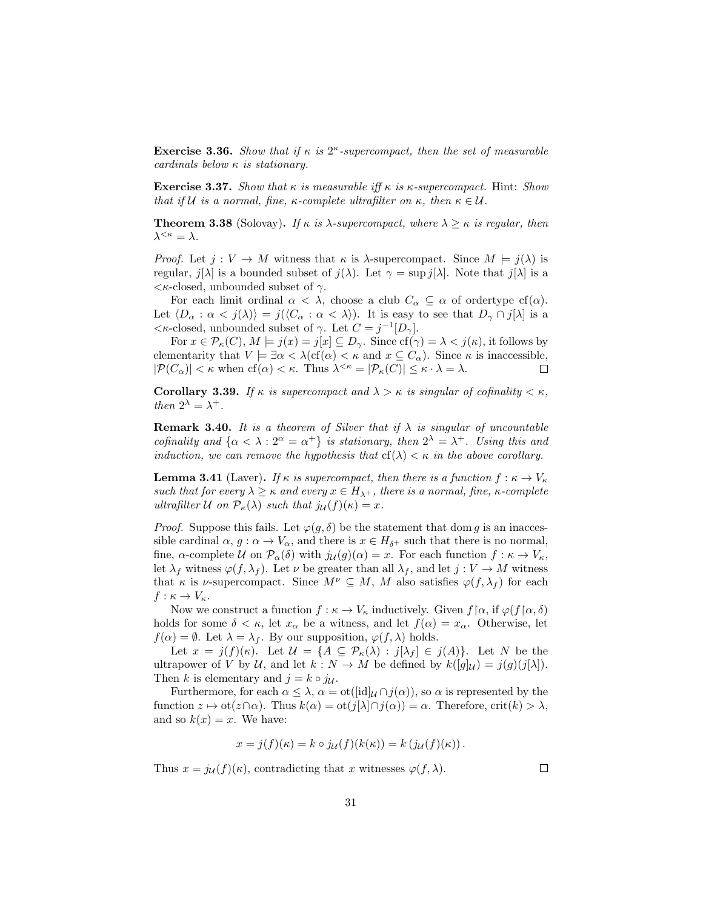**Exercise 3.36.** Show that if  $\kappa$  is  $2^{\kappa}$ -supercompact, then the set of measurable cardinals below  $\kappa$  is stationary.

**Exercise 3.37.** Show that  $\kappa$  is measurable iff  $\kappa$  is  $\kappa$ -supercompact. Hint: Show that if U is a normal, fine, κ-complete ultrafilter on  $\kappa$ , then  $\kappa \in \mathcal{U}$ .

**Theorem 3.38** (Solovay). If  $\kappa$  is  $\lambda$ -supercompact, where  $\lambda \geq \kappa$  is regular, then  $\lambda^{<\kappa}=\lambda$ .

*Proof.* Let  $j: V \to M$  witness that  $\kappa$  is  $\lambda$ -supercompact. Since  $M \models j(\lambda)$  is regular,  $j[\lambda]$  is a bounded subset of  $j(\lambda)$ . Let  $\gamma = \sup j[\lambda]$ . Note that  $j[\lambda]$  is a  $\langle \kappa\text{-closed}, \text{unbounded subset of }\gamma \rangle$ .

For each limit ordinal  $\alpha < \lambda$ , choose a club  $C_{\alpha} \subseteq \alpha$  of ordertype cf( $\alpha$ ). Let  $\langle D_\alpha : \alpha < j(\lambda) \rangle = j(\langle C_\alpha : \alpha < \lambda \rangle)$ . It is easy to see that  $D_\gamma \cap j[\lambda]$  is a  $\lt \kappa$ -closed, unbounded subset of  $\gamma$ . Let  $C = j^{-1}[D_{\gamma}]$ .

For  $x \in \mathcal{P}_{\kappa}(C)$ ,  $M \models j(x) = j[x] \subseteq D_{\gamma}$ . Since  $cf(\gamma) = \lambda < j(\kappa)$ , it follows by elementarity that  $V \models \exists \alpha < \lambda (\text{cf}(\alpha) < \kappa \text{ and } x \subseteq C_\alpha)$ . Since  $\kappa$  is inaccessible,  $|\mathcal{P}(C_{\alpha})| < \kappa$  when  $cf(\alpha) < \kappa$ . Thus  $\lambda^{<\kappa} = |\mathcal{P}_{\kappa}(C)| \leq \kappa \cdot \lambda = \lambda$ .  $\Box$ 

Corollary 3.39. If  $\kappa$  is supercompact and  $\lambda > \kappa$  is singular of cofinality  $\lt \kappa$ , then  $2^{\lambda} = \lambda^+$ .

**Remark 3.40.** It is a theorem of Silver that if  $\lambda$  is singular of uncountable cofinality and  $\{\alpha < \lambda : 2^{\alpha} = \alpha^+\}$  is stationary, then  $2^{\lambda} = \lambda^+$ . Using this and induction, we can remove the hypothesis that  $cf(\lambda) < \kappa$  in the above corollary.

**Lemma 3.41** (Laver). If  $\kappa$  is supercompact, then there is a function  $f : \kappa \to V_{\kappa}$ such that for every  $\lambda \geq \kappa$  and every  $x \in H_{\lambda^+}$ , there is a normal, fine,  $\kappa$ -complete ultrafilter U on  $P_{\kappa}(\lambda)$  such that  $j_{\mathcal{U}}(f)(\kappa) = x$ .

*Proof.* Suppose this fails. Let  $\varphi(g, \delta)$  be the statement that dom g is an inaccessible cardinal  $\alpha, g : \alpha \to V_\alpha$ , and there is  $x \in H_{\delta^+}$  such that there is no normal, fine,  $\alpha$ -complete  $\mathcal U$  on  $\mathcal P_\alpha(\delta)$  with  $j_{\mathcal U}(g)(\alpha)=x$ . For each function  $f:\kappa\to V_\kappa$ , let  $\lambda_f$  witness  $\varphi(f, \lambda_f)$ . Let  $\nu$  be greater than all  $\lambda_f$ , and let  $j : V \to M$  witness that  $\kappa$  is *v*-supercompact. Since  $M^{\nu} \subseteq M$ , M also satisfies  $\varphi(f, \lambda_f)$  for each  $f: \kappa \to V_{\kappa}.$ 

Now we construct a function  $f : \kappa \to V_\kappa$  inductively. Given  $f | \alpha$ , if  $\varphi(f | \alpha, \delta)$ holds for some  $\delta < \kappa$ , let  $x_{\alpha}$  be a witness, and let  $f(\alpha) = x_{\alpha}$ . Otherwise, let  $f(\alpha) = \emptyset$ . Let  $\lambda = \lambda_f$ . By our supposition,  $\varphi(f, \lambda)$  holds.

Let  $x = j(f)(\kappa)$ . Let  $\mathcal{U} = \{A \subseteq \mathcal{P}_{\kappa}(\lambda) : j[\lambda_f] \in j(A)\}$ . Let N be the ultrapower of V by U, and let  $k : N \to M$  be defined by  $k([q]_U) = j(q)(j[\lambda])$ . Then k is elementary and  $j = k \circ j_{\mathcal{U}}$ .

Furthermore, for each  $\alpha \leq \lambda$ ,  $\alpha = \text{ot}([\text{id}]_{\mathcal{U}} \cap j(\alpha))$ , so  $\alpha$  is represented by the function  $z \mapsto \mathrm{ot}(z \cap \alpha)$ . Thus  $k(\alpha) = \mathrm{ot}(j[\lambda] \cap j(\alpha)) = \alpha$ . Therefore, crit $(k) > \lambda$ , and so  $k(x) = x$ . We have:

$$
x = j(f)(\kappa) = k \circ j_{\mathcal{U}}(f)(k(\kappa)) = k (j_{\mathcal{U}}(f)(\kappa)).
$$

Thus  $x = j_{\mathcal{U}}(f)(\kappa)$ , contradicting that x witnesses  $\varphi(f, \lambda)$ .

 $\Box$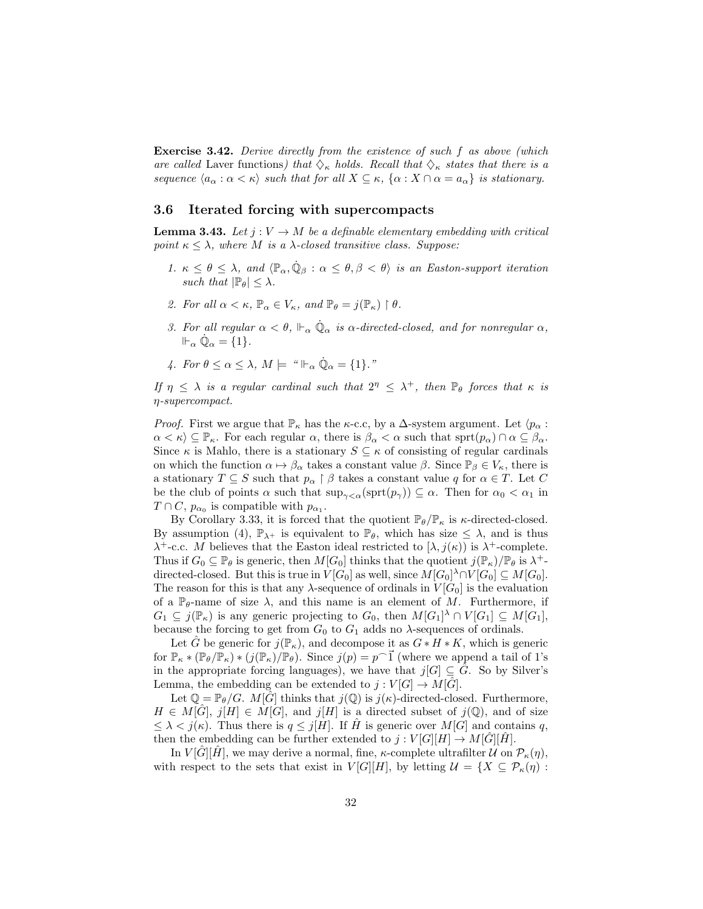Exercise 3.42. Derive directly from the existence of such f as above (which are called Laver functions) that  $\Diamond_{\kappa}$  holds. Recall that  $\Diamond_{\kappa}$  states that there is a sequence  $\langle a_\alpha : \alpha < \kappa \rangle$  such that for all  $X \subseteq \kappa$ ,  $\{\alpha : X \cap \alpha = a_\alpha\}$  is stationary.

### 3.6 Iterated forcing with supercompacts

**Lemma 3.43.** Let  $j: V \to M$  be a definable elementary embedding with critical point  $\kappa < \lambda$ , where M is a  $\lambda$ -closed transitive class. Suppose:

- 1.  $\kappa \leq \theta \leq \lambda$ , and  $\langle \mathbb{P}_{\alpha}, \dot{\mathbb{Q}}_{\beta} : \alpha \leq \theta, \beta < \theta \rangle$  is an Easton-support iteration such that  $|\mathbb{P}_{\theta}| \leq \lambda$ .
- 2. For all  $\alpha < \kappa$ ,  $\mathbb{P}_{\alpha} \in V_{\kappa}$ , and  $\mathbb{P}_{\theta} = j(\mathbb{P}_{\kappa}) \restriction \theta$ .
- 3. For all regular  $\alpha < \theta$ ,  $\Vdash_{\alpha} \dot{\mathbb{Q}}_{\alpha}$  is  $\alpha$ -directed-closed, and for nonregular  $\alpha$ ,  $\Vdash_{\alpha} \dot{\mathbb{Q}}_{\alpha} = \{1\}.$
- 4. For  $\theta \leq \alpha \leq \lambda$ ,  $M \models$  " $\Vdash_{\alpha} \dot{\mathbb{Q}}_{\alpha} = \{1\}$ ."

If  $\eta \leq \lambda$  is a regular cardinal such that  $2^{\eta} \leq \lambda^{+}$ , then  $\mathbb{P}_{\theta}$  forces that  $\kappa$  is η-supercompact.

*Proof.* First we argue that  $\mathbb{P}_{\kappa}$  has the  $\kappa$ -c.c, by a  $\Delta$ -system argument. Let  $\langle p_{\alpha} :$  $\alpha < \kappa$ )  $\subseteq \mathbb{P}_{\kappa}$ . For each regular  $\alpha$ , there is  $\beta_{\alpha} < \alpha$  such that sprt $(p_{\alpha}) \cap \alpha \subseteq \beta_{\alpha}$ . Since  $\kappa$  is Mahlo, there is a stationary  $S \subseteq \kappa$  of consisting of regular cardinals on which the function  $\alpha \mapsto \beta_{\alpha}$  takes a constant value  $\beta$ . Since  $\mathbb{P}_{\beta} \in V_{\kappa}$ , there is a stationary  $T \subseteq S$  such that  $p_{\alpha} \restriction \beta$  takes a constant value  $q$  for  $\alpha \in T.$  Let  $C$ be the club of points  $\alpha$  such that  $\sup_{\gamma < \alpha} (\text{sprt}(p_\gamma)) \subseteq \alpha$ . Then for  $\alpha_0 < \alpha_1$  in  $T \cap C$ ,  $p_{\alpha_0}$  is compatible with  $p_{\alpha_1}$ .

By Corollary 3.33, it is forced that the quotient  $\mathbb{P}_{\theta}/\mathbb{P}_{\kappa}$  is  $\kappa$ -directed-closed. By assumption (4),  $\mathbb{P}_{\lambda^+}$  is equivalent to  $\mathbb{P}_{\theta}$ , which has size  $\leq \lambda$ , and is thus  $\lambda^+$ -c.c. M believes that the Easton ideal restricted to  $[\lambda, j(\kappa)]$  is  $\lambda^+$ -complete. Thus if  $G_0 \subseteq \mathbb{P}_{\theta}$  is generic, then  $M[G_0]$  thinks that the quotient  $j(\mathbb{P}_{\kappa})/\mathbb{P}_{\theta}$  is  $\lambda^+$ directed-closed. But this is true in  $V[G_0]$  as well, since  $M[G_0]^{\lambda} \cap V[G_0] \subseteq M[G_0]$ . The reason for this is that any  $\lambda$ -sequence of ordinals in  $V[G_0]$  is the evaluation of a  $\mathbb{P}_{\theta}$ -name of size  $\lambda$ , and this name is an element of M. Furthermore, if  $G_1 \subseteq j(\mathbb{P}_{\kappa})$  is any generic projecting to  $G_0$ , then  $M[G_1]^{\lambda} \cap V[G_1] \subseteq M[G_1]$ , because the forcing to get from  $G_0$  to  $G_1$  adds no  $\lambda$ -sequences of ordinals.

Let  $\hat{G}$  be generic for  $j(\mathbb{P}_{\kappa})$ , and decompose it as  $G * H * K$ , which is generic for  $\mathbb{P}_{\kappa} * (\mathbb{P}_{\theta}/\mathbb{P}_{\kappa}) * (j(\mathbb{P}_{\kappa})/\mathbb{P}_{\theta})$ . Since  $j(p) = p^{-1}$  (where we append a tail of 1's in the appropriate forcing languages), we have that  $j[G] \subseteq \hat{G}$ . So by Silver's Lemma, the embedding can be extended to  $j: V[G] \to M[G]$ .

Let  $\mathbb{Q} = \mathbb{P}_{\theta}/G$ .  $M[\hat{G}]$  thinks that  $j(\mathbb{Q})$  is  $j(\kappa)$ -directed-closed. Furthermore,  $H \in M[\widehat{G}], j[H] \in M[G],$  and  $j[H]$  is a directed subset of  $j(\mathbb{Q})$ , and of size  $\leq \lambda < j(\kappa)$ . Thus there is  $q \leq j[H]$ . If  $\hat{H}$  is generic over  $M[G]$  and contains q, then the embedding can be further extended to  $j: V[G][H] \to M[G][H]$ .

In  $V[G][H]$ , we may derive a normal, fine,  $\kappa$ -complete ultrafilter  $\mathcal{U}$  on  $\mathcal{P}_{\kappa}(\eta)$ , with respect to the sets that exist in  $V[G][H]$ , by letting  $\mathcal{U} = \{X \subseteq \mathcal{P}_{\kappa}(\eta)$ :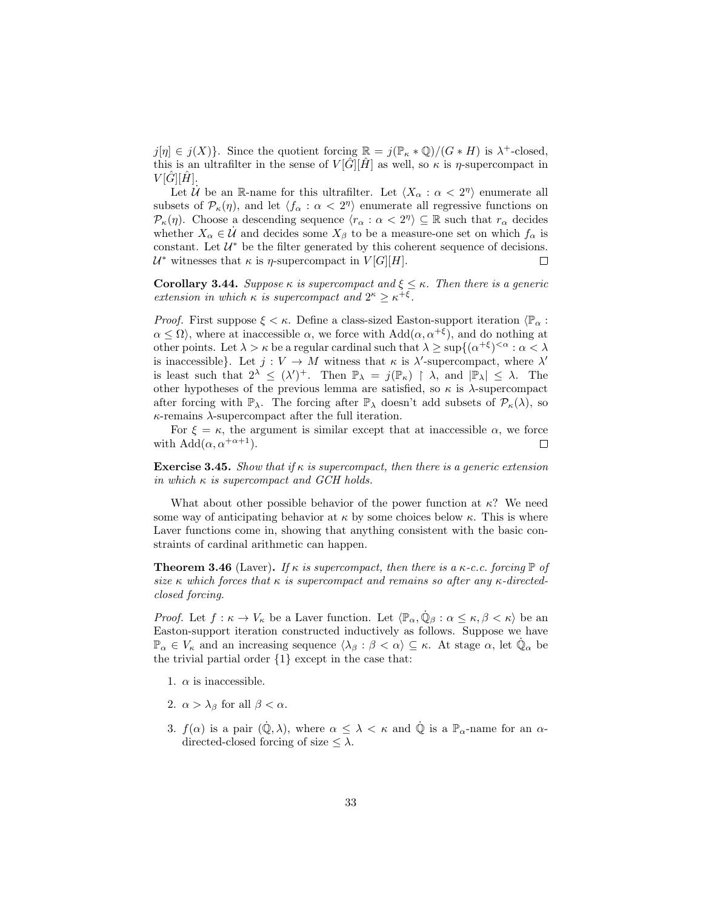$j[\eta] \in j(X)$ . Since the quotient forcing  $\mathbb{R} = j(\mathbb{P}_{\kappa} * \mathbb{Q})/(G * H)$  is  $\lambda^+$ -closed, this is an ultrafilter in the sense of  $V[\hat{G}][\hat{H}]$  as well, so  $\kappa$  is  $\eta$ -supercompact in  $V[G][H].$ 

Let  $\mathcal{U}$  be an R-name for this ultrafilter. Let  $\langle X_{\alpha} : \alpha < 2^{n} \rangle$  enumerate all subsets of  $\mathcal{P}_{\kappa}(\eta)$ , and let  $\langle f_{\alpha} : \alpha < 2^{\eta} \rangle$  enumerate all regressive functions on  $\mathcal{P}_{\kappa}(\eta)$ . Choose a descending sequence  $\langle r_{\alpha} : \alpha < 2^{n} \rangle \subseteq \mathbb{R}$  such that  $r_{\alpha}$  decides whether  $X_{\alpha} \in \mathcal{U}$  and decides some  $X_{\beta}$  to be a measure-one set on which  $f_{\alpha}$  is constant. Let  $\mathcal{U}^*$  be the filter generated by this coherent sequence of decisions.  $U^*$  witnesses that κ is *η*-supercompact in  $V[G][H]$ .  $\Box$ 

**Corollary 3.44.** Suppose  $\kappa$  is supercompact and  $\xi \leq \kappa$ . Then there is a generic extension in which  $\kappa$  is supercompact and  $2^{\kappa} \geq \kappa^{+\xi}$ .

*Proof.* First suppose  $\xi < \kappa$ . Define a class-sized Easton-support iteration  $\langle \mathbb{P}_{\alpha} :$  $\alpha \leq \Omega$ , where at inaccessible  $\alpha$ , we force with  $Add(\alpha, \alpha^{+\xi})$ , and do nothing at other points. Let  $\lambda > \kappa$  be a regular cardinal such that  $\lambda \geq \sup\{(\alpha^{+\xi})^{\leq \alpha} : \alpha < \lambda\}$ is inaccessible}. Let  $j: V \to M$  witness that  $\kappa$  is  $\lambda'$ -supercompact, where  $\lambda'$ is least such that  $2^{\lambda} \leq (\lambda')^+$ . Then  $\mathbb{P}_{\lambda} = j(\mathbb{P}_{\kappa}) \upharpoonright \lambda$ , and  $|\mathbb{P}_{\lambda}| \leq \lambda$ . The other hypotheses of the previous lemma are satisfied, so  $\kappa$  is  $\lambda$ -supercompact after forcing with  $\mathbb{P}_{\lambda}$ . The forcing after  $\mathbb{P}_{\lambda}$  doesn't add subsets of  $\mathcal{P}_{\kappa}(\lambda)$ , so  $\kappa$ -remains  $\lambda$ -supercompact after the full iteration.

For  $\xi = \kappa$ , the argument is similar except that at inaccessible  $\alpha$ , we force with  $Add(\alpha, \alpha^{+\alpha+1}).$  $\Box$ 

**Exercise 3.45.** Show that if  $\kappa$  is supercompact, then there is a generic extension in which  $\kappa$  is supercompact and GCH holds.

What about other possible behavior of the power function at  $\kappa$ ? We need some way of anticipating behavior at  $\kappa$  by some choices below  $\kappa$ . This is where Laver functions come in, showing that anything consistent with the basic constraints of cardinal arithmetic can happen.

**Theorem 3.46** (Laver). If  $\kappa$  is supercompact, then there is a  $\kappa$ -c.c. forcing  $\mathbb P$  of size  $\kappa$  which forces that  $\kappa$  is supercompact and remains so after any  $\kappa$ -directedclosed forcing.

*Proof.* Let  $f: \kappa \to V_{\kappa}$  be a Laver function. Let  $\langle \mathbb{P}_{\alpha}, \dot{\mathbb{Q}}_{\beta} : \alpha \leq \kappa, \beta < \kappa \rangle$  be an Easton-support iteration constructed inductively as follows. Suppose we have  $\mathbb{P}_{\alpha} \in V_{\kappa}$  and an increasing sequence  $\langle \lambda_{\beta} : \beta < \alpha \rangle \subseteq \kappa$ . At stage  $\alpha$ , let  $\dot{\mathbb{Q}}_{\alpha}$  be the trivial partial order {1} except in the case that:

- 1.  $\alpha$  is inaccessible.
- 2.  $\alpha > \lambda_{\beta}$  for all  $\beta < \alpha$ .
- 3.  $f(\alpha)$  is a pair  $(\dot{\mathbb{Q}}, \lambda)$ , where  $\alpha \leq \lambda < \kappa$  and  $\dot{\mathbb{Q}}$  is a  $\mathbb{P}_{\alpha}$ -name for an  $\alpha$ directed-closed forcing of size  $\leq \lambda$ .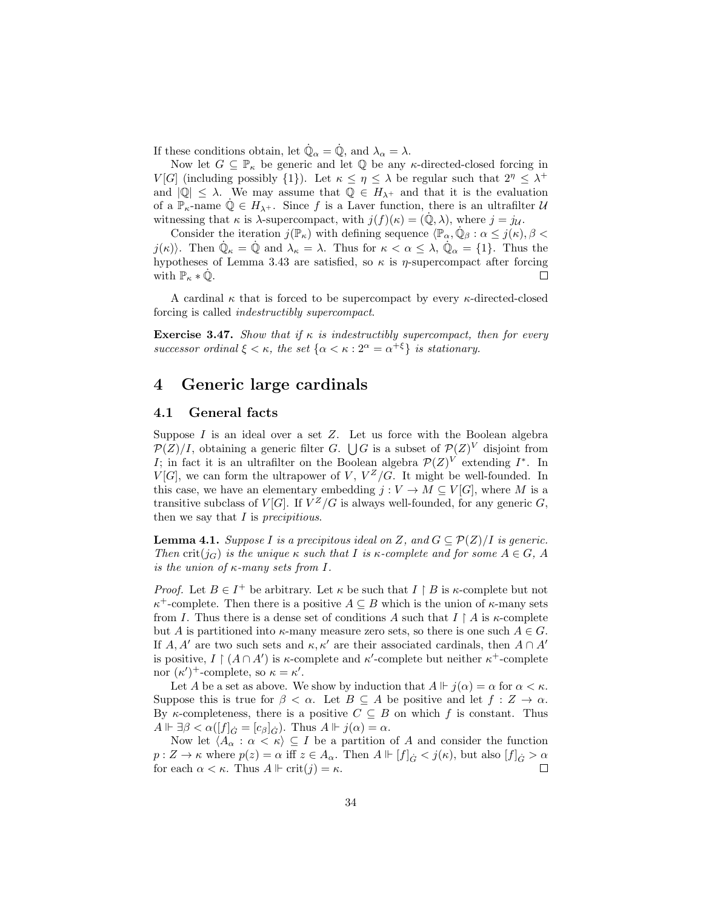If these conditions obtain, let  $\dot{\mathbb{Q}}_{\alpha} = \dot{\mathbb{Q}}$ , and  $\lambda_{\alpha} = \lambda$ .

Now let  $G \subseteq \mathbb{P}_{\kappa}$  be generic and let  $\mathbb Q$  be any  $\kappa$ -directed-closed forcing in V[G] (including possibly {1}). Let  $\kappa \leq \eta \leq \lambda$  be regular such that  $2^{\eta} \leq \lambda^+$ and  $|{\mathbb Q}| \leq \lambda$ . We may assume that  ${\mathbb Q} \in H_{\lambda^+}$  and that it is the evaluation of a  $\mathbb{P}_{\kappa}$ -name  $\mathbb{Q} \in H_{\lambda^+}$ . Since f is a Laver function, there is an ultrafilter  $\mathcal{U}$ witnessing that  $\kappa$  is  $\lambda$ -supercompact, with  $j(f)(\kappa) = (\mathbb{Q}, \lambda)$ , where  $j = j_{\mathcal{U}}$ .

Consider the iteration  $j(\mathbb{P}_{\kappa})$  with defining sequence  $\langle \mathbb{P}_{\alpha}, \dot{\mathbb{Q}}_{\beta} : \alpha \leq j(\kappa), \beta <$ j( $\kappa$ )). Then  $\dot{\mathbb{Q}}_{\kappa} = \dot{\mathbb{Q}}$  and  $\lambda_{\kappa} = \lambda$ . Thus for  $\kappa < \alpha \leq \lambda$ ,  $\dot{\mathbb{Q}}_{\alpha} = \{1\}$ . Thus the hypotheses of Lemma 3.43 are satisfied, so  $\kappa$  is  $\eta$ -supercompact after forcing with  $\mathbb{P}_{\kappa} * \dot{\mathbb{Q}}$ .  $\Box$ 

A cardinal  $\kappa$  that is forced to be supercompact by every  $\kappa$ -directed-closed forcing is called indestructibly supercompact.

**Exercise 3.47.** Show that if  $\kappa$  is indestructibly supercompact, then for every successor ordinal  $\xi < \kappa$ , the set  $\{\alpha < \kappa : 2^{\alpha} = \alpha^{+\xi}\}\$ is stationary.

# 4 Generic large cardinals

# 4.1 General facts

Suppose  $I$  is an ideal over a set  $Z$ . Let us force with the Boolean algebra  $\mathcal{P}(Z)/I$ , obtaining a generic filter G.  $\bigcup G$  is a subset of  $\mathcal{P}(Z)^V$  disjoint from I; in fact it is an ultrafilter on the Boolean algebra  $\mathcal{P}(Z)^V$  extending  $I^*$ . In  $V[G]$ , we can form the ultrapower of V,  $V^Z/G$ . It might be well-founded. In this case, we have an elementary embedding  $j: V \to M \subseteq V[G]$ , where M is a transitive subclass of  $V[G]$ . If  $V^Z/G$  is always well-founded, for any generic  $G$ , then we say that  $I$  is precipitious.

**Lemma 4.1.** Suppose I is a precipitous ideal on Z, and  $G \subseteq \mathcal{P}(Z)/I$  is generic. Then crit(j<sub>G</sub>) is the unique  $\kappa$  such that I is  $\kappa$ -complete and for some  $A \in G$ , A is the union of  $\kappa$ -many sets from I.

*Proof.* Let  $B \in I^+$  be arbitrary. Let  $\kappa$  be such that  $I \upharpoonright B$  is  $\kappa$ -complete but not  $\kappa^+$ -complete. Then there is a positive  $A \subseteq B$  which is the union of  $\kappa$ -many sets from I. Thus there is a dense set of conditions A such that  $I \restriction A$  is  $\kappa$ -complete but A is partitioned into  $\kappa$ -many measure zero sets, so there is one such  $A \in G$ . If A, A' are two such sets and  $\kappa, \kappa'$  are their associated cardinals, then  $A \cap A'$ is positive,  $I \restriction (A \cap A')$  is  $\kappa$ -complete and  $\kappa'$ -complete but neither  $\kappa^+$ -complete nor  $(\kappa')^+$ -complete, so  $\kappa = \kappa'.$ 

Let A be a set as above. We show by induction that  $A \Vdash j(\alpha) = \alpha$  for  $\alpha < \kappa$ . Suppose this is true for  $\beta < \alpha$ . Let  $B \subseteq A$  be positive and let  $f : Z \to \alpha$ . By  $\kappa$ -completeness, there is a positive  $C \subseteq B$  on which f is constant. Thus  $A \Vdash \exists \beta < \alpha([f]_{\dot{G}} = [c_{\beta}]_{\dot{G}})$ . Thus  $A \Vdash j(\alpha) = \alpha$ .

Now let  $\langle A_{\alpha} : \alpha < \kappa \rangle \subseteq I$  be a partition of A and consider the function  $p: Z \to \kappa$  where  $p(z) = \alpha$  iff  $z \in A_\alpha$ . Then  $A \Vdash [f]_G < j(\kappa)$ , but also  $[f]_G > \alpha$  for each  $\alpha < \kappa$ . Thus  $A \Vdash \text{crit}(i) = \kappa$ . for each  $\alpha < \kappa$ . Thus  $A \Vdash \text{crit}(j) = \kappa$ .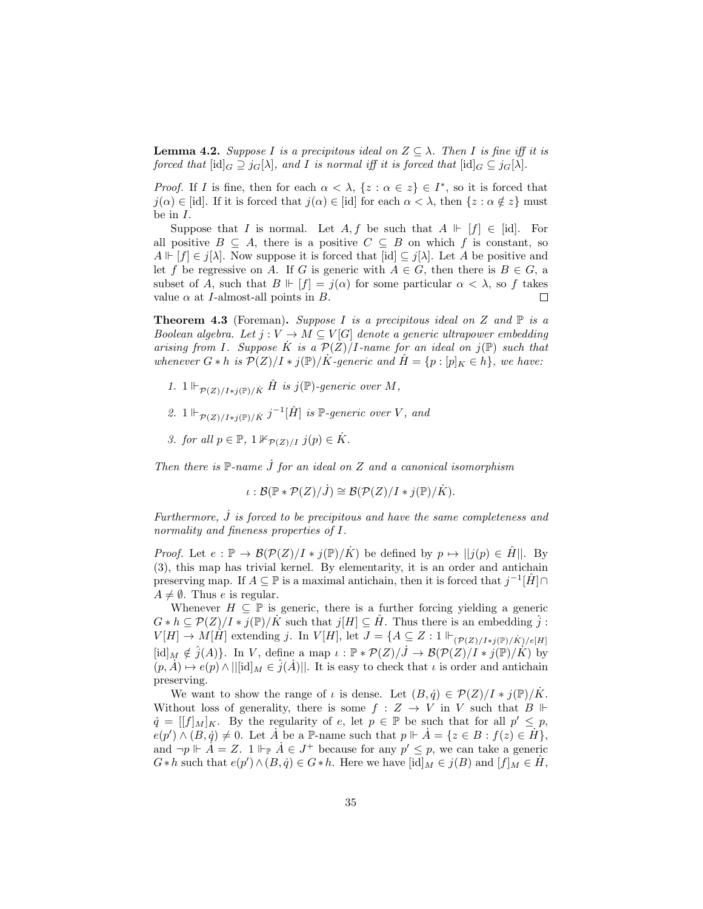**Lemma 4.2.** Suppose I is a precipitous ideal on  $Z \subseteq \lambda$ . Then I is fine iff it is forced that  $[\mathrm{id}]_G \supseteq j_G[\lambda]$ , and I is normal iff it is forced that  $[\mathrm{id}]_G \subseteq j_G[\lambda]$ .

*Proof.* If I is fine, then for each  $\alpha < \lambda$ ,  $\{z : \alpha \in z\} \in I^*$ , so it is forced that  $j(\alpha) \in [\text{id}]$ . If it is forced that  $j(\alpha) \in [\text{id}]$  for each  $\alpha < \lambda$ , then  $\{z : \alpha \notin z\}$  must be in I.

Suppose that I is normal. Let  $A, f$  be such that  $A \Vdash [f] \in [id]$ . For all positive  $B \subseteq A$ , there is a positive  $C \subseteq B$  on which f is constant, so  $A \Vdash [f] \in j[\lambda]$ . Now suppose it is forced that  $[\text{id}] \subseteq j[\lambda]$ . Let A be positive and let f be regressive on A. If G is generic with  $A \in G$ , then there is  $B \in G$ , a subset of A, such that  $B \Vdash [f] = j(\alpha)$  for some particular  $\alpha < \lambda$ , so f takes value  $\alpha$  at *I*-almost-all points in *B*.  $\Box$ 

**Theorem 4.3** (Foreman). Suppose I is a precipitous ideal on Z and  $\mathbb{P}$  is a Boolean algebra. Let  $j: V \to M \subseteq V[G]$  denote a generic ultrapower embedding arising from I. Suppose  $\dot{K}$  is a  $\mathcal{P}(Z)/I$ -name for an ideal on  $j(\mathbb{P})$  such that whenever  $G * h$  is  $\mathcal{P}(Z)/I * j(\mathbb{P})/K$ -generic and  $\hat{H} = \{p : [p]_K \in h\}$ , we have:

- 1.  $1 \Vdash_{\mathcal{P}(Z)/I * i(\mathbb{P})/K} \hat{H}$  is j( $\mathbb{P}$ )-generic over M,
- 2.  $1 \Vdash_{\mathcal{P}(Z)/I * j(\mathbb{P})/K} j^{-1}[\hat{H}]$  is  $\mathbb{P}\text{-}generic over V$ , and
- 3. for all  $p \in \mathbb{P}$ ,  $1 \nvDash_{\mathcal{P}(Z)/I} j(p) \in \dot{K}$ .

Then there is  $\mathbb{P}\text{-name }J$  for an ideal on Z and a canonical isomorphism

$$
\iota : \mathcal{B}(\mathbb{P} * \mathcal{P}(Z)/J) \cong \mathcal{B}(\mathcal{P}(Z)/I * j(\mathbb{P})/\dot{K}).
$$

Furthermore,  $\dot{J}$  is forced to be precipitous and have the same completeness and normality and fineness properties of I.

*Proof.* Let  $e : \mathbb{P} \to \mathcal{B}(\mathcal{P}(Z)/I * j(\mathbb{P})/K)$  be defined by  $p \mapsto ||j(p) \in \hat{H}||$ . By (3), this map has trivial kernel. By elementarity, it is an order and antichain preserving map. If  $A \subseteq \mathbb{P}$  is a maximal antichain, then it is forced that  $j^{-1}[\hat{H}] \cap$  $A \neq \emptyset$ . Thus e is regular.

Whenever  $H \subseteq \mathbb{P}$  is generic, there is a further forcing yielding a generic  $G * h \subseteq \mathcal{P}(Z)/I * j(\mathbb{P})/K$  such that  $j[H] \subseteq H$ . Thus there is an embedding  $\hat{j}$ :  $V[H] \rightarrow \hat{M}[\hat{H}]$  extending j. In  $V[H]$ , let  $J = \{A \subseteq Z : 1 \Vdash_{(\mathcal{P}(Z)/I * j(\mathbb{P})/K)/e[H]}$  $[\mathrm{id}]_M \notin \hat{j}(A)$ . In V, define a map  $\iota : \mathbb{P} * \mathcal{P}(Z)/J \to \mathcal{B}(\mathcal{P}(Z)/I * j(\mathbb{P})/\dot{K})$  by  $(p, A) \mapsto e(p) \wedge ||[\mathrm{id}]_M \in \hat{j}(A)||.$  It is easy to check that  $\iota$  is order and antichain preserving.

We want to show the range of  $\iota$  is dense. Let  $(B, \dot{q}) \in \mathcal{P}(Z)/I * j(\mathbb{P})/\dot{K}$ . Without loss of generality, there is some  $f : Z \to V$  in V such that  $B \Vdash$  $\dot{q} = [[f]_M]_K$ . By the regularity of e, let  $p \in \mathbb{P}$  be such that for all  $p' \leq p$ ,  $e(p') \wedge (B, q) \neq 0$ . Let  $\overline{A}$  be a P-name such that  $p \Vdash \overline{A} = \{z \in B : f(z) \in \overline{H}\},\$ and  $\neg p \Vdash \overline{A} = Z$ .  $1 \Vdash_{\mathbb{P}} \overline{A} \in J^+$  because for any  $p' \leq p$ , we can take a generic  $G * h$  such that  $e(p') \wedge (B, \dot{q}) \in G * h$ . Here we have  $[\text{id}]_M \in j(B)$  and  $[f]_M \in \hat{H}$ ,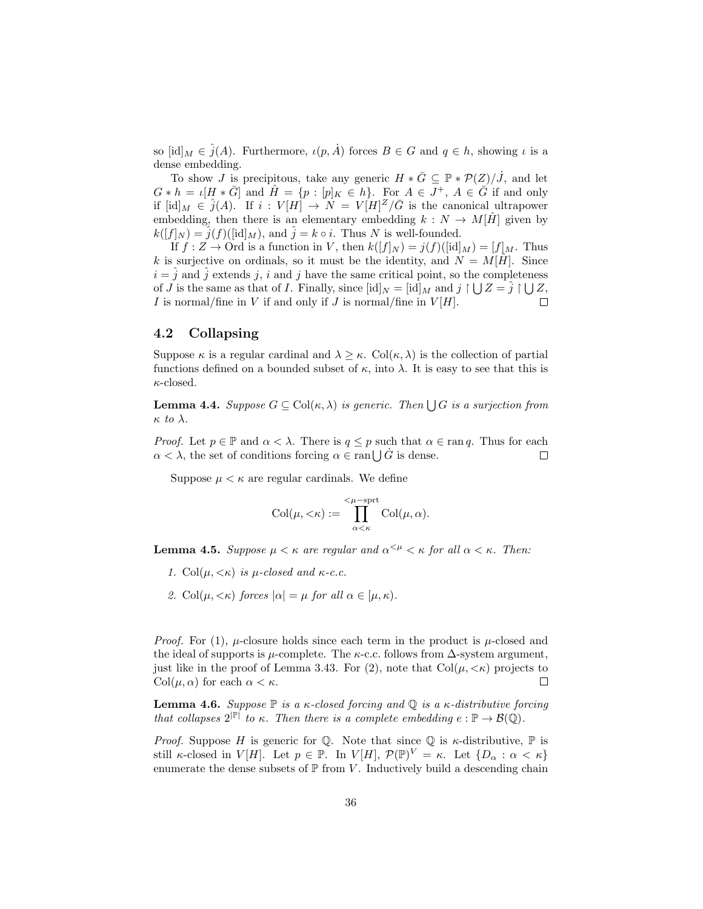so  $[\mathrm{id}]_M \in \hat{j}(A)$ . Furthermore,  $\iota(p, \dot{A})$  forces  $B \in G$  and  $q \in h$ , showing  $\iota$  is a dense embedding.

To show J is precipitous, take any generic  $H * \overline{G} \subseteq \mathbb{P} * \mathcal{P}(Z)/\overline{J}$ , and let  $G * h = \iota[H * \overline{G}]$  and  $\hat{H} = \{p : [p]_K \in h\}$ . For  $A \in J^+$ ,  $A \in \overline{G}$  if and only if  $[\mathrm{id}]_M \in \hat{j}(A)$ . If  $i: V[H] \to N = V[H]^Z/\bar{G}$  is the canonical ultrapower embedding, then there is an elementary embedding  $k : N \to M[\hat{H}]$  given by  $k([f]_N) = \hat{j}(f)(\text{lid}]_M$ , and  $\hat{j} = k \circ i$ . Thus N is well-founded.

If  $f: Z \to \text{Ord}$  is a function in V, then  $k([f]_N) = j(f)([\text{id}]_M) = [f]_M$ . Thus k is surjective on ordinals, so it must be the identity, and  $N = M[\hat{H}]$ . Since  $i = \hat{j}$  and  $\hat{j}$  extends j, i and j have the same critical point, so the completeness of *J* is the same as that of *I*. Finally, since  $[\text{id}]_N = [\text{id}]_M$  and  $j \upharpoonright \bigcup Z = \hat{j} \upharpoonright \bigcup Z$ , I is normal/fine in V if and only if J is normal/fine in  $V[H]$ .  $\Box$ 

# 4.2 Collapsing

Suppose  $\kappa$  is a regular cardinal and  $\lambda \geq \kappa$ . Col $(\kappa, \lambda)$  is the collection of partial functions defined on a bounded subset of  $\kappa$ , into  $\lambda$ . It is easy to see that this is  $\kappa$ -closed.

**Lemma 4.4.** Suppose  $G \subseteq \text{Col}(\kappa, \lambda)$  is generic. Then  $\bigcup G$  is a surjection from  $\kappa$  to  $\lambda$ .

*Proof.* Let  $p \in \mathbb{P}$  and  $\alpha < \lambda$ . There is  $q \leq p$  such that  $\alpha \in \text{ran } q$ . Thus for each  $\alpha < \lambda$ , the set of conditions forcing  $\alpha \in \text{ran} \bigcup \dot{G}$  is dense.  $\Box$ 

Suppose  $\mu < \kappa$  are regular cardinals. We define

$$
Col(\mu, <\!\kappa) := \prod_{\alpha<\kappa}^{<\mu-\!\mathrm{sprt}} Col(\mu, \alpha).
$$

**Lemma 4.5.** Suppose  $\mu < \kappa$  are regular and  $\alpha^{\leq \mu} < \kappa$  for all  $\alpha < \kappa$ . Then:

- 1. Col $(\mu, \langle \kappa \rangle)$  is  $\mu$ -closed and  $\kappa$ -c.c.
- 2. Col $(\mu, \langle \kappa \rangle)$  forces  $|\alpha| = \mu$  for all  $\alpha \in [\mu, \kappa)$ .

*Proof.* For (1),  $\mu$ -closure holds since each term in the product is  $\mu$ -closed and the ideal of supports is  $\mu$ -complete. The  $\kappa$ -c.c. follows from  $\Delta$ -system argument, just like in the proof of Lemma 3.43. For (2), note that  $Col(\mu, \langle \kappa \rangle)$  projects to  $Col(\mu, \alpha)$  for each  $\alpha < \kappa$ .  $\Box$ 

**Lemma 4.6.** Suppose  $\mathbb P$  is a  $\kappa$ -closed forcing and  $\mathbb Q$  is a  $\kappa$ -distributive forcing that collapses  $2^{|\mathbb{P}|}$  to  $\kappa$ . Then there is a complete embedding  $e : \mathbb{P} \to \mathcal{B}(\mathbb{Q})$ .

*Proof.* Suppose H is generic for Q. Note that since Q is  $\kappa$ -distributive, P is still κ-closed in  $V[H]$ . Let  $p \in \mathbb{P}$ . In  $V[H]$ ,  $\mathcal{P}(\mathbb{P})^V = \kappa$ . Let  $\{D_\alpha : \alpha < \kappa\}$ enumerate the dense subsets of  $\mathbb P$  from V. Inductively build a descending chain